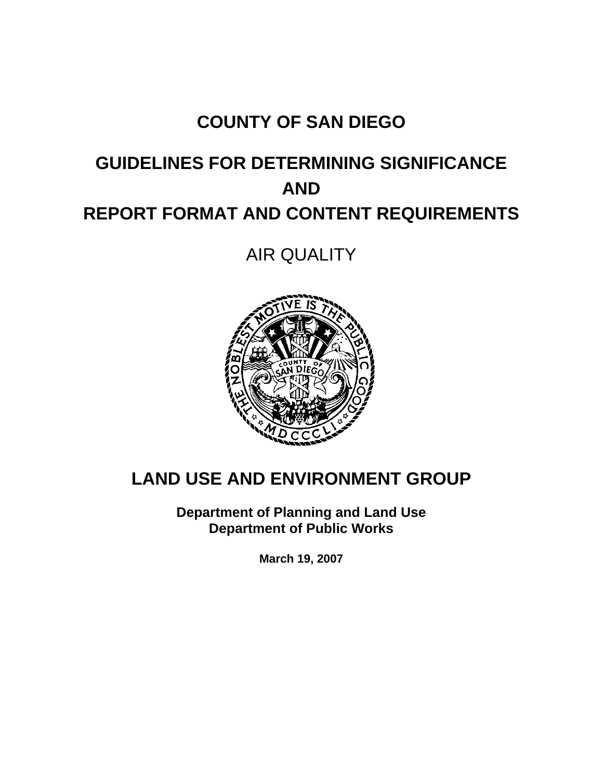# **COUNTY OF SAN DIEGO**

# **GUIDELINES FOR DETERMINING SIGNIFICANCE AND REPORT FORMAT AND CONTENT REQUIREMENTS**

AIR QUALITY



# **LAND USE AND ENVIRONMENT GROUP**

**Department of Planning and Land Use Department of Public Works** 

**March 19, 2007**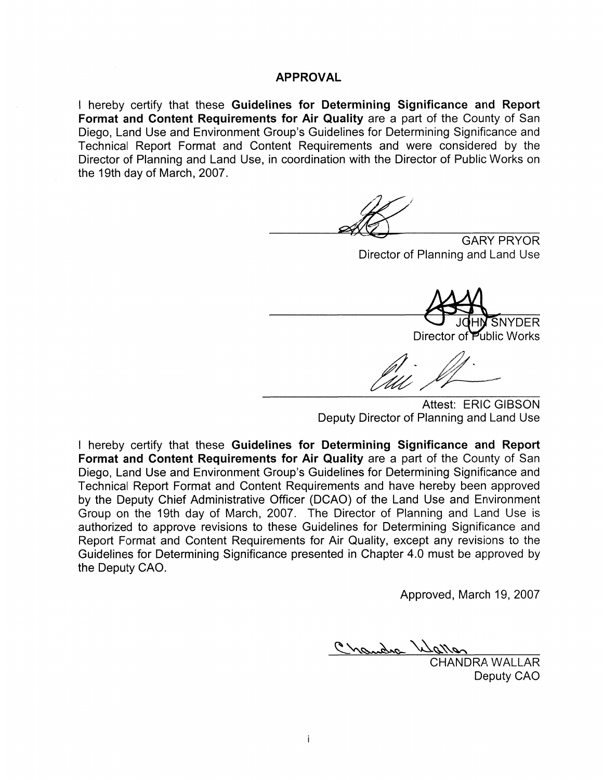#### **APPROVAL**

I hereby certify that these Guidelines for Determining Significance and Report Format and Content Requirements for Air Quality are a part of the County of San Diego, Land Use and Environment Group's Guidelines for Determining Significance and Technical Report Format and Content Requirements and were considered by the Director of Planning and Land Use, in coordination with the Director of Public Works on the 19th day of March, 2007.

**GARY PRYOR** Director of Planning and Land Use

SNYDFR

Director of Public Works

Attest: ERIC GIBSON Deputy Director of Planning and Land Use

I hereby certify that these Guidelines for Determining Significance and Report Format and Content Requirements for Air Quality are a part of the County of San Diego, Land Use and Environment Group's Guidelines for Determining Significance and Technical Report Format and Content Requirements and have hereby been approved by the Deputy Chief Administrative Officer (DCAO) of the Land Use and Environment Group on the 19th day of March, 2007. The Director of Planning and Land Use is authorized to approve revisions to these Guidelines for Determining Significance and Report Format and Content Requirements for Air Quality, except any revisions to the Guidelines for Determining Significance presented in Chapter 4.0 must be approved by the Deputy CAO.

Approved, March 19, 2007

Chandra W

**CHANDRA WALLAR** Deputy CAO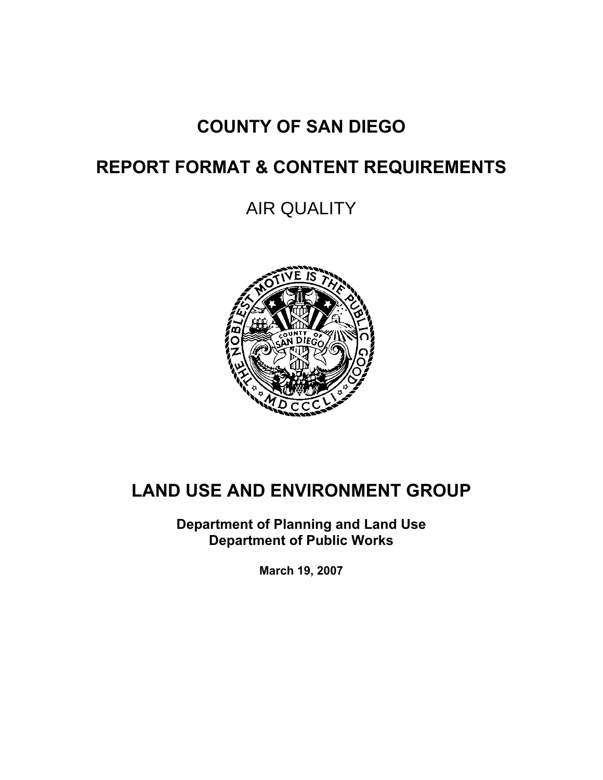# **COUNTY OF SAN DIEGO**

# **REPORT FORMAT & CONTENT REQUIREMENTS**

AIR QUALITY



# **LAND USE AND ENVIRONMENT GROUP**

**Department of Planning and Land Use Department of Public Works** 

**March 19, 2007**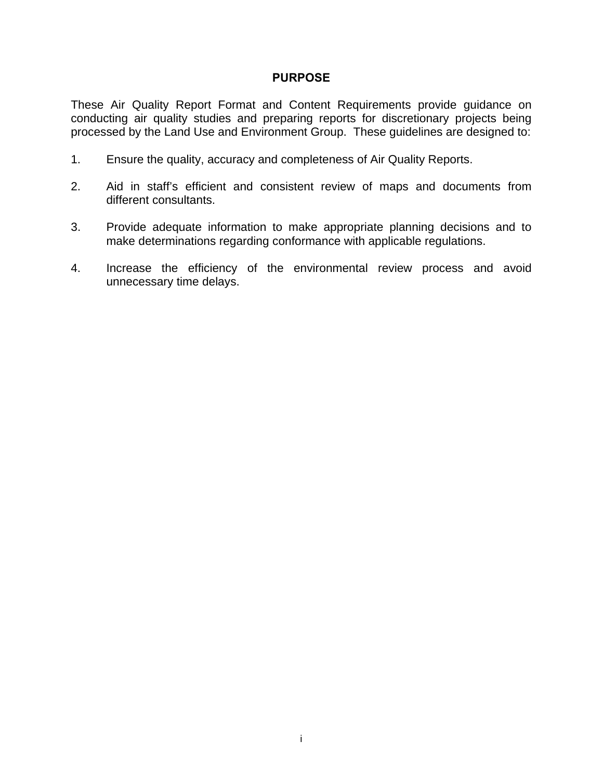#### **PURPOSE**

These Air Quality Report Format and Content Requirements provide guidance on conducting air quality studies and preparing reports for discretionary projects being processed by the Land Use and Environment Group. These guidelines are designed to:

- 1. Ensure the quality, accuracy and completeness of Air Quality Reports.
- 2. Aid in staff's efficient and consistent review of maps and documents from different consultants.
- 3. Provide adequate information to make appropriate planning decisions and to make determinations regarding conformance with applicable regulations.
- 4. Increase the efficiency of the environmental review process and avoid unnecessary time delays.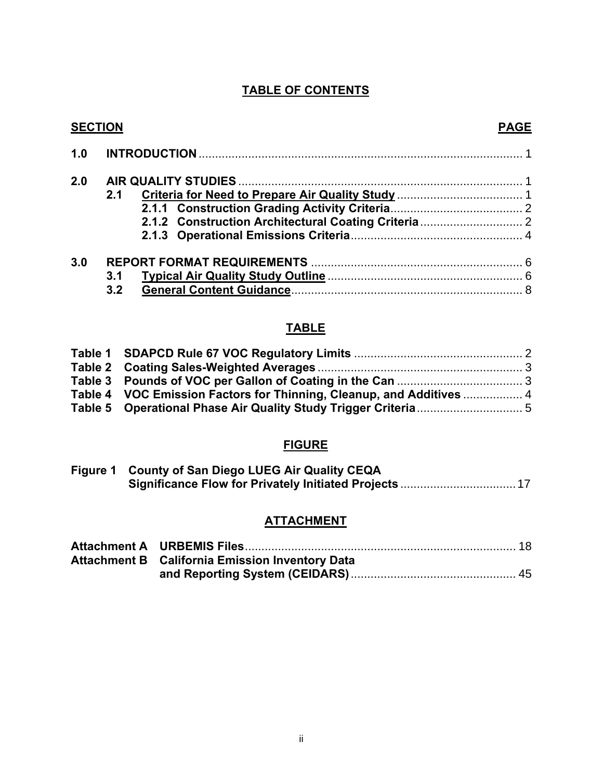### **TABLE OF CONTENTS**

|     | <b>SECTION</b> | <b>PAGE</b> |
|-----|----------------|-------------|
| 1.0 |                |             |
| 2.0 |                |             |
|     | 2.1            |             |
|     |                |             |
|     |                |             |
|     |                |             |
| 3.0 |                |             |
|     | 3.1            |             |
|     | 3.2            |             |

# **TABLE**

| Table 4 VOC Emission Factors for Thinning, Cleanup, and Additives  4 |  |
|----------------------------------------------------------------------|--|
|                                                                      |  |

### **FIGURE**

| Figure 1 County of San Diego LUEG Air Quality CEQA |
|----------------------------------------------------|
|                                                    |

### **ATTACHMENT**

| <b>Attachment B</b> California Emission Inventory Data |  |
|--------------------------------------------------------|--|
|                                                        |  |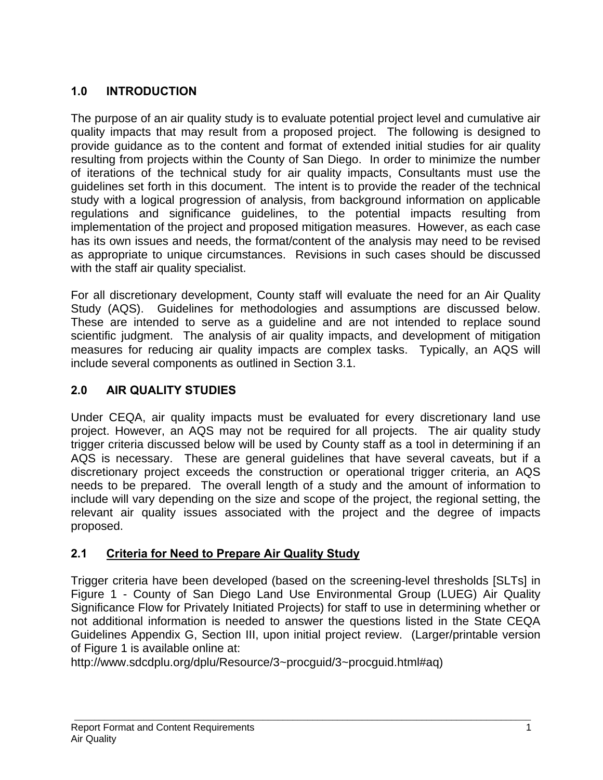# **1.0 INTRODUCTION**

The purpose of an air quality study is to evaluate potential project level and cumulative air quality impacts that may result from a proposed project. The following is designed to provide guidance as to the content and format of extended initial studies for air quality resulting from projects within the County of San Diego. In order to minimize the number of iterations of the technical study for air quality impacts, Consultants must use the guidelines set forth in this document. The intent is to provide the reader of the technical study with a logical progression of analysis, from background information on applicable regulations and significance guidelines, to the potential impacts resulting from implementation of the project and proposed mitigation measures. However, as each case has its own issues and needs, the format/content of the analysis may need to be revised as appropriate to unique circumstances. Revisions in such cases should be discussed with the staff air quality specialist.

For all discretionary development, County staff will evaluate the need for an Air Quality Study (AQS). Guidelines for methodologies and assumptions are discussed below. These are intended to serve as a guideline and are not intended to replace sound scientific judgment. The analysis of air quality impacts, and development of mitigation measures for reducing air quality impacts are complex tasks. Typically, an AQS will include several components as outlined in Section 3.1.

# **2.0 AIR QUALITY STUDIES**

Under CEQA, air quality impacts must be evaluated for every discretionary land use project. However, an AQS may not be required for all projects. The air quality study trigger criteria discussed below will be used by County staff as a tool in determining if an AQS is necessary. These are general guidelines that have several caveats, but if a discretionary project exceeds the construction or operational trigger criteria, an AQS needs to be prepared. The overall length of a study and the amount of information to include will vary depending on the size and scope of the project, the regional setting, the relevant air quality issues associated with the project and the degree of impacts proposed.

### **2.1 Criteria for Need to Prepare Air Quality Study**

Trigger criteria have been developed (based on the screening-level thresholds [SLTs] in Figure 1 - County of San Diego Land Use Environmental Group (LUEG) Air Quality Significance Flow for Privately Initiated Projects) for staff to use in determining whether or not additional information is needed to answer the questions listed in the State CEQA Guidelines Appendix G, Section III, upon initial project review. (Larger/printable version of Figure 1 is available online at:

http://www.sdcdplu.org/dplu/Resource/3~procguid/3~procguid.html#aq)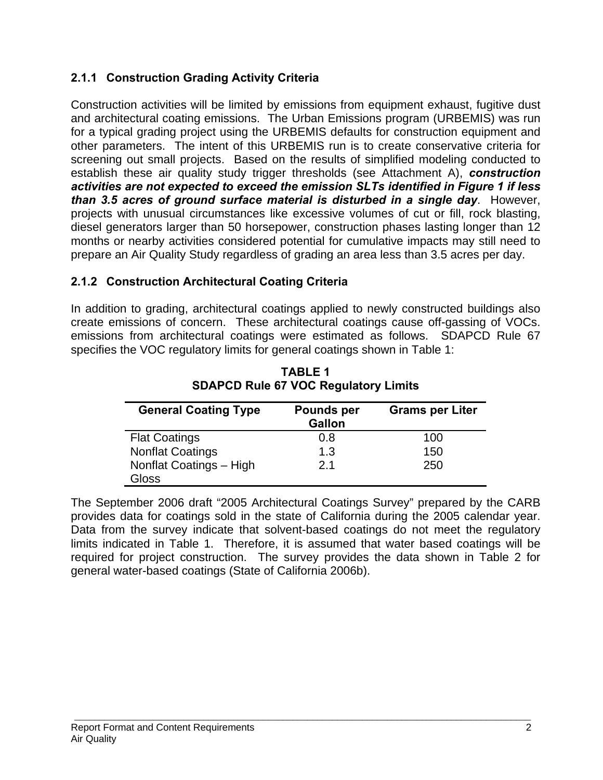# **2.1.1 Construction Grading Activity Criteria**

Construction activities will be limited by emissions from equipment exhaust, fugitive dust and architectural coating emissions. The Urban Emissions program (URBEMIS) was run for a typical grading project using the URBEMIS defaults for construction equipment and other parameters. The intent of this URBEMIS run is to create conservative criteria for screening out small projects. Based on the results of simplified modeling conducted to establish these air quality study trigger thresholds (see Attachment A), *construction activities are not expected to exceed the emission SLTs identified in Figure 1 if less than 3.5 acres of ground surface material is disturbed in a single day*. However, projects with unusual circumstances like excessive volumes of cut or fill, rock blasting, diesel generators larger than 50 horsepower, construction phases lasting longer than 12 months or nearby activities considered potential for cumulative impacts may still need to prepare an Air Quality Study regardless of grading an area less than 3.5 acres per day.

## **2.1.2 Construction Architectural Coating Criteria**

In addition to grading, architectural coatings applied to newly constructed buildings also create emissions of concern. These architectural coatings cause off-gassing of VOCs. emissions from architectural coatings were estimated as follows. SDAPCD Rule 67 specifies the VOC regulatory limits for general coatings shown in Table 1:

| <b>General Coating Type</b> | <b>Pounds per</b><br><b>Gallon</b> | <b>Grams per Liter</b> |
|-----------------------------|------------------------------------|------------------------|
| <b>Flat Coatings</b>        | 0.8                                | 100                    |
| <b>Nonflat Coatings</b>     | 1.3                                | 150                    |
| Nonflat Coatings - High     | 2.1                                | 250                    |
| Gloss                       |                                    |                        |

**TABLE 1 SDAPCD Rule 67 VOC Regulatory Limits** 

The September 2006 draft "2005 Architectural Coatings Survey" prepared by the CARB provides data for coatings sold in the state of California during the 2005 calendar year. Data from the survey indicate that solvent-based coatings do not meet the regulatory limits indicated in Table 1. Therefore, it is assumed that water based coatings will be required for project construction. The survey provides the data shown in Table 2 for general water-based coatings (State of California 2006b).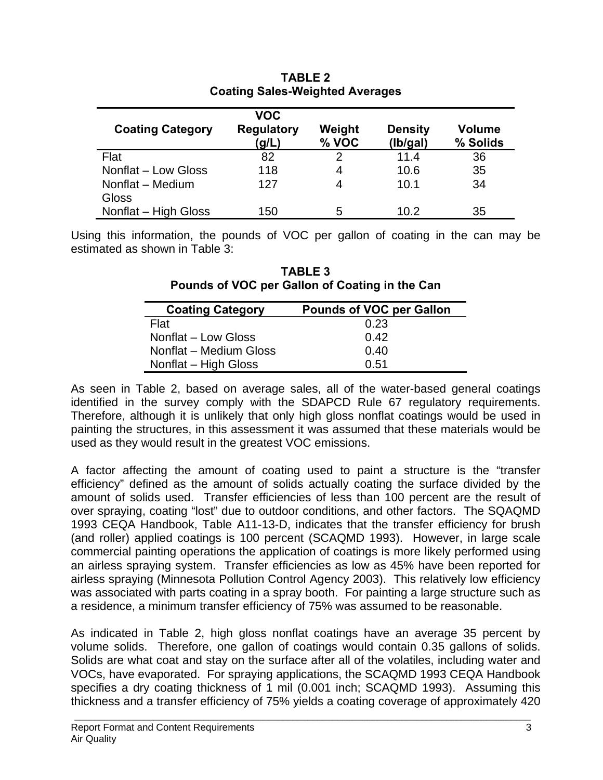|                                  | <b>VOC</b>                 |                 |                            |                           |
|----------------------------------|----------------------------|-----------------|----------------------------|---------------------------|
| <b>Coating Category</b>          | <b>Regulatory</b><br>(g/L) | Weight<br>% VOC | <b>Density</b><br>(Ib/gal) | <b>Volume</b><br>% Solids |
| Flat                             | 82                         | 2               | 11.4                       | 36                        |
| Nonflat - Low Gloss              | 118                        | 4               | 10.6                       | 35                        |
| Nonflat - Medium<br><b>Gloss</b> | 127                        | 4               | 10.1                       | 34                        |
| Nonflat - High Gloss             | 150                        | 5               | 10.2                       | 35                        |

### **TABLE 2 Coating Sales-Weighted Averages**

Using this information, the pounds of VOC per gallon of coating in the can may be estimated as shown in Table 3:

**TABLE 3 Pounds of VOC per Gallon of Coating in the Can** 

| <b>Coating Category</b> | <b>Pounds of VOC per Gallon</b> |
|-------------------------|---------------------------------|
| Flat                    | 0.23                            |
| Nonflat - Low Gloss     | 0.42                            |
| Nonflat - Medium Gloss  | 0.40                            |
| Nonflat - High Gloss    | 0.51                            |

As seen in Table 2, based on average sales, all of the water-based general coatings identified in the survey comply with the SDAPCD Rule 67 regulatory requirements. Therefore, although it is unlikely that only high gloss nonflat coatings would be used in painting the structures, in this assessment it was assumed that these materials would be used as they would result in the greatest VOC emissions.

A factor affecting the amount of coating used to paint a structure is the "transfer efficiency" defined as the amount of solids actually coating the surface divided by the amount of solids used. Transfer efficiencies of less than 100 percent are the result of over spraying, coating "lost" due to outdoor conditions, and other factors. The SQAQMD 1993 CEQA Handbook, Table A11-13-D, indicates that the transfer efficiency for brush (and roller) applied coatings is 100 percent (SCAQMD 1993). However, in large scale commercial painting operations the application of coatings is more likely performed using an airless spraying system. Transfer efficiencies as low as 45% have been reported for airless spraying (Minnesota Pollution Control Agency 2003). This relatively low efficiency was associated with parts coating in a spray booth. For painting a large structure such as a residence, a minimum transfer efficiency of 75% was assumed to be reasonable.

As indicated in Table 2, high gloss nonflat coatings have an average 35 percent by volume solids. Therefore, one gallon of coatings would contain 0.35 gallons of solids. Solids are what coat and stay on the surface after all of the volatiles, including water and VOCs, have evaporated. For spraying applications, the SCAQMD 1993 CEQA Handbook specifies a dry coating thickness of 1 mil (0.001 inch; SCAQMD 1993). Assuming this thickness and a transfer efficiency of 75% yields a coating coverage of approximately 420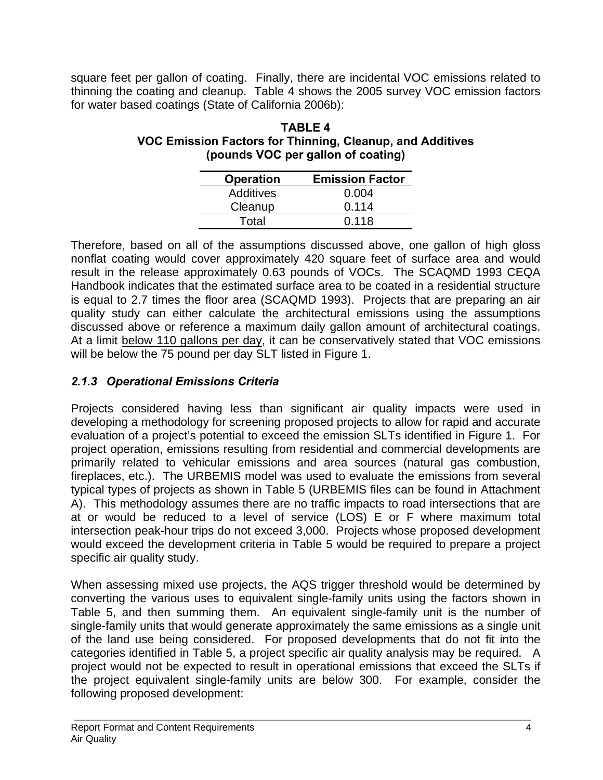square feet per gallon of coating. Finally, there are incidental VOC emissions related to thinning the coating and cleanup. Table 4 shows the 2005 survey VOC emission factors for water based coatings (State of California 2006b):

### **TABLE 4 VOC Emission Factors for Thinning, Cleanup, and Additives (pounds VOC per gallon of coating)**

| <b>Operation</b> | <b>Emission Factor</b> |
|------------------|------------------------|
| Additives        | 0.004                  |
| Cleanup          | 0.114                  |
| Total            | 0.118                  |

Therefore, based on all of the assumptions discussed above, one gallon of high gloss nonflat coating would cover approximately 420 square feet of surface area and would result in the release approximately 0.63 pounds of VOCs. The SCAQMD 1993 CEQA Handbook indicates that the estimated surface area to be coated in a residential structure is equal to 2.7 times the floor area (SCAQMD 1993). Projects that are preparing an air quality study can either calculate the architectural emissions using the assumptions discussed above or reference a maximum daily gallon amount of architectural coatings. At a limit below 110 gallons per day, it can be conservatively stated that VOC emissions will be below the 75 pound per day SLT listed in Figure 1.

# *2.1.3 Operational Emissions Criteria*

Projects considered having less than significant air quality impacts were used in developing a methodology for screening proposed projects to allow for rapid and accurate evaluation of a project's potential to exceed the emission SLTs identified in Figure 1. For project operation, emissions resulting from residential and commercial developments are primarily related to vehicular emissions and area sources (natural gas combustion, fireplaces, etc.). The URBEMIS model was used to evaluate the emissions from several typical types of projects as shown in Table 5 (URBEMIS files can be found in Attachment A). This methodology assumes there are no traffic impacts to road intersections that are at or would be reduced to a level of service (LOS) E or F where maximum total intersection peak-hour trips do not exceed 3,000. Projects whose proposed development would exceed the development criteria in Table 5 would be required to prepare a project specific air quality study.

When assessing mixed use projects, the AQS trigger threshold would be determined by converting the various uses to equivalent single-family units using the factors shown in Table 5, and then summing them. An equivalent single-family unit is the number of single-family units that would generate approximately the same emissions as a single unit of the land use being considered. For proposed developments that do not fit into the categories identified in Table 5, a project specific air quality analysis may be required. A project would not be expected to result in operational emissions that exceed the SLTs if the project equivalent single-family units are below 300. For example, consider the following proposed development: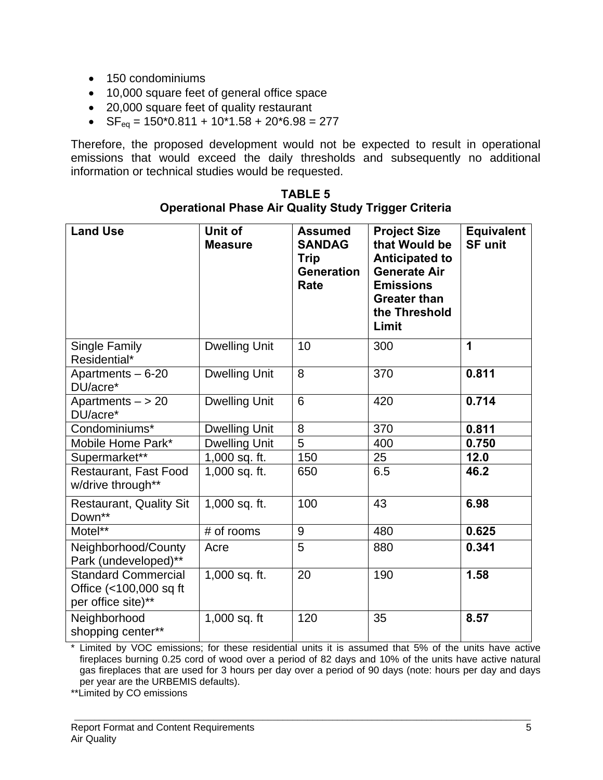- 150 condominiums
- 10,000 square feet of general office space
- 20,000 square feet of quality restaurant
- $SF_{eq} = 150*0.811 + 10*1.58 + 20*6.98 = 277$

Therefore, the proposed development would not be expected to result in operational emissions that would exceed the daily thresholds and subsequently no additional information or technical studies would be requested.

| <b>Land Use</b>                                                            | Unit of<br><b>Measure</b> | <b>Assumed</b><br><b>SANDAG</b><br><b>Trip</b><br><b>Generation</b><br>Rate | <b>Project Size</b><br>that Would be<br><b>Anticipated to</b><br><b>Generate Air</b><br><b>Emissions</b><br><b>Greater than</b><br>the Threshold<br>Limit | <b>Equivalent</b><br><b>SF unit</b> |
|----------------------------------------------------------------------------|---------------------------|-----------------------------------------------------------------------------|-----------------------------------------------------------------------------------------------------------------------------------------------------------|-------------------------------------|
| Single Family<br>Residential*                                              | <b>Dwelling Unit</b>      | 10                                                                          | 300                                                                                                                                                       | 1                                   |
| Apartments - 6-20<br>DU/acre*                                              | <b>Dwelling Unit</b>      | 8                                                                           | 370                                                                                                                                                       | 0.811                               |
| Apartments $-$ > 20<br>DU/acre*                                            | Dwelling Unit             | 6                                                                           | 420                                                                                                                                                       | 0.714                               |
| Condominiums*                                                              | <b>Dwelling Unit</b>      | 8                                                                           | 370                                                                                                                                                       | 0.811                               |
| Mobile Home Park*                                                          | <b>Dwelling Unit</b>      | 5                                                                           | 400                                                                                                                                                       | 0.750                               |
| Supermarket**                                                              | 1,000 sq. ft.             | 150                                                                         | 25                                                                                                                                                        | 12.0                                |
| Restaurant, Fast Food<br>w/drive through**                                 | 1,000 sq. ft.             | 650                                                                         | 6.5                                                                                                                                                       | 46.2                                |
| <b>Restaurant, Quality Sit</b><br>Down**                                   | 1,000 sq. ft.             | 100                                                                         | 43                                                                                                                                                        | 6.98                                |
| Motel**                                                                    | # of rooms                | 9                                                                           | 480                                                                                                                                                       | 0.625                               |
| Neighborhood/County<br>Park (undeveloped)**                                | Acre                      | 5                                                                           | 880                                                                                                                                                       | 0.341                               |
| <b>Standard Commercial</b><br>Office (<100,000 sq ft<br>per office site)** | 1,000 sq. ft.             | 20                                                                          | 190                                                                                                                                                       | 1.58                                |
| Neighborhood<br>shopping center**                                          | 1,000 sq. ft              | 120                                                                         | 35                                                                                                                                                        | 8.57                                |

### **TABLE 5 Operational Phase Air Quality Study Trigger Criteria**

Limited by VOC emissions; for these residential units it is assumed that 5% of the units have active fireplaces burning 0.25 cord of wood over a period of 82 days and 10% of the units have active natural gas fireplaces that are used for 3 hours per day over a period of 90 days (note: hours per day and days per year are the URBEMIS defaults).

\*\*Limited by CO emissions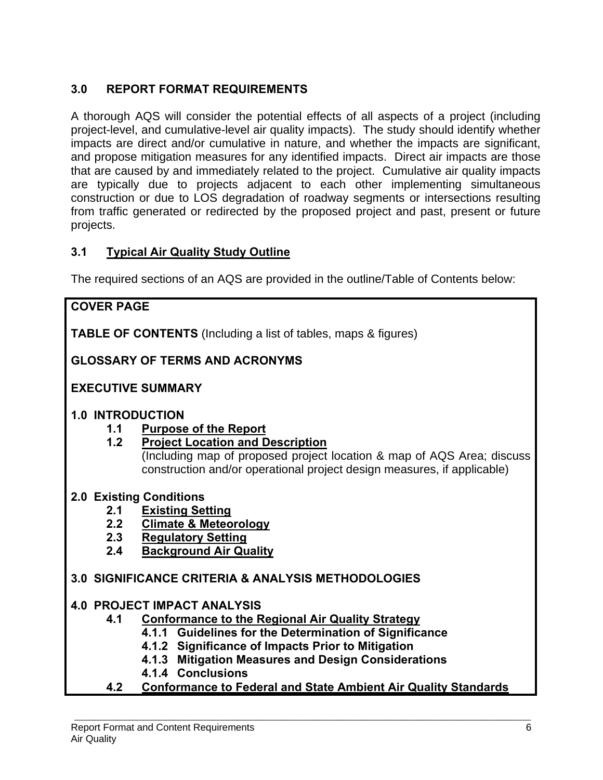## **3.0 REPORT FORMAT REQUIREMENTS**

A thorough AQS will consider the potential effects of all aspects of a project (including project-level, and cumulative-level air quality impacts). The study should identify whether impacts are direct and/or cumulative in nature, and whether the impacts are significant, and propose mitigation measures for any identified impacts. Direct air impacts are those that are caused by and immediately related to the project. Cumulative air quality impacts are typically due to projects adjacent to each other implementing simultaneous construction or due to LOS degradation of roadway segments or intersections resulting from traffic generated or redirected by the proposed project and past, present or future projects.

### **3.1 Typical Air Quality Study Outline**

The required sections of an AQS are provided in the outline/Table of Contents below:

# **COVER PAGE TABLE OF CONTENTS** (Including a list of tables, maps & figures) **GLOSSARY OF TERMS AND ACRONYMS EXECUTIVE SUMMARY 1.0 INTRODUCTION 1.1 Purpose of the Report 1.2 Project Location and Description**  (Including map of proposed project location & map of AQS Area; discuss construction and/or operational project design measures, if applicable) **2.0 Existing Conditions 2.1 Existing Setting 2.2 Climate & Meteorology 2.3 Regulatory Setting 2.4 Background Air Quality 3.0 SIGNIFICANCE CRITERIA & ANALYSIS METHODOLOGIES 4.0 PROJECT IMPACT ANALYSIS 4.1 Conformance to the Regional Air Quality Strategy 4.1.1 Guidelines for the Determination of Significance 4.1.2 Significance of Impacts Prior to Mitigation 4.1.3 Mitigation Measures and Design Considerations 4.1.4 Conclusions 4.2 Conformance to Federal and State Ambient Air Quality Standards**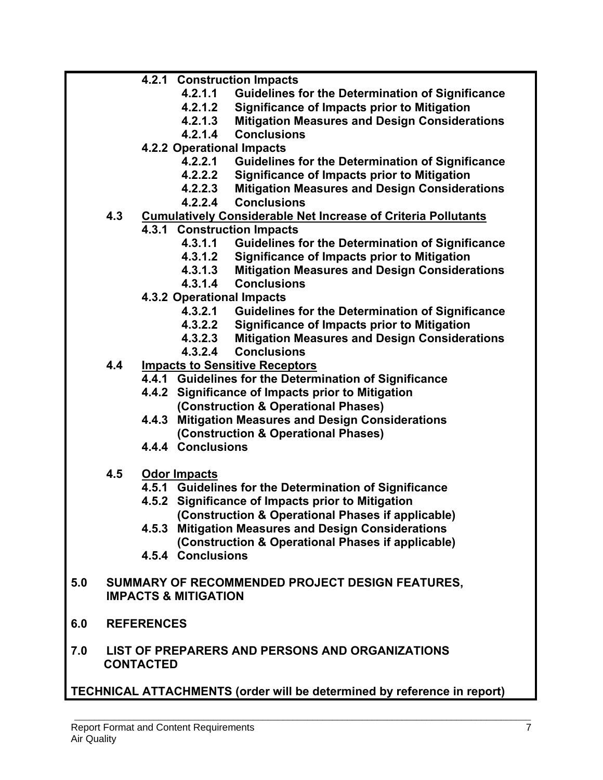- **4.2.1 Construction Impacts** 
	- **4.2.1.1 Guidelines for the Determination of Significance**
	- **4.2.1.2 Significance of Impacts prior to Mitigation**
	- **4.2.1.3 Mitigation Measures and Design Considerations**
	- **4.2.1.4 Conclusions**
- **4.2.2 Operational Impacts** 
	- **4.2.2.1 Guidelines for the Determination of Significance**
	- **4.2.2.2 Significance of Impacts prior to Mitigation**
	- **4.2.2.3 Mitigation Measures and Design Considerations**
	- **4.2.2.4 Conclusions**
- **4.3 Cumulatively Considerable Net Increase of Criteria Pollutants**
	- **4.3.1 Construction Impacts** 
		- **4.3.1.1 Guidelines for the Determination of Significance**
		- **4.3.1.2 Significance of Impacts prior to Mitigation**
		- **4.3.1.3 Mitigation Measures and Design Considerations**
		- **4.3.1.4 Conclusions**
		- **4.3.2 Operational Impacts** 
			- **4.3.2.1 Guidelines for the Determination of Significance**
			- **4.3.2.2 Significance of Impacts prior to Mitigation**
			- **4.3.2.3 Mitigation Measures and Design Considerations**
			- **4.3.2.4 Conclusions**
- **4.4 Impacts to Sensitive Receptors**
	- **4.4.1 Guidelines for the Determination of Significance**
	- **4.4.2 Significance of Impacts prior to Mitigation (Construction & Operational Phases)**
	- **4.4.3 Mitigation Measures and Design Considerations (Construction & Operational Phases)**
	- **4.4.4 Conclusions**
- **4.5 Odor Impacts**
	- **4.5.1 Guidelines for the Determination of Significance**
	- **4.5.2 Significance of Impacts prior to Mitigation (Construction & Operational Phases if applicable)**
	- **4.5.3 Mitigation Measures and Design Considerations (Construction & Operational Phases if applicable)**
	- **4.5.4 Conclusions**
- **5.0 SUMMARY OF RECOMMENDED PROJECT DESIGN FEATURES, IMPACTS & MITIGATION**
- **6.0 REFERENCES**
- **7.0 LIST OF PREPARERS AND PERSONS AND ORGANIZATIONS CONTACTED**

**TECHNICAL ATTACHMENTS (order will be determined by reference in report)**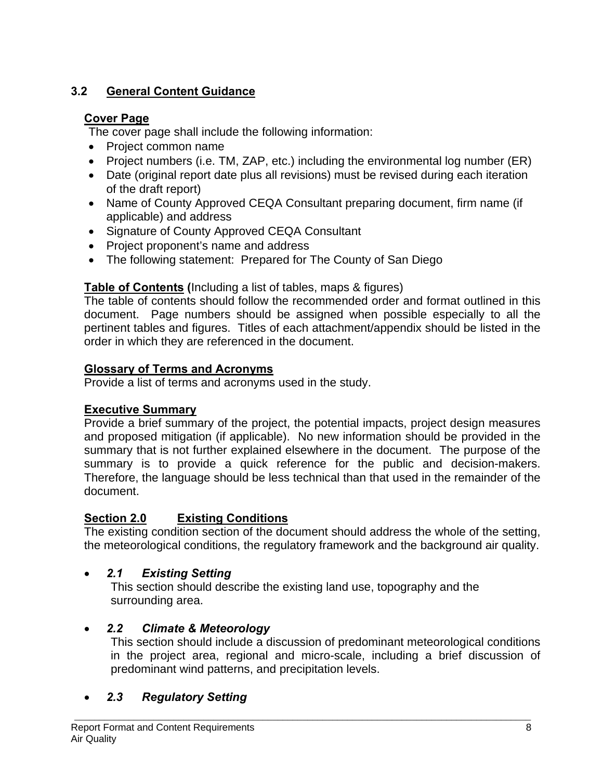# **3.2 General Content Guidance**

### **Cover Page**

The cover page shall include the following information:

- Project common name
- Project numbers (i.e. TM, ZAP, etc.) including the environmental log number (ER)
- Date (original report date plus all revisions) must be revised during each iteration of the draft report)
- Name of County Approved CEQA Consultant preparing document, firm name (if applicable) and address
- Signature of County Approved CEQA Consultant
- Project proponent's name and address
- The following statement: Prepared for The County of San Diego

# **Table of Contents (**Including a list of tables, maps & figures)

The table of contents should follow the recommended order and format outlined in this document. Page numbers should be assigned when possible especially to all the pertinent tables and figures. Titles of each attachment/appendix should be listed in the order in which they are referenced in the document.

## **Glossary of Terms and Acronyms**

Provide a list of terms and acronyms used in the study.

# **Executive Summary**

Provide a brief summary of the project, the potential impacts, project design measures and proposed mitigation (if applicable). No new information should be provided in the summary that is not further explained elsewhere in the document. The purpose of the summary is to provide a quick reference for the public and decision-makers. Therefore, the language should be less technical than that used in the remainder of the document.

# **Section 2.0 Existing Conditions**

The existing condition section of the document should address the whole of the setting, the meteorological conditions, the regulatory framework and the background air quality.

# • *2.1 Existing Setting*

This section should describe the existing land use, topography and the surrounding area.

# • *2.2 Climate & Meteorology*

This section should include a discussion of predominant meteorological conditions in the project area, regional and micro-scale, including a brief discussion of predominant wind patterns, and precipitation levels.

# • *2.3 Regulatory Setting*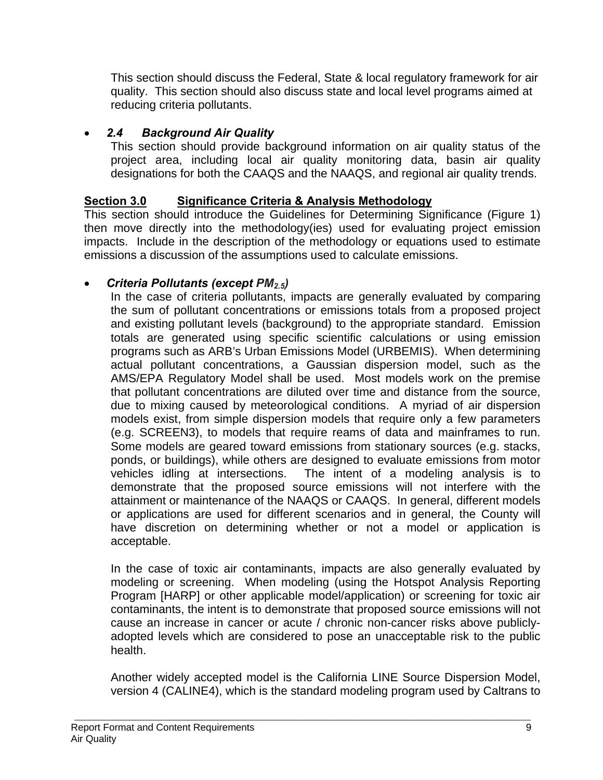This section should discuss the Federal, State & local regulatory framework for air quality. This section should also discuss state and local level programs aimed at reducing criteria pollutants.

## • *2.4 Background Air Quality*

This section should provide background information on air quality status of the project area, including local air quality monitoring data, basin air quality designations for both the CAAQS and the NAAQS, and regional air quality trends.

## **Section 3.0 Significance Criteria & Analysis Methodology**

This section should introduce the Guidelines for Determining Significance (Figure 1) then move directly into the methodology(ies) used for evaluating project emission impacts. Include in the description of the methodology or equations used to estimate emissions a discussion of the assumptions used to calculate emissions.

## • *Criteria Pollutants (except PM2.5)*

In the case of criteria pollutants, impacts are generally evaluated by comparing the sum of pollutant concentrations or emissions totals from a proposed project and existing pollutant levels (background) to the appropriate standard. Emission totals are generated using specific scientific calculations or using emission programs such as ARB's Urban Emissions Model (URBEMIS). When determining actual pollutant concentrations, a Gaussian dispersion model, such as the AMS/EPA Regulatory Model shall be used. Most models work on the premise that pollutant concentrations are diluted over time and distance from the source, due to mixing caused by meteorological conditions. A myriad of air dispersion models exist, from simple dispersion models that require only a few parameters (e.g. SCREEN3), to models that require reams of data and mainframes to run. Some models are geared toward emissions from stationary sources (e.g. stacks, ponds, or buildings), while others are designed to evaluate emissions from motor vehicles idling at intersections. The intent of a modeling analysis is to demonstrate that the proposed source emissions will not interfere with the attainment or maintenance of the NAAQS or CAAQS. In general, different models or applications are used for different scenarios and in general, the County will have discretion on determining whether or not a model or application is acceptable.

In the case of toxic air contaminants, impacts are also generally evaluated by modeling or screening. When modeling (using the Hotspot Analysis Reporting Program [HARP] or other applicable model/application) or screening for toxic air contaminants, the intent is to demonstrate that proposed source emissions will not cause an increase in cancer or acute / chronic non-cancer risks above publiclyadopted levels which are considered to pose an unacceptable risk to the public health.

Another widely accepted model is the California LINE Source Dispersion Model, version 4 (CALINE4), which is the standard modeling program used by Caltrans to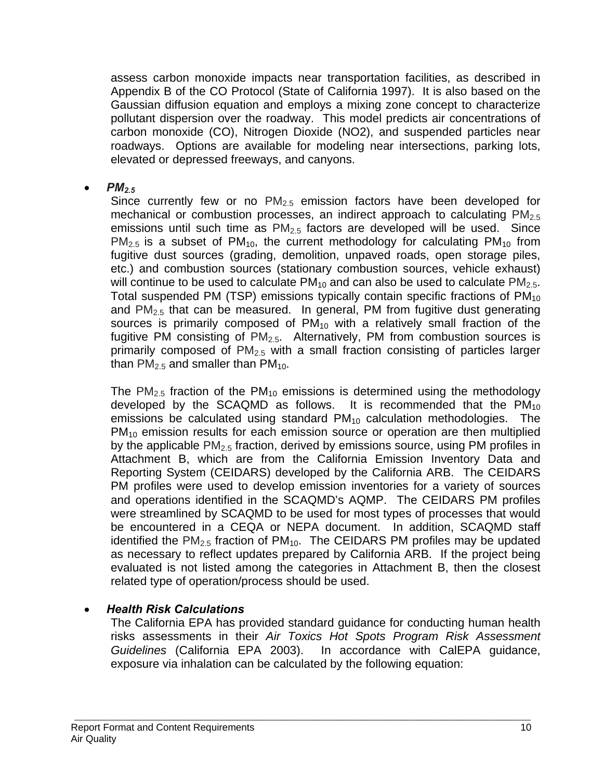assess carbon monoxide impacts near transportation facilities, as described in Appendix B of the CO Protocol (State of California 1997). It is also based on the Gaussian diffusion equation and employs a mixing zone concept to characterize pollutant dispersion over the roadway. This model predicts air concentrations of carbon monoxide (CO), Nitrogen Dioxide (NO2), and suspended particles near roadways. Options are available for modeling near intersections, parking lots, elevated or depressed freeways, and canyons.

• *PM2.5*

Since currently few or no  $PM_{2.5}$  emission factors have been developed for mechanical or combustion processes, an indirect approach to calculating  $PM<sub>2.5</sub>$ emissions until such time as  $PM<sub>2.5</sub>$  factors are developed will be used. Since  $PM_{2.5}$  is a subset of  $PM_{10}$ , the current methodology for calculating  $PM_{10}$  from fugitive dust sources (grading, demolition, unpaved roads, open storage piles, etc.) and combustion sources (stationary combustion sources, vehicle exhaust) will continue to be used to calculate  $PM_{10}$  and can also be used to calculate  $PM_{2.5}$ . Total suspended PM (TSP) emissions typically contain specific fractions of  $PM_{10}$ and  $PM<sub>2.5</sub>$  that can be measured. In general, PM from fugitive dust generating sources is primarily composed of  $PM_{10}$  with a relatively small fraction of the fugitive PM consisting of  $PM_{2.5}$ . Alternatively, PM from combustion sources is primarily composed of  $PM<sub>2.5</sub>$  with a small fraction consisting of particles larger than  $PM<sub>2.5</sub>$  and smaller than  $PM<sub>10</sub>$ .

The PM<sub>2.5</sub> fraction of the PM<sub>10</sub> emissions is determined using the methodology developed by the SCAQMD as follows. It is recommended that the  $PM_{10}$ emissions be calculated using standard  $PM_{10}$  calculation methodologies. The  $PM_{10}$  emission results for each emission source or operation are then multiplied by the applicable  $PM<sub>2.5</sub>$  fraction, derived by emissions source, using PM profiles in Attachment B, which are from the California Emission Inventory Data and Reporting System (CEIDARS) developed by the California ARB. The CEIDARS PM profiles were used to develop emission inventories for a variety of sources and operations identified in the SCAQMD's AQMP. The CEIDARS PM profiles were streamlined by SCAQMD to be used for most types of processes that would be encountered in a CEQA or NEPA document. In addition, SCAQMD staff identified the  $PM<sub>2.5</sub>$  fraction of  $PM<sub>10</sub>$ . The CEIDARS PM profiles may be updated as necessary to reflect updates prepared by California ARB. If the project being evaluated is not listed among the categories in Attachment B, then the closest related type of operation/process should be used.

### • *Health Risk Calculations*

The California EPA has provided standard guidance for conducting human health risks assessments in their *Air Toxics Hot Spots Program Risk Assessment Guidelines* (California EPA 2003). In accordance with CalEPA guidance, exposure via inhalation can be calculated by the following equation: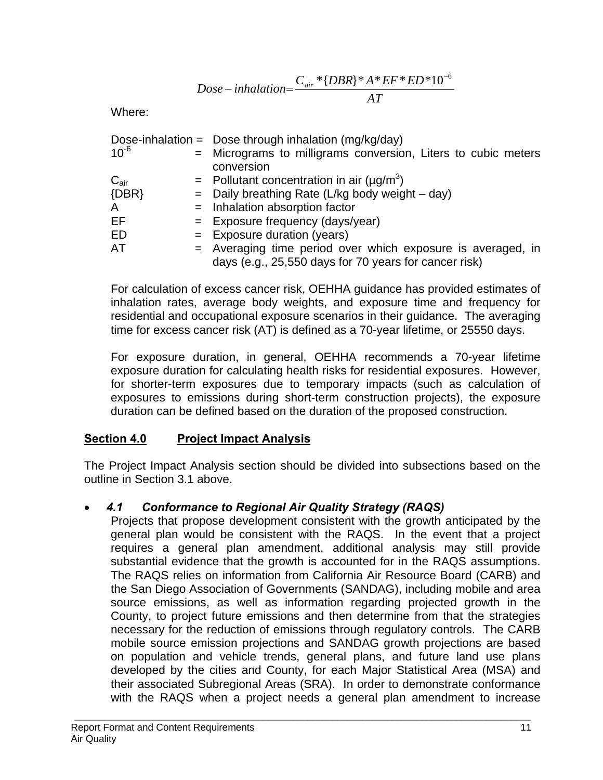$$
Dose-inhalation = \frac{C_{air} * \{DBR\} * A * EF * ED * 10^{-6}}{AT}
$$

Where:

|                  | Dose-inhalation = Dose through inhalation $(mg/kg/day)$       |
|------------------|---------------------------------------------------------------|
| $10^{-6}$        | = Micrograms to milligrams conversion, Liters to cubic meters |
|                  | conversion                                                    |
| $C_{\text{air}}$ | = Pollutant concentration in air $(\mu q/m^3)$                |
| $\{DBR\}$        | $=$ Daily breathing Rate (L/kg body weight $-$ day)           |
| A                | $=$ Inhalation absorption factor                              |
| EF               | $=$ Exposure frequency (days/year)                            |
| ED               | $=$ Exposure duration (years)                                 |
| AT               | = Averaging time period over which exposure is averaged, in   |
|                  | days (e.g., 25,550 days for 70 years for cancer risk)         |

For calculation of excess cancer risk, OEHHA guidance has provided estimates of inhalation rates, average body weights, and exposure time and frequency for residential and occupational exposure scenarios in their guidance. The averaging time for excess cancer risk (AT) is defined as a 70-year lifetime, or 25550 days.

For exposure duration, in general, OEHHA recommends a 70-year lifetime exposure duration for calculating health risks for residential exposures. However, for shorter-term exposures due to temporary impacts (such as calculation of exposures to emissions during short-term construction projects), the exposure duration can be defined based on the duration of the proposed construction.

### **Section 4.0 Project Impact Analysis**

The Project Impact Analysis section should be divided into subsections based on the outline in Section 3.1 above.

### • *4.1 Conformance to Regional Air Quality Strategy (RAQS)*

Projects that propose development consistent with the growth anticipated by the general plan would be consistent with the RAQS. In the event that a project requires a general plan amendment, additional analysis may still provide substantial evidence that the growth is accounted for in the RAQS assumptions. The RAQS relies on information from California Air Resource Board (CARB) and the San Diego Association of Governments (SANDAG), including mobile and area source emissions, as well as information regarding projected growth in the County, to project future emissions and then determine from that the strategies necessary for the reduction of emissions through regulatory controls. The CARB mobile source emission projections and SANDAG growth projections are based on population and vehicle trends, general plans, and future land use plans developed by the cities and County, for each Major Statistical Area (MSA) and their associated Subregional Areas (SRA). In order to demonstrate conformance with the RAQS when a project needs a general plan amendment to increase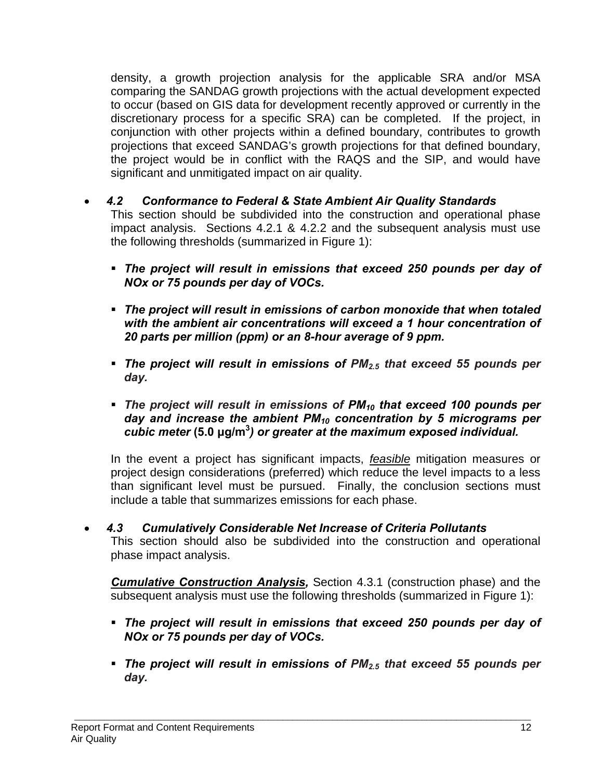density, a growth projection analysis for the applicable SRA and/or MSA comparing the SANDAG growth projections with the actual development expected to occur (based on GIS data for development recently approved or currently in the discretionary process for a specific SRA) can be completed. If the project, in conjunction with other projects within a defined boundary, contributes to growth projections that exceed SANDAG's growth projections for that defined boundary, the project would be in conflict with the RAQS and the SIP, and would have significant and unmitigated impact on air quality.

### • *4.2 Conformance to Federal & State Ambient Air Quality Standards*

This section should be subdivided into the construction and operational phase impact analysis. Sections 4.2.1 & 4.2.2 and the subsequent analysis must use the following thresholds (summarized in Figure 1):

- *The project will result in emissions that exceed 250 pounds per day of NOx or 75 pounds per day of VOCs.*
- *The project will result in emissions of carbon monoxide that when totaled with the ambient air concentrations will exceed a 1 hour concentration of 20 parts per million (ppm) or an 8-hour average of 9 ppm.*
- *The project will result in emissions of PM2.5 that exceed 55 pounds per day.*
- *The project will result in emissions of PM10 that exceed 100 pounds per day and increase the ambient PM10 concentration by 5 micrograms per cubic meter* **(5.0 μg/m<sup>3</sup>** *) or greater at the maximum exposed individual.*

In the event a project has significant impacts, *feasible* mitigation measures or project design considerations (preferred) which reduce the level impacts to a less than significant level must be pursued. Finally, the conclusion sections must include a table that summarizes emissions for each phase.

• *4.3 Cumulatively Considerable Net Increase of Criteria Pollutants* This section should also be subdivided into the construction and operational phase impact analysis.

*Cumulative Construction Analysis,* Section 4.3.1 (construction phase) and the subsequent analysis must use the following thresholds (summarized in Figure 1):

- *The project will result in emissions that exceed 250 pounds per day of NOx or 75 pounds per day of VOCs.*
- *The project will result in emissions of PM2.5 that exceed 55 pounds per day.*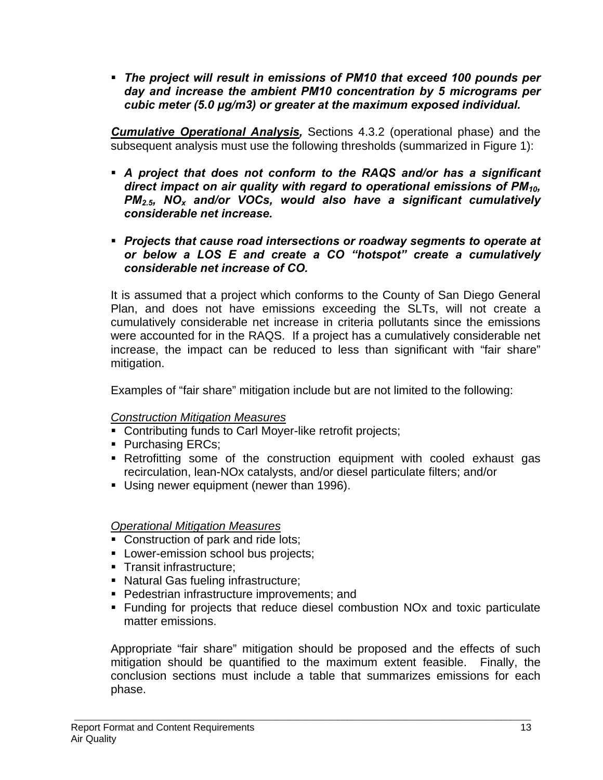*The project will result in emissions of PM10 that exceed 100 pounds per day and increase the ambient PM10 concentration by 5 micrograms per cubic meter (5.0 μg/m3) or greater at the maximum exposed individual.* 

*Cumulative Operational Analysis,* Sections 4.3.2 (operational phase) and the subsequent analysis must use the following thresholds (summarized in Figure 1):

- *A project that does not conform to the RAQS and/or has a significant direct impact on air quality with regard to operational emissions of PM10, PM2.5, NOx and/or VOCs, would also have a significant cumulatively considerable net increase.*
- *Projects that cause road intersections or roadway segments to operate at or below a LOS E and create a CO "hotspot" create a cumulatively considerable net increase of CO.*

It is assumed that a project which conforms to the County of San Diego General Plan, and does not have emissions exceeding the SLTs, will not create a cumulatively considerable net increase in criteria pollutants since the emissions were accounted for in the RAQS. If a project has a cumulatively considerable net increase, the impact can be reduced to less than significant with "fair share" mitigation.

Examples of "fair share" mitigation include but are not limited to the following:

### *Construction Mitigation Measures*

- **Contributing funds to Carl Moyer-like retrofit projects;**
- Purchasing ERCs;
- Retrofitting some of the construction equipment with cooled exhaust gas recirculation, lean-NOx catalysts, and/or diesel particulate filters; and/or
- Using newer equipment (newer than 1996).

### *Operational Mitigation Measures*

- Construction of park and ride lots;
- **Lower-emission school bus projects;**
- **Transit infrastructure;**
- Natural Gas fueling infrastructure;
- **Pedestrian infrastructure improvements; and**
- Funding for projects that reduce diesel combustion NOx and toxic particulate matter emissions.

Appropriate "fair share" mitigation should be proposed and the effects of such mitigation should be quantified to the maximum extent feasible. Finally, the conclusion sections must include a table that summarizes emissions for each phase.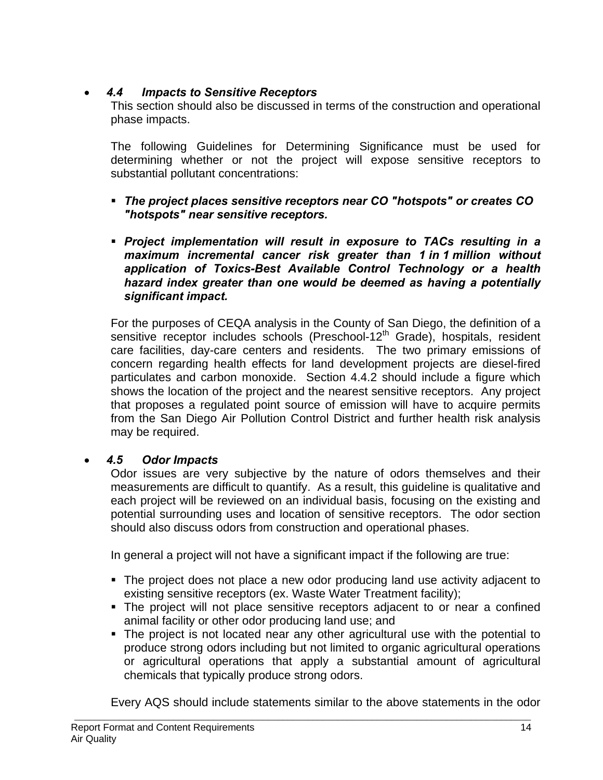## • *4.4 Impacts to Sensitive Receptors*

This section should also be discussed in terms of the construction and operational phase impacts.

The following Guidelines for Determining Significance must be used for determining whether or not the project will expose sensitive receptors to substantial pollutant concentrations:

- *The project places sensitive receptors near CO "hotspots" or creates CO "hotspots" near sensitive receptors.*
- *Project implementation will result in exposure to TACs resulting in a maximum incremental cancer risk greater than 1 in 1 million without application of Toxics-Best Available Control Technology or a health hazard index greater than one would be deemed as having a potentially significant impact.*

For the purposes of CEQA analysis in the County of San Diego, the definition of a sensitive receptor includes schools (Preschool-12<sup>th</sup> Grade), hospitals, resident care facilities, day-care centers and residents. The two primary emissions of concern regarding health effects for land development projects are diesel-fired particulates and carbon monoxide. Section 4.4.2 should include a figure which shows the location of the project and the nearest sensitive receptors. Any project that proposes a regulated point source of emission will have to acquire permits from the San Diego Air Pollution Control District and further health risk analysis may be required.

# • *4.5 Odor Impacts*

Odor issues are very subjective by the nature of odors themselves and their measurements are difficult to quantify. As a result, this guideline is qualitative and each project will be reviewed on an individual basis, focusing on the existing and potential surrounding uses and location of sensitive receptors. The odor section should also discuss odors from construction and operational phases.

In general a project will not have a significant impact if the following are true:

- The project does not place a new odor producing land use activity adjacent to existing sensitive receptors (ex. Waste Water Treatment facility);
- The project will not place sensitive receptors adjacent to or near a confined animal facility or other odor producing land use; and
- The project is not located near any other agricultural use with the potential to produce strong odors including but not limited to organic agricultural operations or agricultural operations that apply a substantial amount of agricultural chemicals that typically produce strong odors.

Every AQS should include statements similar to the above statements in the odor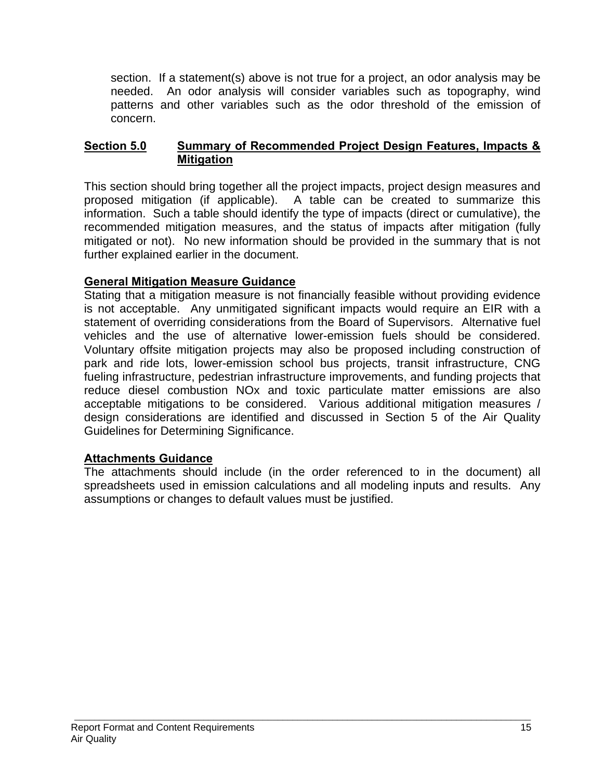section. If a statement(s) above is not true for a project, an odor analysis may be needed. An odor analysis will consider variables such as topography, wind patterns and other variables such as the odor threshold of the emission of concern.

### **Section 5.0 Summary of Recommended Project Design Features, Impacts & Mitigation**

This section should bring together all the project impacts, project design measures and proposed mitigation (if applicable). A table can be created to summarize this information. Such a table should identify the type of impacts (direct or cumulative), the recommended mitigation measures, and the status of impacts after mitigation (fully mitigated or not). No new information should be provided in the summary that is not further explained earlier in the document.

### **General Mitigation Measure Guidance**

Stating that a mitigation measure is not financially feasible without providing evidence is not acceptable. Any unmitigated significant impacts would require an EIR with a statement of overriding considerations from the Board of Supervisors. Alternative fuel vehicles and the use of alternative lower-emission fuels should be considered. Voluntary offsite mitigation projects may also be proposed including construction of park and ride lots, lower-emission school bus projects, transit infrastructure, CNG fueling infrastructure, pedestrian infrastructure improvements, and funding projects that reduce diesel combustion NOx and toxic particulate matter emissions are also acceptable mitigations to be considered. Various additional mitigation measures / design considerations are identified and discussed in Section 5 of the Air Quality Guidelines for Determining Significance.

### **Attachments Guidance**

The attachments should include (in the order referenced to in the document) all spreadsheets used in emission calculations and all modeling inputs and results. Any assumptions or changes to default values must be justified.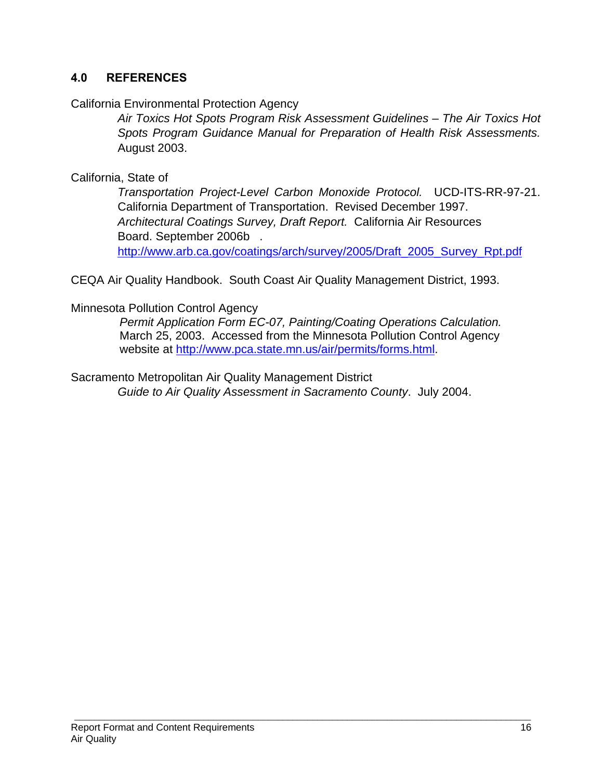### **4.0 REFERENCES**

### California Environmental Protection Agency

 *Air Toxics Hot Spots Program Risk Assessment Guidelines – The Air Toxics Hot Spots Program Guidance Manual for Preparation of Health Risk Assessments.* August 2003.

### California, State of

 *Transportation Project-Level Carbon Monoxide Protocol.* UCD-ITS-RR-97-21. California Department of Transportation. Revised December 1997.  *Architectural Coatings Survey, Draft Report.* California Air Resources Board. September 2006b . http://www.arb.ca.gov/coatings/arch/survey/2005/Draft\_2005\_Survey\_Rpt.pdf

CEQA Air Quality Handbook. South Coast Air Quality Management District, 1993.

Minnesota Pollution Control Agency

*Permit Application Form EC-07, Painting/Coating Operations Calculation.* March 25, 2003. Accessed from the Minnesota Pollution Control Agency website at http://www.pca.state.mn.us/air/permits/forms.html.

Sacramento Metropolitan Air Quality Management District *Guide to Air Quality Assessment in Sacramento County*. July 2004.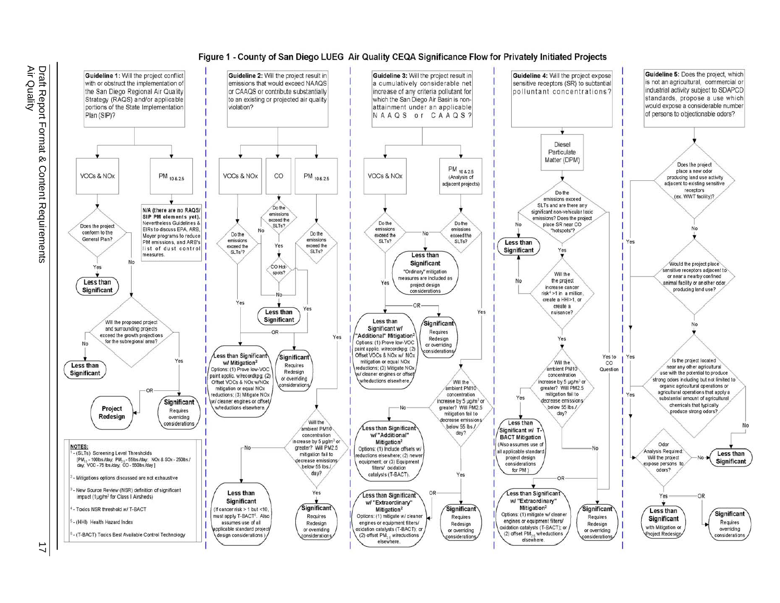#### Figure 1 - County of San Diego LUEG Air Quality CEQA Significance Flow for Privately Initiated Projects

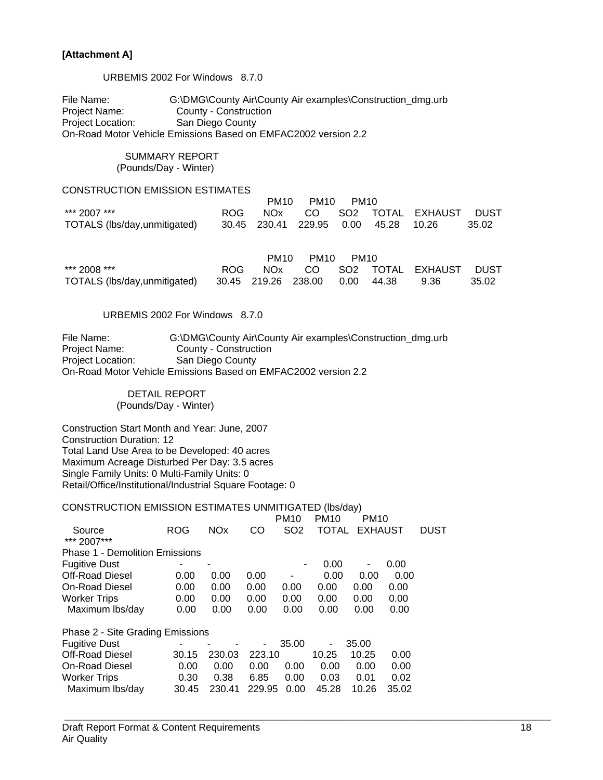#### **[Attachment A]**

URBEMIS 2002 For Windows 8.7.0

File Name: G:\DMG\County Air\County Air examples\Construction\_dmg.urb Project Name: County - Construction Project Location: San Diego County On-Road Motor Vehicle Emissions Based on EMFAC2002 version 2.2

#### SUMMARY REPORT (Pounds/Day - Winter)

#### CONSTRUCTION EMISSION ESTIMATES

|                                                                   |  | PM10 PM10 PM10 |  |                                   |       |
|-------------------------------------------------------------------|--|----------------|--|-----------------------------------|-------|
| *** 2007 ***                                                      |  |                |  | ROG NOx CO SO2 TOTAL EXHAUST DUST |       |
| TOTALS (lbs/day,unmitigated) 30.45 230.41 229.95 0.00 45.28 10.26 |  |                |  |                                   | 35.02 |

|                                                                  |  | PM10 PM10 PM10 |  |                                   |       |
|------------------------------------------------------------------|--|----------------|--|-----------------------------------|-------|
| *** 2008 ***                                                     |  |                |  | ROG NOx CO SO2 TOTAL EXHAUST DUST |       |
| TOTALS (lbs/day,unmitigated) 30.45 219.26 238.00 0.00 44.38 9.36 |  |                |  |                                   | 35.02 |

#### URBEMIS 2002 For Windows 8.7.0

File Name: G:\DMG\County Air\County Air examples\Construction\_dmg.urb Project Name: County - Construction Project Location: San Diego County On-Road Motor Vehicle Emissions Based on EMFAC2002 version 2.2

> DETAIL REPORT (Pounds/Day - Winter)

Construction Start Month and Year: June, 2007 Construction Duration: 12 Total Land Use Area to be Developed: 40 acres Maximum Acreage Disturbed Per Day: 3.5 acres Single Family Units: 0 Multi-Family Units: 0 Retail/Office/Institutional/Industrial Square Footage: 0

#### CONSTRUCTION EMISSION ESTIMATES UNMITIGATED (lbs/day)

|                                       |            |            |        | <b>PM10</b>     | <b>PM10</b> | <b>PM10</b>    |       |             |
|---------------------------------------|------------|------------|--------|-----------------|-------------|----------------|-------|-------------|
| Source                                | <b>ROG</b> | <b>NOx</b> | CO     | SO <sub>2</sub> | TOTAL       | <b>EXHAUST</b> |       | <b>DUST</b> |
| *** 2007***                           |            |            |        |                 |             |                |       |             |
| <b>Phase 1 - Demolition Emissions</b> |            |            |        |                 |             |                |       |             |
| <b>Fugitive Dust</b>                  |            | ۰          |        | ۰               | 0.00        | ٠              | 0.00  |             |
| Off-Road Diesel                       | 0.00       | 0.00       | 0.00   |                 | 0.00        | 0.00           | 0.00  |             |
| <b>On-Road Diesel</b>                 | 0.00       | 0.00       | 0.00   | 0.00            | 0.00        | 0.00           | 0.00  |             |
| <b>Worker Trips</b>                   | 0.00       | 0.00       | 0.00   | 0.00            | 0.00        | 0.00           | 0.00  |             |
| Maximum Ibs/day                       | 0.00       | 0.00       | 0.00   | 0.00            | 0.00        | 0.00           | 0.00  |             |
| Phase 2 - Site Grading Emissions      |            |            |        |                 |             |                |       |             |
| <b>Fugitive Dust</b>                  |            |            | -      | 35.00           | ۰           | 35.00          |       |             |
| <b>Off-Road Diesel</b>                | 30.15      | 230.03     | 223.10 |                 | 10.25       | 10.25          | 0.00  |             |
| On-Road Diesel                        | 0.00       | 0.00       | 0.00   | 0.00            | 0.00        | 0.00           | 0.00  |             |
| <b>Worker Trips</b>                   | 0.30       | 0.38       | 6.85   | 0.00            | 0.03        | 0.01           | 0.02  |             |
| Maximum Ibs/day                       | 30.45      | 230.41     | 229.95 | 0.00            | 45.28       | 10.26          | 35.02 |             |
|                                       |            |            |        |                 |             |                |       |             |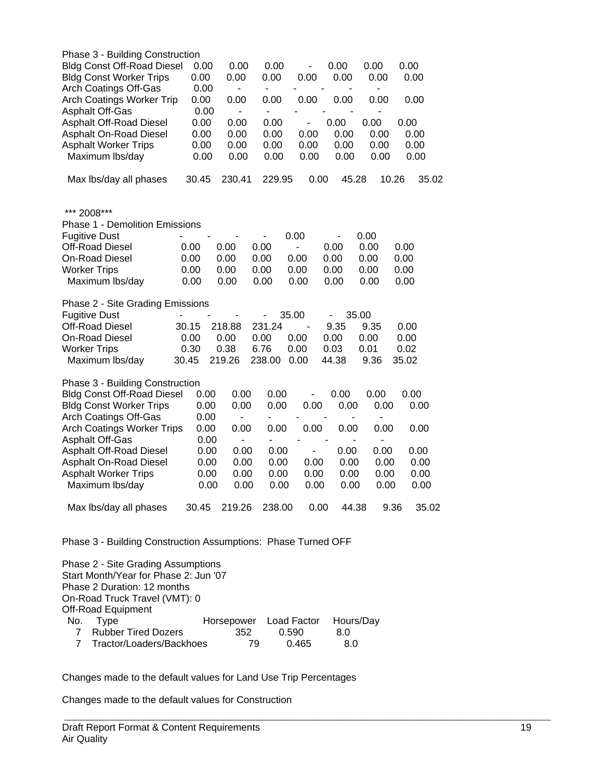| Phase 3 - Building Construction                               |       |                          |                          |               |                                                      |                              |               |
|---------------------------------------------------------------|-------|--------------------------|--------------------------|---------------|------------------------------------------------------|------------------------------|---------------|
| <b>Bldg Const Off-Road Diesel</b>                             | 0.00  | 0.00                     | 0.00                     | -             | 0.00                                                 | 0.00                         | 0.00          |
| <b>Bldg Const Worker Trips</b>                                | 0.00  | 0.00                     | 0.00                     | 0.00          | 0.00                                                 | 0.00                         | 0.00          |
| Arch Coatings Off-Gas                                         | 0.00  |                          | -                        |               |                                                      | $\qquad \qquad \blacksquare$ |               |
| <b>Arch Coatings Worker Trip</b>                              | 0.00  | 0.00                     | 0.00                     | 0.00          | 0.00                                                 | 0.00                         | 0.00          |
| <b>Asphalt Off-Gas</b>                                        | 0.00  | $\overline{\phantom{a}}$ | $\overline{\phantom{0}}$ |               |                                                      |                              |               |
| Asphalt Off-Road Diesel                                       | 0.00  | 0.00                     | 0.00                     |               | 0.00                                                 | 0.00                         | 0.00          |
| Asphalt On-Road Diesel                                        | 0.00  | 0.00                     | 0.00                     | 0.00          | 0.00                                                 | 0.00                         | 0.00          |
| <b>Asphalt Worker Trips</b>                                   | 0.00  | 0.00                     | 0.00                     | 0.00          | 0.00                                                 | 0.00                         | 0.00          |
| Maximum lbs/day                                               | 0.00  | 0.00                     | 0.00                     | 0.00          | 0.00                                                 | 0.00                         | 0.00          |
| Max lbs/day all phases                                        | 30.45 | 230.41                   | 229.95                   | 0.00          | 45.28                                                | 10.26                        | 35.02         |
| *** 2008***                                                   |       |                          |                          |               |                                                      |                              |               |
| <b>Phase 1 - Demolition Emissions</b>                         |       |                          |                          |               |                                                      |                              |               |
| <b>Fugitive Dust</b>                                          |       |                          |                          | 0.00          |                                                      | 0.00                         |               |
| Off-Road Diesel                                               | 0.00  | 0.00                     | 0.00                     | $\frac{1}{2}$ | ۰<br>0.00                                            | 0.00                         | 0.00          |
| On-Road Diesel                                                | 0.00  | 0.00                     | 0.00                     | 0.00          | 0.00                                                 | 0.00                         | 0.00          |
| <b>Worker Trips</b>                                           | 0.00  | 0.00                     | 0.00                     | 0.00          | 0.00                                                 | 0.00                         | 0.00          |
| Maximum lbs/day                                               | 0.00  | 0.00                     | 0.00                     | 0.00          | 0.00                                                 | 0.00                         | 0.00          |
|                                                               |       |                          |                          |               |                                                      |                              |               |
| Phase 2 - Site Grading Emissions                              |       |                          |                          |               |                                                      |                              |               |
| <b>Fugitive Dust</b>                                          |       |                          |                          | 35.00         | -                                                    | 35.00                        |               |
| Off-Road Diesel                                               | 30.15 | 218.88                   | 231.24                   |               | 9.35                                                 | 9.35                         | 0.00          |
| <b>On-Road Diesel</b>                                         | 0.00  | 0.00                     | 0.00                     | 0.00          | 0.00                                                 | 0.00                         | 0.00          |
| <b>Worker Trips</b>                                           | 0.30  | 0.38                     | 6.76                     | 0.00          | 0.03                                                 | 0.01                         | 0.02          |
| Maximum lbs/day                                               | 30.45 | 219.26                   | 238.00                   | 0.00          | 44.38                                                | 9.36                         | 35.02         |
| Phase 3 - Building Construction                               |       |                          |                          |               |                                                      |                              |               |
| <b>Bldg Const Off-Road Diesel</b>                             | 0.00  | 0.00                     | 0.00                     |               | 0.00                                                 | 0.00                         | 0.00          |
| <b>Bldg Const Worker Trips</b>                                | 0.00  | 0.00                     | 0.00                     | 0.00          | 0.00                                                 | 0.00                         | 0.00          |
| Arch Coatings Off-Gas                                         | 0.00  | -                        | ۰                        |               | $\overline{\phantom{a}}$<br>-                        | -                            |               |
| <b>Arch Coatings Worker Trips</b>                             | 0.00  | 0.00                     | 0.00                     | 0.00          | 0.00                                                 | 0.00                         | 0.00          |
| Asphalt Off-Gas                                               | 0.00  | -                        | -                        |               | $\overline{\phantom{0}}$<br>$\overline{\phantom{a}}$ | $\qquad \qquad \blacksquare$ |               |
| Asphalt Off-Road Diesel                                       | 0.00  | 0.00                     | 0.00                     | ۰             | 0.00                                                 | 0.00                         | 0.00          |
| Asphalt On-Road Diesel                                        | 0.00  | 0.00                     | 0.00                     | 0.00          | 0.00                                                 | 0.00                         | 0.00          |
| <b>Asphalt Worker Trips</b>                                   | 0.00  | 0.00                     | 0.00                     | 0.00          | 0.00                                                 | 0.00                         | 0.00          |
| Maximum Ibs/day                                               | 0.00  | 0.00                     | 0.00                     | 0.00          | 0.00                                                 | 0.00                         | 0.00          |
| Max lbs/day all phases                                        | 30.45 | 219.26                   | 238.00                   | 0.00          | 44.38                                                |                              | 9.36<br>35.02 |
| Phase 3 - Building Construction Assumptions: Phase Turned OFF |       |                          |                          |               |                                                      |                              |               |
| Phase 2 - Site Grading Assumptions                            |       |                          |                          |               |                                                      |                              |               |

Start Month/Year for Phase 2: Jun '07 Phase 2 Duration: 12 months On-Road Truck Travel (VMT): 0 Off-Road Equipment<br>No. Type Horsepower Load Factor Hours/Day 7 Rubber Tired Dozers 352 0.590 8.0<br>7 Tractor/Loaders/Backhoes 79 0.465 8.0 7 Tractor/Loaders/Backhoes

Changes made to the default values for Land Use Trip Percentages

 $\_$  , and the set of the set of the set of the set of the set of the set of the set of the set of the set of the set of the set of the set of the set of the set of the set of the set of the set of the set of the set of th

Changes made to the default values for Construction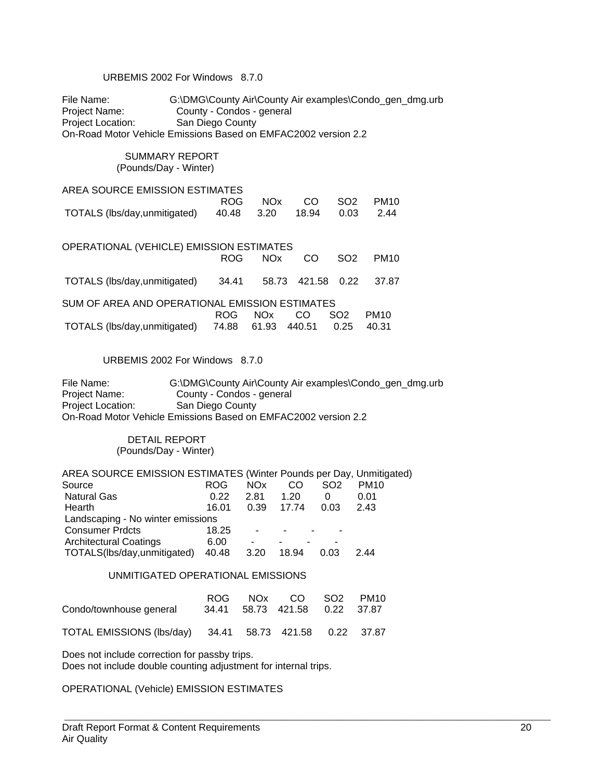#### URBEMIS 2002 For Windows 8.7.0

File Name: G:\DMG\County Air\County Air examples\Condo\_gen\_dmg.urb Project Name: County - Condos - general Project Location: San Diego County On-Road Motor Vehicle Emissions Based on EMFAC2002 version 2.2

#### SUMMARY REPORT (Pounds/Day - Winter)

| AREA SOURCE EMISSION ESTIMATES                          |  |                     |  |
|---------------------------------------------------------|--|---------------------|--|
|                                                         |  | ROG NOx CO SO2 PM10 |  |
| TOTALS (lbs/day,unmitigated) 40.48 3.20 18.94 0.03 2.44 |  |                     |  |

OPERATIONAL (VEHICLE) EMISSION ESTIMATES ROG NOx CO SO2 PM10 TOTALS (lbs/day,unmitigated) 34.41 58.73 421.58 0.22 37.87

SUM OF AREA AND OPERATIONAL EMISSION ESTIMATES ROG NOx CO SO2 PM10 TOTALS (lbs/day,unmitigated) 74.88 61.93 440.51 0.25 40.31

#### URBEMIS 2002 For Windows 8.7.0

File Name: G:\DMG\County Air\County Air examples\Condo\_gen\_dmg.urb Project Name: County - Condos - general Project Location: San Diego County On-Road Motor Vehicle Emissions Based on EMFAC2002 version 2.2

> DETAIL REPORT (Pounds/Day - Winter)

AREA SOURCE EMISSION ESTIMATES (Winter Pounds per Day, Unmitigated)<br>Source 6 ROG NOx CO SO2 PM10 Source **ROG NOx CO SO2 PM10**  Natural Gas 0.22 2.81 1.20 0 0.01 Hearth 16.01 0.39 17.74 0.03 2.43 Landscaping - No winter emissions Consumer Prdcts 18.25 Architectural Coatings<br>TOTALS(lbs/day,unmitigated) 40.48 3.20 18.94 0.03 TOTALS(lbs/day,unmitigated) 40.48 3.20 18.94 0.03 2.44

#### UNMITIGATED OPERATIONAL EMISSIONS

| Condo/townhouse general                                 |  | ROG NOx CO SO2 PM10<br>34.41 58.73 421.58 0.22 37.87 |  |
|---------------------------------------------------------|--|------------------------------------------------------|--|
| TOTAL EMISSIONS (lbs/day) 34.41 58.73 421.58 0.22 37.87 |  |                                                      |  |

Does not include correction for passby trips. Does not include double counting adjustment for internal trips.

OPERATIONAL (Vehicle) EMISSION ESTIMATES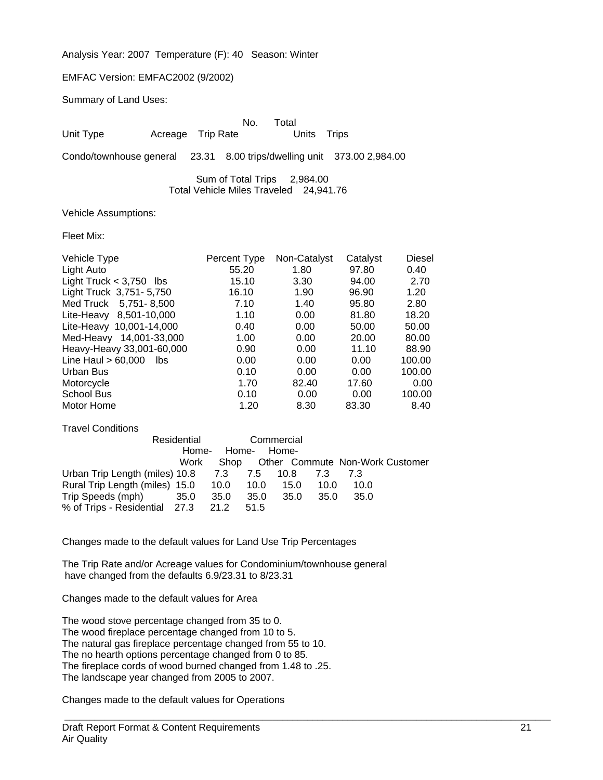Analysis Year: 2007 Temperature (F): 40 Season: Winter

#### EMFAC Version: EMFAC2002 (9/2002)

Summary of Land Uses:

|           |                   | No. Total |             |  |
|-----------|-------------------|-----------|-------------|--|
| Unit Type | Acreage Trip Rate |           | Units Trips |  |
|           |                   |           |             |  |

Condo/townhouse general 23.31 8.00 trips/dwelling unit 373.00 2,984.00

 Sum of Total Trips 2,984.00 Total Vehicle Miles Traveled 24,941.76

Vehicle Assumptions:

Fleet Mix:

| Vehicle Type                 | Percent Type | Non-Catalyst | Catalyst | <b>Diesel</b> |
|------------------------------|--------------|--------------|----------|---------------|
| Light Auto                   | 55.20        | 1.80         | 97.80    | 0.40          |
| Light Truck $<$ 3,750 lbs    | 15.10        | 3.30         | 94.00    | 2.70          |
| Light Truck 3,751-5,750      | 16.10        | 1.90         | 96.90    | 1.20          |
| Med Truck 5,751-8,500        | 7.10         | 1.40         | 95.80    | 2.80          |
| Lite-Heavy 8,501-10,000      | 1.10         | 0.00         | 81.80    | 18.20         |
| Lite-Heavy 10,001-14,000     | 0.40         | 0.00         | 50.00    | 50.00         |
| Med-Heavy 14,001-33,000      | 1.00         | 0.00         | 20.00    | 80.00         |
| Heavy-Heavy 33,001-60,000    | 0.90         | 0.00         | 11.10    | 88.90         |
| Line Haul $> 60,000$<br>lbs. | 0.00         | 0.00         | 0.00     | 100.00        |
| Urban Bus                    | 0.10         | 0.00         | 0.00     | 100.00        |
| Motorcycle                   | 1.70         | 82.40        | 17.60    | 0.00          |
| <b>School Bus</b>            | 0.10         | 0.00         | 0.00     | 100.00        |
| Motor Home                   | 1.20         | 8.30         | 83.30    | 8.40          |
|                              |              |              |          |               |

| <b>Travel Conditions</b>           |             |      |             |            |      |                                      |  |
|------------------------------------|-------------|------|-------------|------------|------|--------------------------------------|--|
|                                    | Residential |      |             | Commercial |      |                                      |  |
|                                    | Home-       |      | Home- Home- |            |      |                                      |  |
|                                    | Work        |      |             |            |      | Shop Other Commute Non-Work Customer |  |
| Urban Trip Length (miles) 10.8 7.3 |             |      | 7.5         | 10.8 7.3   |      | 7.3                                  |  |
| Rural Trip Length (miles) 15.0     |             | 10.0 | - 10.0      | 15.0       | 10.0 | 10.0                                 |  |
| Trip Speeds (mph)                  | - 35.0      | 35.0 | 35.0        | 35.0       | 35.0 | 35.0                                 |  |
| % of Trips - Residential 27.3      |             | 21.2 | 51.5        |            |      |                                      |  |

Changes made to the default values for Land Use Trip Percentages

The Trip Rate and/or Acreage values for Condominium/townhouse general have changed from the defaults 6.9/23.31 to 8/23.31

Changes made to the default values for Area

The wood stove percentage changed from 35 to 0. The wood fireplace percentage changed from 10 to 5. The natural gas fireplace percentage changed from 55 to 10. The no hearth options percentage changed from 0 to 85. The fireplace cords of wood burned changed from 1.48 to .25. The landscape year changed from 2005 to 2007.

Changes made to the default values for Operations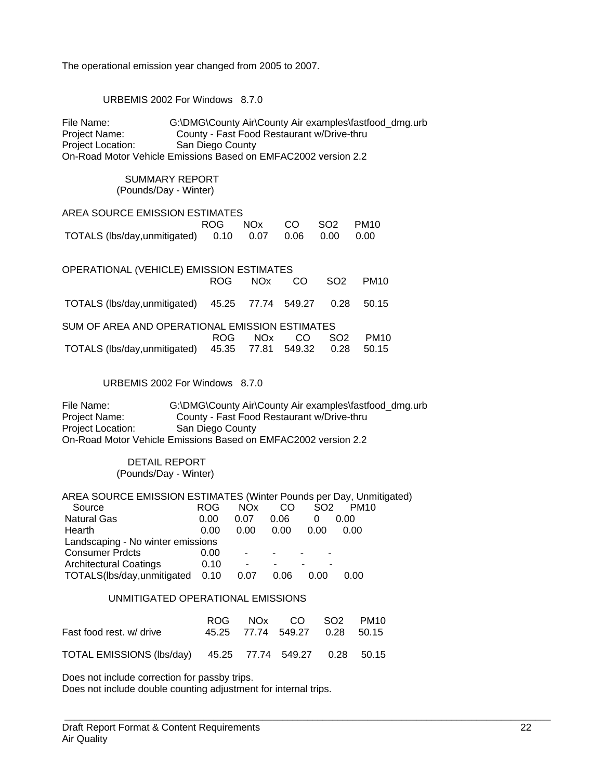The operational emission year changed from 2005 to 2007.

URBEMIS 2002 For Windows 8.7.0

| SUMMARY REPORT<br>(Pounds/Day - Winter)                                                                                                                                                                                                                                                                                                                                                                                                                          |  |  |  |  |  |  |  |  |
|------------------------------------------------------------------------------------------------------------------------------------------------------------------------------------------------------------------------------------------------------------------------------------------------------------------------------------------------------------------------------------------------------------------------------------------------------------------|--|--|--|--|--|--|--|--|
|                                                                                                                                                                                                                                                                                                                                                                                                                                                                  |  |  |  |  |  |  |  |  |
| AREA SOURCE EMISSION ESTIMATES<br><b>ROG</b><br><b>NO<sub>x</sub></b><br>CO<br>SO <sub>2</sub><br><b>PM10</b>                                                                                                                                                                                                                                                                                                                                                    |  |  |  |  |  |  |  |  |
| TOTALS (lbs/day,unmitigated)<br>0.10<br>0.06<br>0.00<br>0.07<br>0.00                                                                                                                                                                                                                                                                                                                                                                                             |  |  |  |  |  |  |  |  |
| OPERATIONAL (VEHICLE) EMISSION ESTIMATES<br><b>ROG</b><br><b>NOx</b><br>SO <sub>2</sub><br>CO<br>PM <sub>10</sub>                                                                                                                                                                                                                                                                                                                                                |  |  |  |  |  |  |  |  |
| TOTALS (lbs/day,unmitigated)<br>45.25<br>549.27<br>0.28<br>50.15<br>77.74                                                                                                                                                                                                                                                                                                                                                                                        |  |  |  |  |  |  |  |  |
| SUM OF AREA AND OPERATIONAL EMISSION ESTIMATES                                                                                                                                                                                                                                                                                                                                                                                                                   |  |  |  |  |  |  |  |  |
| <b>ROG</b><br><b>NO<sub>x</sub></b><br>SO <sub>2</sub><br>CO<br><b>PM10</b><br>45.35<br>TOTALS (lbs/day,unmitigated)<br>77.81<br>549.32<br>0.28<br>50.15                                                                                                                                                                                                                                                                                                         |  |  |  |  |  |  |  |  |
| URBEMIS 2002 For Windows 8.7.0                                                                                                                                                                                                                                                                                                                                                                                                                                   |  |  |  |  |  |  |  |  |
| File Name:<br>G:\DMG\County Air\County Air examples\fastfood_dmg.urb<br>County - Fast Food Restaurant w/Drive-thru<br>Project Name:<br>San Diego County<br>Project Location:<br>On-Road Motor Vehicle Emissions Based on EMFAC2002 version 2.2                                                                                                                                                                                                                   |  |  |  |  |  |  |  |  |
| <b>DETAIL REPORT</b><br>(Pounds/Day - Winter)                                                                                                                                                                                                                                                                                                                                                                                                                    |  |  |  |  |  |  |  |  |
| AREA SOURCE EMISSION ESTIMATES (Winter Pounds per Day, Unmitigated)<br><b>NO<sub>x</sub></b><br><b>PM10</b><br>Source<br><b>ROG</b><br>CO.<br>SO <sub>2</sub><br><b>Natural Gas</b><br>0.00<br>0.07<br>0.06<br>0.00<br>0<br>0.00<br>0.00<br>0.00<br>0.00<br>0.00<br>Hearth<br>Landscaping - No winter emissions<br><b>Consumer Prdcts</b><br>0.00<br><b>Architectural Coatings</b><br>0.10<br>TOTALS(lbs/day,unmitigated<br>0.06<br>0.00<br>0.10<br>0.07<br>0.00 |  |  |  |  |  |  |  |  |
| UNMITIGATED OPERATIONAL EMISSIONS                                                                                                                                                                                                                                                                                                                                                                                                                                |  |  |  |  |  |  |  |  |

|                                                         |  | ROG NOx CO SO2 PM10           |  |
|---------------------------------------------------------|--|-------------------------------|--|
| Fast food rest, w/ drive                                |  | 45.25 77.74 549.27 0.28 50.15 |  |
| TOTAL EMISSIONS (Ibs/day) 45.25 77.74 549.27 0.28 50.15 |  |                               |  |

Does not include correction for passby trips.

Does not include double counting adjustment for internal trips.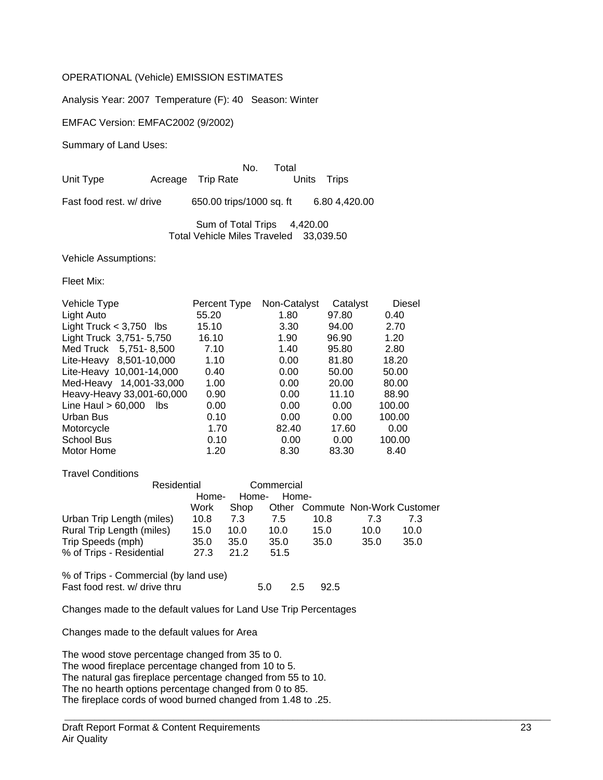#### OPERATIONAL (Vehicle) EMISSION ESTIMATES

Analysis Year: 2007 Temperature (F): 40 Season: Winter

EMFAC Version: EMFAC2002 (9/2002)

Summary of Land Uses:

No. Total<br>Units Trips Unit Type **Acreage** Trip Rate

Fast food rest. w/ drive 650.00 trips/1000 sq. ft 6.80 4,420.00

Sum of Total Trips 4,420.00 Total Vehicle Miles Traveled 33,039.50

Vehicle Assumptions:

Fleet Mix:

| Percent Type | Non-Catalyst | Catalyst | Diesel |
|--------------|--------------|----------|--------|
| 55.20        | 1.80         | 97.80    | 0.40   |
| 15.10        | 3.30         | 94.00    | 2.70   |
| 16.10        | 1.90         | 96.90    | 1.20   |
| 7.10         | 1.40         | 95.80    | 2.80   |
| 1.10         | 0.00         | 81.80    | 18.20  |
| 0.40         | 0.00         | 50.00    | 50.00  |
| 1.00         | 0.00         | 20.00    | 80.00  |
| 0.90         | 0.00         | 11.10    | 88.90  |
| 0.00         | 0.00         | 0.00     | 100.00 |
| 0.10         | 0.00         | 0.00     | 100.00 |
| 1.70         | 82.40        | 17.60    | 0.00   |
| 0.10         | 0.00         | 0.00     | 100.00 |
| 1.20         | 8.30         | 83.30    | 8.40   |
|              |              |          |        |

Travel Conditions

|                           | Residential |       | Commercial |                                 |      |      |
|---------------------------|-------------|-------|------------|---------------------------------|------|------|
|                           | Home-       | Home- | Home-      |                                 |      |      |
|                           | Work        | Shop  |            | Other Commute Non-Work Customer |      |      |
| Urban Trip Length (miles) | 10.8        | 7.3   | 7.5        | 10.8                            | 7.3  | 7.3  |
| Rural Trip Length (miles) | 15.0        | 10.0  | 10.0       | 15.0                            | 10.0 | 10.0 |
| Trip Speeds (mph)         | 35.0        | 35.0  | 35.0       | 35.0                            | 35.0 | 35.0 |
| % of Trips - Residential  | 27.3        | 21.2  | 51.5       |                                 |      |      |

% of Trips - Commercial (by land use)

Fast food rest. w/ drive thru  $\overline{5.0}$  2.5 92.5

 $\_$  , and the set of the set of the set of the set of the set of the set of the set of the set of the set of the set of the set of the set of the set of the set of the set of the set of the set of the set of the set of th

Changes made to the default values for Land Use Trip Percentages

Changes made to the default values for Area

The wood stove percentage changed from 35 to 0. The wood fireplace percentage changed from 10 to 5. The natural gas fireplace percentage changed from 55 to 10. The no hearth options percentage changed from 0 to 85. The fireplace cords of wood burned changed from 1.48 to .25.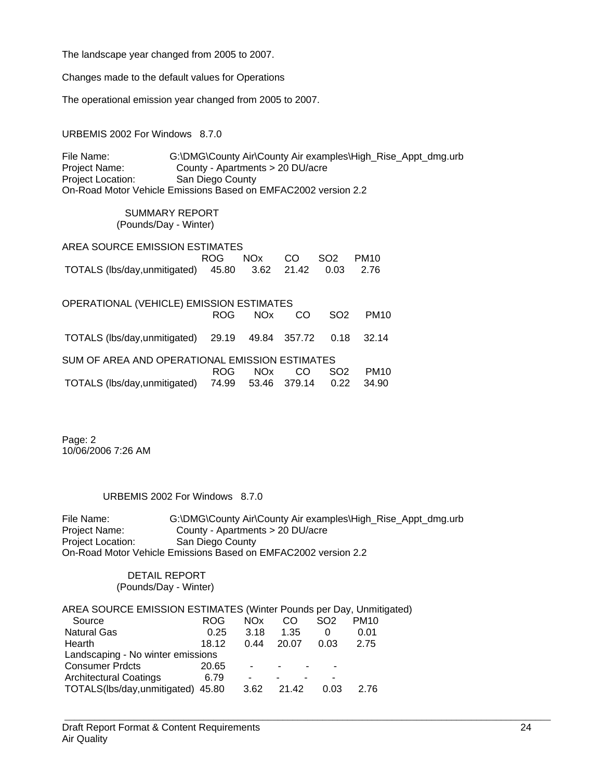The landscape year changed from 2005 to 2007.

Changes made to the default values for Operations

The operational emission year changed from 2005 to 2007.

URBEMIS 2002 For Windows 8.7.0

File Name: G:\DMG\County Air\County Air examples\High\_Rise\_Appt\_dmg.urb<br>Project Name: County - Apartments > 20 DU/acre County - Apartments > 20 DU/acre<br>San Diego County Project Location: On-Road Motor Vehicle Emissions Based on EMFAC2002 version 2.2

> SUMMARY REPORT (Pounds/Day - Winter)

| AREA SOURCE EMISSION ESTIMATES                          |                     |  |  |
|---------------------------------------------------------|---------------------|--|--|
|                                                         | ROG NOx CO SO2 PM10 |  |  |
| TOTALS (lbs/day,unmitigated) 45.80 3.62 21.42 0.03 2.76 |                     |  |  |

| OPERATIONAL (VEHICLE) EMISSION ESTIMATES                   |      |      |     |                 |                  |  |  |  |
|------------------------------------------------------------|------|------|-----|-----------------|------------------|--|--|--|
|                                                            | ROG. | NOx  | CO. | SO <sub>2</sub> | PM <sub>10</sub> |  |  |  |
| TOTALS (lbs/day,unmitigated) 29.19 49.84 357.72 0.18 32.14 |      |      |     |                 |                  |  |  |  |
| SUM OF AREA AND OPERATIONAL EMISSION ESTIMATES             |      |      |     |                 |                  |  |  |  |
|                                                            | ROG  | NOx. | CO. | SO <sub>2</sub> | PM <sub>10</sub> |  |  |  |
| TOTALS (lbs/day,unmitigated) 74.99 53.46 379.14 0.22       |      |      |     |                 | 34.90            |  |  |  |

Page: 2 10/06/2006 7:26 AM

URBEMIS 2002 For Windows 8.7.0

File Name: G:\DMG\County Air\County Air examples\High\_Rise\_Appt\_dmg.urb Project Name: County - Apartments > 20 DU/acre<br>Project Location: San Diego County San Diego County On-Road Motor Vehicle Emissions Based on EMFAC2002 version 2.2

> DETAIL REPORT (Pounds/Day - Winter)

| AREA SOURCE EMISSION ESTIMATES (Winter Pounds per Day, Unmitigated) |       |                 |       |                 |             |
|---------------------------------------------------------------------|-------|-----------------|-------|-----------------|-------------|
| Source                                                              | ROG.  | NO <sub>x</sub> | CO    | SO <sub>2</sub> | <b>PM10</b> |
| <b>Natural Gas</b>                                                  | 0.25  | 3.18            | 1.35  | 0               | 0.01        |
| Hearth                                                              | 18.12 | 0.44            | 20.07 | 0.03            | 2.75        |
| Landscaping - No winter emissions                                   |       |                 |       |                 |             |
| <b>Consumer Prdcts</b>                                              | 20.65 | ٠               |       |                 |             |
| <b>Architectural Coatings</b>                                       | 6.79  |                 |       |                 |             |
| TOTALS(lbs/day,unmitigated) 45.80                                   |       | 3.62            | 21.42 | 0.03            | 2.76        |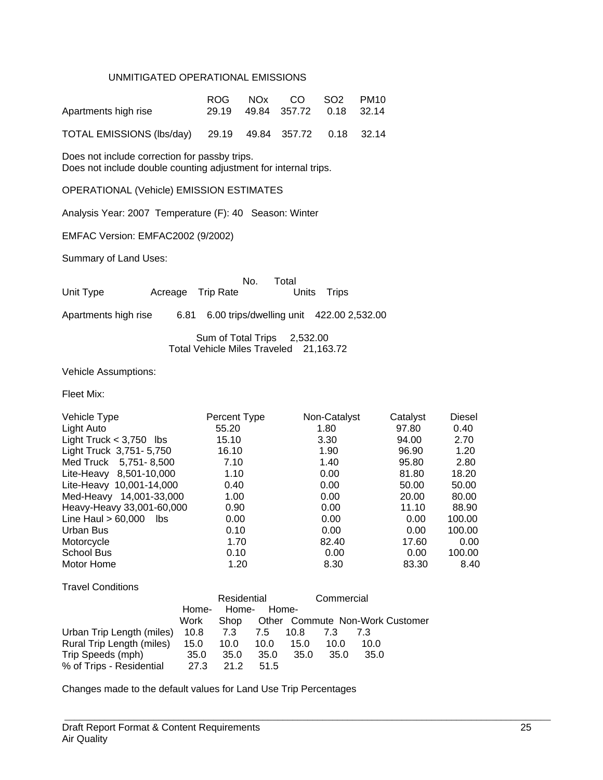#### UNMITIGATED OPERATIONAL EMISSIONS

| Apartments high rise                                    |  | ROG NOx CO SO2 PM10<br>29.19 49.84 357.72 0.18 32.14 |  |
|---------------------------------------------------------|--|------------------------------------------------------|--|
| TOTAL EMISSIONS (Ibs/day) 29.19 49.84 357.72 0.18 32.14 |  |                                                      |  |

Does not include correction for passby trips. Does not include double counting adjustment for internal trips.

OPERATIONAL (Vehicle) EMISSION ESTIMATES

Analysis Year: 2007 Temperature (F): 40 Season: Winter

EMFAC Version: EMFAC2002 (9/2002)

Summary of Land Uses:

|           |                   | No. Total |             |
|-----------|-------------------|-----------|-------------|
| Unit Type | Acreage Trip Rate |           | Units Trips |

Apartments high rise 6.81 6.00 trips/dwelling unit 422.00 2,532.00

 Sum of Total Trips 2,532.00 Total Vehicle Miles Traveled 21,163.72

Vehicle Assumptions:

Fleet Mix:

| Vehicle Type                 | Percent Type | Non-Catalyst | Catalyst | <b>Diesel</b> |
|------------------------------|--------------|--------------|----------|---------------|
| Light Auto                   | 55.20        | 1.80         | 97.80    | 0.40          |
| Light Truck $<$ 3,750 lbs    | 15.10        | 3.30         | 94.00    | 2.70          |
| Light Truck 3,751-5,750      | 16.10        | 1.90         | 96.90    | 1.20          |
| Med Truck 5,751-8,500        | 7.10         | 1.40         | 95.80    | 2.80          |
| Lite-Heavy 8,501-10,000      | 1.10         | 0.00         | 81.80    | 18.20         |
| Lite-Heavy 10,001-14,000     | 0.40         | 0.00         | 50.00    | 50.00         |
| Med-Heavy 14,001-33,000      | 1.00         | 0.00         | 20.00    | 80.00         |
| Heavy-Heavy 33,001-60,000    | 0.90         | 0.00         | 11.10    | 88.90         |
| Line Haul $> 60,000$<br>lbs. | 0.00         | 0.00         | 0.00     | 100.00        |
| Urban Bus                    | 0.10         | 0.00         | 0.00     | 100.00        |
| Motorcycle                   | 1.70         | 82.40        | 17.60    | 0.00          |
| School Bus                   | 0.10         | 0.00         | 0.00     | 100.00        |
| Motor Home                   | 1.20         | 8.30         | 83.30    | 8.40          |

| <b>Travel Conditions</b> |  |
|--------------------------|--|
|                          |  |

|                           |       | Residential |          |      | Commercial |      |                                 |
|---------------------------|-------|-------------|----------|------|------------|------|---------------------------------|
|                           | Home- | Home-       | Home-    |      |            |      |                                 |
|                           | Work  | Shop        |          |      |            |      | Other Commute Non-Work Customer |
| Urban Trip Length (miles) | 10.8  | 7.3         | 7.5 10.8 |      | 7.3        |      |                                 |
| Rural Trip Length (miles) | 15.0  | 10.0        | 10.0     | 15.0 | 10.0       | 10.0 |                                 |
| Trip Speeds (mph)         | 35.0  | 35.0        | 35.0     | 35.0 | 35.0       | 35.0 |                                 |
| % of Trips - Residential  | 27.3  | 21.2        | 51.5     |      |            |      |                                 |

 $\_$  , and the set of the set of the set of the set of the set of the set of the set of the set of the set of the set of the set of the set of the set of the set of the set of the set of the set of the set of the set of th

Changes made to the default values for Land Use Trip Percentages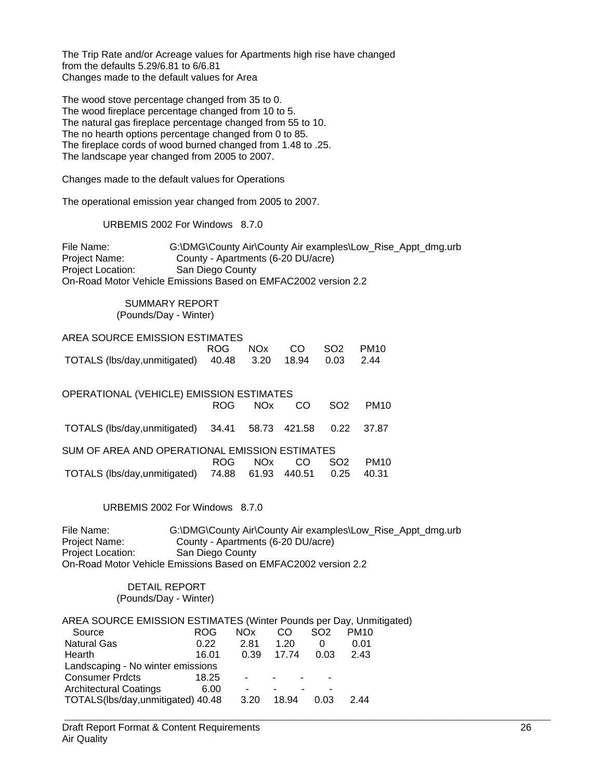The Trip Rate and/or Acreage values for Apartments high rise have changed from the defaults 5.29/6.81 to 6/6.81 Changes made to the default values for Area

The wood stove percentage changed from 35 to 0. The wood fireplace percentage changed from 10 to 5. The natural gas fireplace percentage changed from 55 to 10. The no hearth options percentage changed from 0 to 85. The fireplace cords of wood burned changed from 1.48 to .25. The landscape year changed from 2005 to 2007.

Changes made to the default values for Operations

The operational emission year changed from 2005 to 2007.

URBEMIS 2002 For Windows 8.7.0

File Name: G:\DMG\County Air\County Air examples\Low\_Rise\_Appt\_dmg.urb Project Name: County - Apartments (6-20 DU/acre) Project Location: San Diego County On-Road Motor Vehicle Emissions Based on EMFAC2002 version 2.2

#### SUMMARY REPORT (Pounds/Day - Winter)

|                                                         |  | ROG NOx CO SO2 PM10 |  |
|---------------------------------------------------------|--|---------------------|--|
| TOTALS (lbs/day,unmitigated) 40.48 3.20 18.94 0.03 2.44 |  |                     |  |

| OPERATIONAL (VEHICLE) EMISSION ESTIMATES                   |      |            |     |                 |                  |  |  |  |
|------------------------------------------------------------|------|------------|-----|-----------------|------------------|--|--|--|
|                                                            |      | ROG NOx CO |     | SO <sub>2</sub> | PM <sub>10</sub> |  |  |  |
| TOTALS (lbs/day,unmitigated) 34.41 58.73 421.58 0.22 37.87 |      |            |     |                 |                  |  |  |  |
| SUM OF AREA AND OPERATIONAL EMISSION ESTIMATES             |      |            |     |                 |                  |  |  |  |
|                                                            | ROG. | NOx 1      | CO. | SO <sub>2</sub> | <b>PM10</b>      |  |  |  |
| TOTALS (lbs/day,unmitigated) 74.88 61.93 440.51 0.25       |      |            |     |                 | 40.31            |  |  |  |

URBEMIS 2002 For Windows 8.7.0

File Name: G:\DMG\County Air\County Air examples\Low\_Rise\_Appt\_dmg.urb Project Name: County - Apartments (6-20 DU/acre)<br>Project Location: San Diego County San Diego County On-Road Motor Vehicle Emissions Based on EMFAC2002 version 2.2

 $\_$  , and the set of the set of the set of the set of the set of the set of the set of the set of the set of the set of the set of the set of the set of the set of the set of the set of the set of the set of the set of th

 DETAIL REPORT (Pounds/Day - Winter)

| AREA SOURCE EMISSION ESTIMATES (Winter Pounds per Day, Unmitigated) |            |            |       |                 |             |
|---------------------------------------------------------------------|------------|------------|-------|-----------------|-------------|
| Source                                                              | <b>ROG</b> | <b>NOx</b> | CO.   | SO <sub>2</sub> | <b>PM10</b> |
| <b>Natural Gas</b>                                                  | 0.22       | 2.81       | 1.20  | $\Omega$        | 0.01        |
| Hearth                                                              | 16.01      | 0.39       | 17.74 | 0.03            | 2.43        |
| Landscaping - No winter emissions                                   |            |            |       |                 |             |
| <b>Consumer Prdcts</b>                                              | 18.25      |            |       |                 |             |
| <b>Architectural Coatings</b>                                       | 6.00       |            |       |                 |             |
| TOTALS(lbs/day,unmitigated) 40.48                                   |            | 3.20       | 18.94 | 0.03            | 2 44        |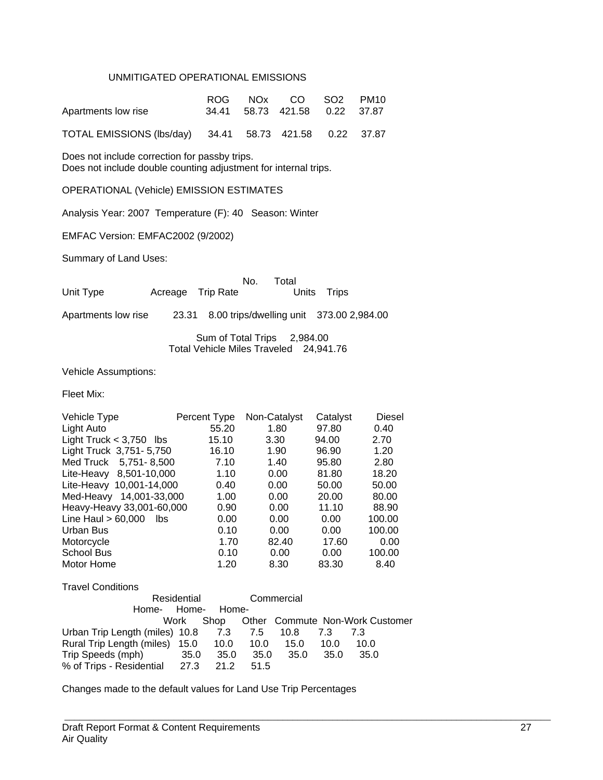#### UNMITIGATED OPERATIONAL EMISSIONS

| Apartments low rise                                     |  | ROG NOx CO SO2 PM10<br>34.41 58.73 421.58 0.22 37.87 |  |
|---------------------------------------------------------|--|------------------------------------------------------|--|
| TOTAL EMISSIONS (lbs/day) 34.41 58.73 421.58 0.22 37.87 |  |                                                      |  |

Does not include correction for passby trips. Does not include double counting adjustment for internal trips.

OPERATIONAL (Vehicle) EMISSION ESTIMATES

Analysis Year: 2007 Temperature (F): 40 Season: Winter

EMFAC Version: EMFAC2002 (9/2002)

Summary of Land Uses:

|           |                   | No. Total   |  |
|-----------|-------------------|-------------|--|
| Unit Type | Acreage Trip Rate | Units Trips |  |

Apartments low rise 23.31 8.00 trips/dwelling unit 373.00 2,984.00

 Sum of Total Trips 2,984.00 Total Vehicle Miles Traveled 24,941.76

Vehicle Assumptions:

Travel Conditions

Fleet Mix:

| Vehicle Type                | Percent Type | Non-Catalyst | Catalyst | <b>Diesel</b> |
|-----------------------------|--------------|--------------|----------|---------------|
| Light Auto                  | 55.20        | 1.80         | 97.80    | 0.40          |
| Light Truck $<$ 3,750 lbs   | 15.10        | 3.30         | 94.00    | 2.70          |
| Light Truck 3,751-5,750     | 16.10        | 1.90         | 96.90    | 1.20          |
| Med Truck 5,751-8,500       | 7.10         | 1.40         | 95.80    | 2.80          |
| Lite-Heavy 8,501-10,000     | 1.10         | 0.00         | 81.80    | 18.20         |
| Lite-Heavy 10,001-14,000    | 0.40         | 0.00         | 50.00    | 50.00         |
| 14,001-33,000<br>Med-Heavy  | 1.00         | 0.00         | 20.00    | 80.00         |
| Heavy-Heavy 33,001-60,000   | 0.90         | 0.00         | 11.10    | 88.90         |
| Line Haul $> 60,000$<br>lbs | 0.00         | 0.00         | 0.00     | 100.00        |
| Urban Bus                   | 0.10         | 0.00         | 0.00     | 100.00        |
| Motorcycle                  | 1.70         | 82.40        | 17.60    | 0.00          |
| <b>School Bus</b>           | 0.10         | 0.00         | 0.00     | 100.00        |
| Motor Home                  | 1.20         | 8.30         | 83.30    | 8.40          |

| Residential                            |      | Commercial |      |          |      |                                      |  |  |
|----------------------------------------|------|------------|------|----------|------|--------------------------------------|--|--|
| Home-<br>Home-<br>Home-                |      |            |      |          |      |                                      |  |  |
|                                        | Work |            |      |          |      | Shop Other Commute Non-Work Customer |  |  |
| Urban Trip Length (miles) 10.8 7.3 7.5 |      |            |      | 10.8 7.3 |      | 73                                   |  |  |
| Rural Trip Length (miles) 15.0 10.0    |      |            | 10.0 | 15.0     | 10.0 | 10.0                                 |  |  |
| Trip Speeds (mph)                      | 35.0 | 35.0       | 35.0 | 35.0     | 35.0 | 35.0                                 |  |  |
| % of Trips - Residential 27.3          |      | 21.2       | 51.5 |          |      |                                      |  |  |

 $\_$  , and the set of the set of the set of the set of the set of the set of the set of the set of the set of the set of the set of the set of the set of the set of the set of the set of the set of the set of the set of th

Changes made to the default values for Land Use Trip Percentages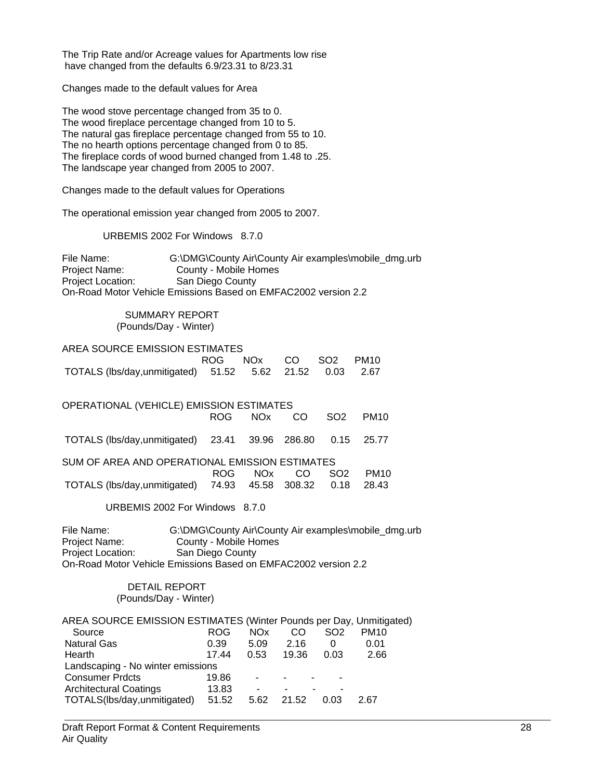The Trip Rate and/or Acreage values for Apartments low rise have changed from the defaults 6.9/23.31 to 8/23.31

Changes made to the default values for Area

The wood stove percentage changed from 35 to 0. The wood fireplace percentage changed from 10 to 5. The natural gas fireplace percentage changed from 55 to 10. The no hearth options percentage changed from 0 to 85. The fireplace cords of wood burned changed from 1.48 to .25. The landscape year changed from 2005 to 2007.

Changes made to the default values for Operations

The operational emission year changed from 2005 to 2007.

URBEMIS 2002 For Windows 8.7.0

File Name: G:\DMG\County Air\County Air examples\mobile\_dmg.urb Project Name: County - Mobile Homes Project Location: San Diego County On-Road Motor Vehicle Emissions Based on EMFAC2002 version 2.2

#### SUMMARY REPORT (Pounds/Day - Winter)

| AREA SOURCE EMISSION ESTIMATES                          |                     |  |  |  |  |  |
|---------------------------------------------------------|---------------------|--|--|--|--|--|
|                                                         | ROG NOx CO SO2 PM10 |  |  |  |  |  |
| TOTALS (lbs/day,unmitigated) 51.52 5.62 21.52 0.03 2.67 |                     |  |  |  |  |  |

| OPERATIONAL (VEHICLE) EMISSION ESTIMATES             |       |            |     |                 |             |  |  |  |  |  |
|------------------------------------------------------|-------|------------|-----|-----------------|-------------|--|--|--|--|--|
|                                                      |       | ROG NOx CO |     | SO <sub>2</sub> | <b>PM10</b> |  |  |  |  |  |
| TOTALS (lbs/day,unmitigated) 23.41 39.96 286.80 0.15 |       |            |     |                 | 25.77       |  |  |  |  |  |
| SUM OF AREA AND OPERATIONAL EMISSION ESTIMATES       |       |            |     |                 |             |  |  |  |  |  |
|                                                      | ROG – | NOx.       | CO. | SO <sub>2</sub> | <b>PM10</b> |  |  |  |  |  |
| TOTALS (lbs/day,unmitigated) 74.93 45.58 308.32 0.18 |       |            |     |                 | 28.43       |  |  |  |  |  |

URBEMIS 2002 For Windows 8.7.0

File Name: G:\DMG\County Air\County Air examples\mobile\_dmg.urb<br>Project Name: County - Mobile Homes Project Name: County - Mobile Homes<br>Project Location: San Diego County San Diego County On-Road Motor Vehicle Emissions Based on EMFAC2002 version 2.2

> DETAIL REPORT (Pounds/Day - Winter)

| AREA SOURCE EMISSION ESTIMATES (Winter Pounds per Day, Unmitigated) |            |            |       |                 |             |
|---------------------------------------------------------------------|------------|------------|-------|-----------------|-------------|
| Source                                                              | <b>ROG</b> | <b>NOx</b> | CO    | SO <sub>2</sub> | <b>PM10</b> |
| <b>Natural Gas</b>                                                  | 0.39       | 5.09       | 2.16  | 0               | 0.01        |
| Hearth                                                              | 17.44      | 0.53       | 19.36 | 0.03            | 2.66        |
| Landscaping - No winter emissions                                   |            |            |       |                 |             |
| <b>Consumer Prdcts</b>                                              | 19.86      | ۰          |       |                 |             |
| <b>Architectural Coatings</b>                                       | 13.83      |            |       |                 |             |
| TOTALS(lbs/day,unmitigated)                                         | 51.52      | 5.62       | 21.52 | 0.03            | 2.67        |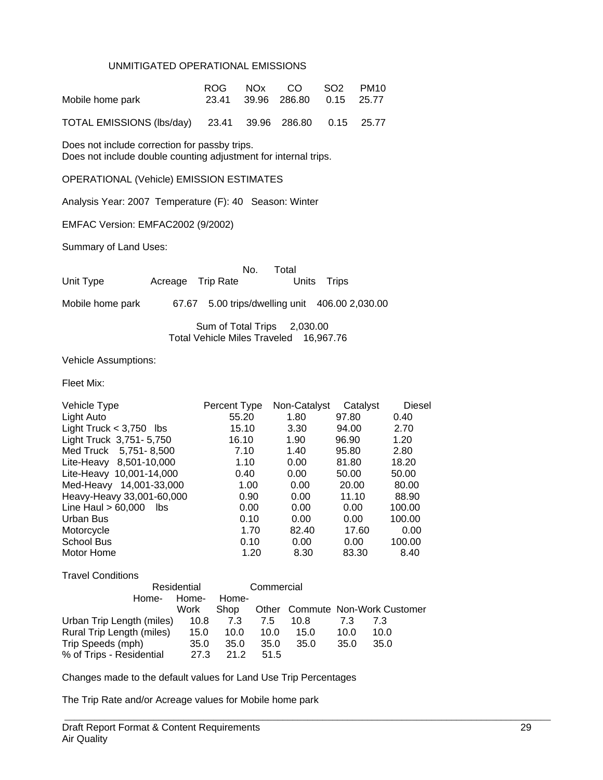#### UNMITIGATED OPERATIONAL EMISSIONS

| Mobile home park                                        |  | ROG NOx CO SO2 PM10<br>23.41 39.96 286.80 0.15 25.77 |  |
|---------------------------------------------------------|--|------------------------------------------------------|--|
| TOTAL EMISSIONS (lbs/day) 23.41 39.96 286.80 0.15 25.77 |  |                                                      |  |

Does not include correction for passby trips. Does not include double counting adjustment for internal trips.

OPERATIONAL (Vehicle) EMISSION ESTIMATES

Analysis Year: 2007 Temperature (F): 40 Season: Winter

EMFAC Version: EMFAC2002 (9/2002)

Summary of Land Uses:

|           |                   | No. Total |             |  |
|-----------|-------------------|-----------|-------------|--|
| Unit Type | Acreage Trip Rate |           | Units Trips |  |

Mobile home park 67.67 5.00 trips/dwelling unit 406.00 2,030.00

 Sum of Total Trips 2,030.00 Total Vehicle Miles Traveled 16,967.76

Vehicle Assumptions:

Fleet Mix:

| Vehicle Type                | Percent Type | Non-Catalyst | Catalyst | <b>Diesel</b> |
|-----------------------------|--------------|--------------|----------|---------------|
| Light Auto                  | 55.20        | 1.80         | 97.80    | 0.40          |
| Light Truck $<$ 3,750 lbs   | 15.10        | 3.30         | 94.00    | 2.70          |
| Light Truck 3,751-5,750     | 16.10        | 1.90         | 96.90    | 1.20          |
| Med Truck 5,751-8,500       | 7.10         | 1.40         | 95.80    | 2.80          |
| Lite-Heavy 8,501-10,000     | 1.10         | 0.00         | 81.80    | 18.20         |
| Lite-Heavy 10,001-14,000    | 0.40         | 0.00         | 50.00    | 50.00         |
| Med-Heavy 14,001-33,000     | 1.00         | 0.00         | 20.00    | 80.00         |
| Heavy-Heavy 33,001-60,000   | 0.90         | 0.00         | 11.10    | 88.90         |
| Line Haul $> 60,000$<br>lbs | 0.00         | 0.00         | 0.00     | 100.00        |
| Urban Bus                   | 0.10         | 0.00         | 0.00     | 100.00        |
| Motorcycle                  | 1.70         | 82.40        | 17.60    | 0.00          |
| School Bus                  | 0.10         | 0.00         | 0.00     | 100.00        |
| Motor Home                  | 1.20         | 8.30         | 83.30    | 8.40          |

| <b>Travel Conditions</b>  |       |       |            |      |      |                                 |
|---------------------------|-------|-------|------------|------|------|---------------------------------|
| Residential               |       |       | Commercial |      |      |                                 |
| Home-                     | Home- | Home- |            |      |      |                                 |
|                           | Work  | Shop  |            |      |      | Other Commute Non-Work Customer |
| Urban Trip Length (miles) | 10.8  | 7.3   | 7.5        | 10.8 | 7.3  | 7.3                             |
| Rural Trip Length (miles) | 15.0  | 10.0  | 10.0       | 15.0 | 10.0 | 10.0                            |
| Trip Speeds (mph)         | 35.0  | 35.0  | 35.0       | 35.0 | 35.0 | 35.0                            |
| % of Trips - Residential  | 27.3  | 21 2  | 51.5       |      |      |                                 |

 $\_$  , and the set of the set of the set of the set of the set of the set of the set of the set of the set of the set of the set of the set of the set of the set of the set of the set of the set of the set of the set of th

Changes made to the default values for Land Use Trip Percentages

The Trip Rate and/or Acreage values for Mobile home park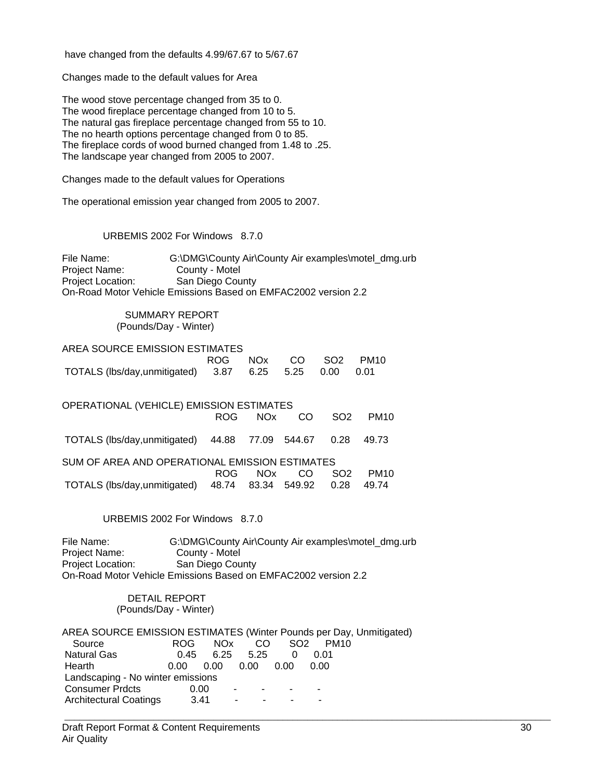have changed from the defaults 4.99/67.67 to 5/67.67

Changes made to the default values for Area

The wood stove percentage changed from 35 to 0. The wood fireplace percentage changed from 10 to 5. The natural gas fireplace percentage changed from 55 to 10. The no hearth options percentage changed from 0 to 85. The fireplace cords of wood burned changed from 1.48 to .25. The landscape year changed from 2005 to 2007.

Changes made to the default values for Operations

The operational emission year changed from 2005 to 2007.

URBEMIS 2002 For Windows 8.7.0

File Name: G:\DMG\County Air\County Air examples\motel\_dmg.urb Project Name: County - Motel Project Location: San Diego County On-Road Motor Vehicle Emissions Based on EMFAC2002 version 2.2

#### SUMMARY REPORT (Pounds/Day - Winter)

| AREA SOURCE EMISSION ESTIMATES                        |  |  |                     |
|-------------------------------------------------------|--|--|---------------------|
|                                                       |  |  | ROG NOx CO SO2 PM10 |
| TOTALS (lbs/day,unmitigated) 3.87 6.25 5.25 0.00 0.01 |  |  |                     |

| OPERATIONAL (VEHICLE) EMISSION ESTIMATES             |      |         |     |                   |                  |  |  |  |  |  |
|------------------------------------------------------|------|---------|-----|-------------------|------------------|--|--|--|--|--|
|                                                      |      | ROG NOx | CO. | - SO <sub>2</sub> | PM <sub>10</sub> |  |  |  |  |  |
| TOTALS (lbs/day,unmitigated) 44.88 77.09 544.67 0.28 |      |         |     |                   | 49.73            |  |  |  |  |  |
| SUM OF AREA AND OPERATIONAL EMISSION ESTIMATES       |      |         |     |                   |                  |  |  |  |  |  |
|                                                      | ROG. | NOx.    | CO. | SO <sub>2</sub>   | <b>PM10</b>      |  |  |  |  |  |
| TOTALS (lbs/day,unmitigated) 48.74 83.34 549.92      |      |         |     | 0.28              | 49.74            |  |  |  |  |  |

URBEMIS 2002 For Windows 8.7.0

File Name: G:\DMG\County Air\County Air examples\motel\_dmg.urb<br>Project Name: County - Motel County - Motel Project Location: San Diego County On-Road Motor Vehicle Emissions Based on EMFAC2002 version 2.2

#### DETAIL REPORT (Pounds/Day - Winter)

| AREA SOURCE EMISSION ESTIMATES (Winter Pounds per Day, Unmitigated) |      |      |               |                 |                          |  |
|---------------------------------------------------------------------|------|------|---------------|-----------------|--------------------------|--|
| Source                                                              | ROG. | NOx. | CO.           | SO <sub>2</sub> | <b>PM10</b>              |  |
| <b>Natural Gas</b>                                                  | 0.45 |      | $6.25$ $5.25$ | 0               | 0.01                     |  |
| <b>Hearth</b>                                                       | 0.00 | 0.00 | 0.00          | 0.00            | 0.00                     |  |
| Landscaping - No winter emissions                                   |      |      |               |                 |                          |  |
| <b>Consumer Prdcts</b>                                              | 0.00 |      | $\sim$        |                 | $\overline{\phantom{a}}$ |  |
| <b>Architectural Coatings</b>                                       | 3.41 |      | ۰             |                 | -                        |  |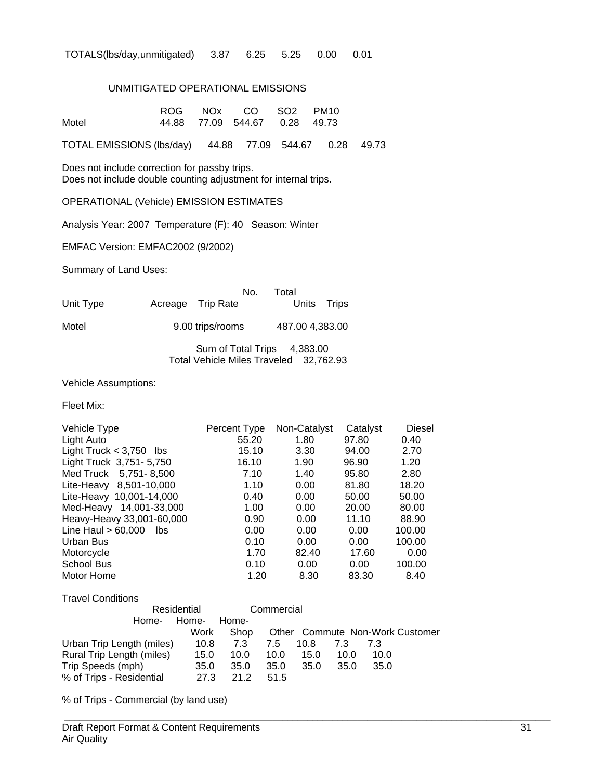TOTALS(lbs/day,unmitigated) 3.87 6.25 5.25 0.00 0.01

#### UNMITIGATED OPERATIONAL EMISSIONS

|                                                                                                                  | <b>ROG</b> | <b>NOx</b> | CO     | SO <sub>2</sub> | <b>PM10</b> |       |  |
|------------------------------------------------------------------------------------------------------------------|------------|------------|--------|-----------------|-------------|-------|--|
| Motel                                                                                                            | 44.88      | 77.09      | 544.67 | 0.28            | 49.73       |       |  |
| <b>TOTAL EMISSIONS (lbs/day)</b>                                                                                 |            | 44.88      |        | 77.09 544.67    | 0.28        | 49.73 |  |
| Does not include correction for passby trips.<br>Does not include double counting adjustment for internal trips. |            |            |        |                 |             |       |  |
| <b>OPERATIONAL (Vehicle) EMISSION ESTIMATES</b>                                                                  |            |            |        |                 |             |       |  |

Analysis Year: 2007 Temperature (F): 40 Season: Winter

EMFAC Version: EMFAC2002 (9/2002)

Summary of Land Uses:

|           |                   | No. Total   |  |
|-----------|-------------------|-------------|--|
| Unit Type | Acreage Trip Rate | Units Trips |  |
|           |                   |             |  |

Motel 9.00 trips/rooms 487.00 4,383.00

Sum of Total Trips 4,383.00 Total Vehicle Miles Traveled 32,762.93

Vehicle Assumptions:

Fleet Mix:

| Percent Type | Non-Catalyst | Catalyst | <b>Diesel</b> |
|--------------|--------------|----------|---------------|
| 55.20        | 1.80         | 97.80    | 0.40          |
| 15.10        | 3.30         | 94.00    | 2.70          |
| 16.10        | 1.90         | 96.90    | 1.20          |
| 7.10         | 1.40         | 95.80    | 2.80          |
| 1.10         | 0.00         | 81.80    | 18.20         |
| 0.40         | 0.00         | 50.00    | 50.00         |
| 1.00         | 0.00         | 20.00    | 80.00         |
| 0.90         | 0.00         | 11.10    | 88.90         |
| 0.00         | 0.00         | 0.00     | 100.00        |
| 0.10         | 0.00         | 0.00     | 100.00        |
| 1.70         | 82.40        | 17.60    | 0.00          |
| 0.10         | 0.00         | 0.00     | 100.00        |
| 1.20         | 8.30         | 83.30    | 8.40          |
|              |              |          |               |

| <b>Travel Conditions</b>  |             |       |            |      |      |      |                                 |
|---------------------------|-------------|-------|------------|------|------|------|---------------------------------|
|                           | Residential |       | Commercial |      |      |      |                                 |
| Home-                     | Home-       | Home- |            |      |      |      |                                 |
|                           | Work        | Shop  |            |      |      |      | Other Commute Non-Work Customer |
| Urban Trip Length (miles) | 10.8        | 7.3   | 7.5        | 10.8 | 7.3  | 7.3  |                                 |
| Rural Trip Length (miles) | 15.0        | 10.0  | 10.0       | 15.0 | 10.0 | 10.0 |                                 |
| Trip Speeds (mph)         | 35.0        | 35.0  | 35.0       | 35.0 | 35.0 | 35.0 |                                 |
| % of Trips - Residential  | 27.3        | 21.2  | 51.5       |      |      |      |                                 |

 $\_$  , and the set of the set of the set of the set of the set of the set of the set of the set of the set of the set of the set of the set of the set of the set of the set of the set of the set of the set of the set of th

% of Trips - Commercial (by land use)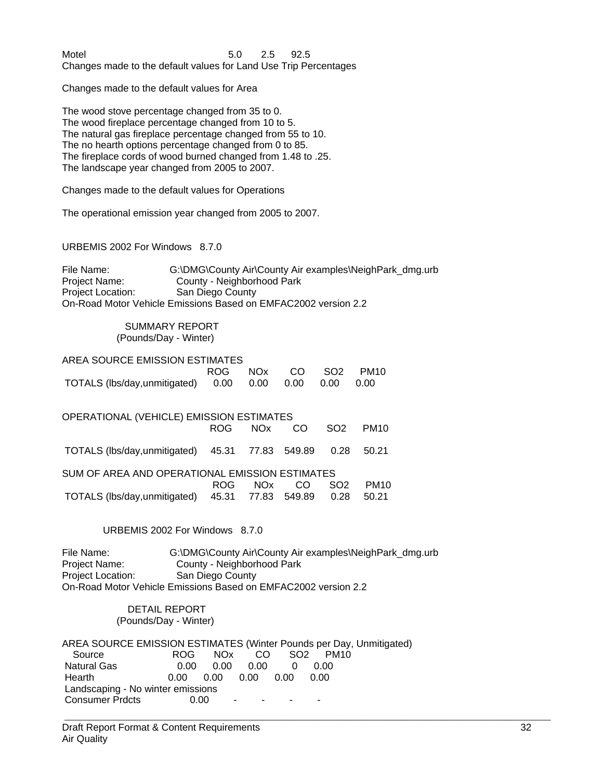Motel 5.0 2.5 92.5 Changes made to the default values for Land Use Trip Percentages

Changes made to the default values for Area

The wood stove percentage changed from 35 to 0. The wood fireplace percentage changed from 10 to 5. The natural gas fireplace percentage changed from 55 to 10. The no hearth options percentage changed from 0 to 85. The fireplace cords of wood burned changed from 1.48 to .25. The landscape year changed from 2005 to 2007.

Changes made to the default values for Operations

The operational emission year changed from 2005 to 2007.

URBEMIS 2002 For Windows 8.7.0

File Name: G:\DMG\County Air\County Air examples\NeighPark\_dmg.urb Project Name: County - Neighborhood Park Project Location: San Diego County On-Road Motor Vehicle Emissions Based on EMFAC2002 version 2.2

#### SUMMARY REPORT (Pounds/Day - Winter)

| AREA SOURCE EMISSION ESTIMATES                   |  |  |                     |
|--------------------------------------------------|--|--|---------------------|
|                                                  |  |  | ROG NOx CO SO2 PM10 |
| TOTALS (lbs/day,unmitigated) 0.00 0.00 0.00 0.00 |  |  | - 0.00              |

| OPERATIONAL (VEHICLE) EMISSION ESTIMATES             |      |            |     |                 |                  |
|------------------------------------------------------|------|------------|-----|-----------------|------------------|
|                                                      |      | ROG NOx CO |     | SO <sub>2</sub> | PM <sub>10</sub> |
| TOTALS (lbs/day,unmitigated) 45.31 77.83 549.89 0.28 |      |            |     |                 | 50.21            |
| SUM OF AREA AND OPERATIONAL EMISSION ESTIMATES       |      |            |     |                 |                  |
|                                                      | ROG. | NOx 1      | CO. | SO <sub>2</sub> | <b>PM10</b>      |
| TOTALS (lbs/day,unmitigated) 45.31 77.83 549.89      |      |            |     | 0.28            | 50.21            |

#### URBEMIS 2002 For Windows 8.7.0

File Name: G:\DMG\County Air\County Air examples\NeighPark\_dmg.urb Project Name: County - Neighborhood Park<br>
Project Location: San Diego County San Diego County On-Road Motor Vehicle Emissions Based on EMFAC2002 version 2.2

#### DETAIL REPORT (Pounds/Day - Winter)

|                                   |       |           |           |            | AREA SOURCE EMISSION ESTIMATES (Winter Pounds per Day, Unmitigated) |  |
|-----------------------------------|-------|-----------|-----------|------------|---------------------------------------------------------------------|--|
| Source                            | ROG – |           |           | NOx CO SO2 | PM <sub>10</sub>                                                    |  |
| Natural Gas                       | 0.00  |           | 0.00 0.00 |            | 0.00                                                                |  |
| Hearth                            | 0.00  | 0.00 0.00 |           | 0.00       | 0.00                                                                |  |
| Landscaping - No winter emissions |       |           |           |            |                                                                     |  |
| <b>Consumer Prdcts</b>            | 0.00  | $\sim$    | $\sim$    |            |                                                                     |  |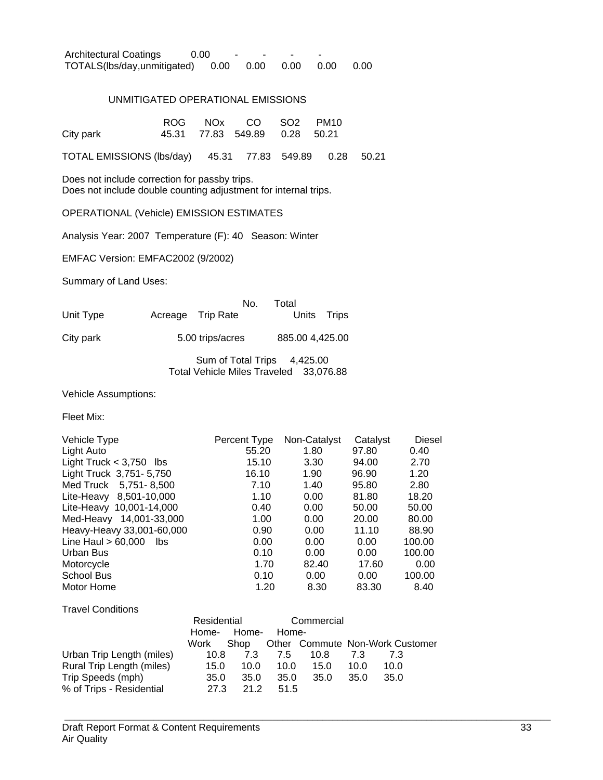| <b>Architectural Coatings</b> | 0.00 |      |  |           |      |      |
|-------------------------------|------|------|--|-----------|------|------|
| TOTALS(lbs/day,unmitigated)   |      | 0.00 |  | 0.00 0.00 | 0.00 | 0.00 |

#### UNMITIGATED OPERATIONAL EMISSIONS

|           |  | ROG NOx CO SO2 PM10           |  |
|-----------|--|-------------------------------|--|
| City park |  | 45.31 77.83 549.89 0.28 50.21 |  |

TOTAL EMISSIONS (lbs/day) 45.31 77.83 549.89 0.28 50.21

Does not include correction for passby trips. Does not include double counting adjustment for internal trips.

#### OPERATIONAL (Vehicle) EMISSION ESTIMATES

Analysis Year: 2007 Temperature (F): 40 Season: Winter

EMFAC Version: EMFAC2002 (9/2002)

Summary of Land Uses:

| Unit Type | Acreage Trip Rate | No. | Total<br>Units Trips |  |
|-----------|-------------------|-----|----------------------|--|
| City park | 5.00 trips/acres  |     | 885.00 4,425.00      |  |

Sum of Total Trips 4,425.00 Total Vehicle Miles Traveled 33,076.88

Vehicle Assumptions:

Fleet Mix:

| Vehicle Type                 | Percent Type | Non-Catalyst | Catalyst | Diesel |
|------------------------------|--------------|--------------|----------|--------|
| Light Auto                   | 55.20        | 1.80         | 97.80    | 0.40   |
| Light Truck $<$ 3,750 lbs    | 15.10        | 3.30         | 94.00    | 2.70   |
| Light Truck 3,751-5,750      | 16.10        | 1.90         | 96.90    | 1.20   |
| Med Truck 5,751-8,500        | 7.10         | 1.40         | 95.80    | 2.80   |
| Lite-Heavy 8,501-10,000      | 1.10         | 0.00         | 81.80    | 18.20  |
| Lite-Heavy 10,001-14,000     | 0.40         | 0.00         | 50.00    | 50.00  |
| Med-Heavy 14,001-33,000      | 1.00         | 0.00         | 20.00    | 80.00  |
| Heavy-Heavy 33,001-60,000    | 0.90         | 0.00         | 11.10    | 88.90  |
| Line Haul $> 60,000$<br>lbs. | 0.00         | 0.00         | 0.00     | 100.00 |
| Urban Bus                    | 0.10         | 0.00         | 0.00     | 100.00 |
| Motorcycle                   | 1.70         | 82.40        | 17.60    | 0.00   |
| School Bus                   | 0.10         | 0.00         | 0.00     | 100.00 |
| Motor Home                   | 1.20         | 8.30         | 83.30    | 8.40   |
|                              |              |              |          |        |

Travel Conditions

|                           | Residential |       | Commercial |      |      |                                      |
|---------------------------|-------------|-------|------------|------|------|--------------------------------------|
|                           | Home-       | Home- | Home-      |      |      |                                      |
|                           | Work        |       |            |      |      | Shop Other Commute Non-Work Customer |
| Urban Trip Length (miles) | 10.8        | 7.3   | 7.5        | 10.8 | 73   | 73                                   |
| Rural Trip Length (miles) | 15.0        | 10.0  | 10.0       | 15.0 | 10.0 | 10.0                                 |
| Trip Speeds (mph)         | 35.0        | 35.0  | 35.0       | 35.0 | 35.0 | 35.0                                 |
| % of Trips - Residential  | 27.3        | 21.2  | 51.5       |      |      |                                      |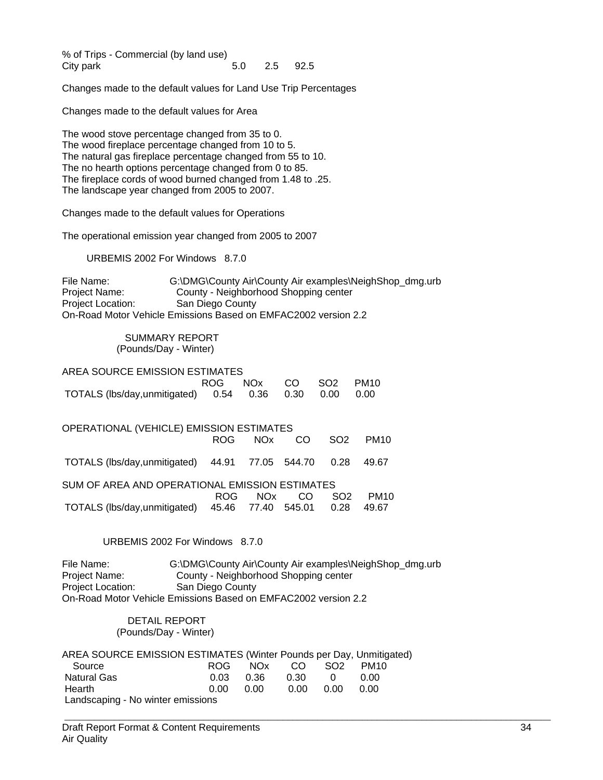% of Trips - Commercial (by land use) City park 5.0 2.5 92.5

Changes made to the default values for Land Use Trip Percentages

Changes made to the default values for Area

The wood stove percentage changed from 35 to 0. The wood fireplace percentage changed from 10 to 5. The natural gas fireplace percentage changed from 55 to 10. The no hearth options percentage changed from 0 to 85. The fireplace cords of wood burned changed from 1.48 to .25. The landscape year changed from 2005 to 2007.

Changes made to the default values for Operations

The operational emission year changed from 2005 to 2007

URBEMIS 2002 For Windows 8.7.0

File Name: G:\DMG\County Air\County Air examples\NeighShop\_dmg.urb Project Name: County - Neighborhood Shopping center Project Location: San Diego County On-Road Motor Vehicle Emissions Based on EMFAC2002 version 2.2

#### SUMMARY REPORT (Pounds/Day - Winter)

| AREA SOURCE EMISSION ESTIMATES                             |                     |  |  |
|------------------------------------------------------------|---------------------|--|--|
|                                                            | ROG NOx CO SO2 PM10 |  |  |
| TOTALS (lbs/day,unmitigated)  0.54  0.36  0.30  0.00  0.00 |                     |  |  |

| OPERATIONAL (VEHICLE) EMISSION ESTIMATES             |       |      |     |                 |             |
|------------------------------------------------------|-------|------|-----|-----------------|-------------|
|                                                      | ROG L | NOx  | CO. | SO <sub>2</sub> | <b>PM10</b> |
| TOTALS (lbs/day,unmitigated) 44.91 77.05 544.70      |       |      |     | 0.28            | 49.67       |
| SUM OF AREA AND OPERATIONAL EMISSION ESTIMATES       |       |      |     |                 |             |
|                                                      | ROG – | NOx. | CO. | SO <sub>2</sub> | <b>PM10</b> |
| TOTALS (lbs/day,unmitigated) 45.46 77.40 545.01 0.28 |       |      |     |                 | 49.67       |

#### URBEMIS 2002 For Windows 8.7.0

File Name: G:\DMG\County Air\County Air examples\NeighShop\_dmg.urb Project Name: County - Neighborhood Shopping center Project Location: San Diego County On-Road Motor Vehicle Emissions Based on EMFAC2002 version 2.2

#### DETAIL REPORT (Pounds/Day - Winter)

| AREA SOURCE EMISSION ESTIMATES (Winter Pounds per Day, Unmitigated) |      |            |      |                 |      |
|---------------------------------------------------------------------|------|------------|------|-----------------|------|
| Source                                                              |      | ROG NOx CO |      | SO <sub>2</sub> | PM10 |
| <b>Natural Gas</b>                                                  | 0 03 | 0.36       | 0.30 | $\Omega$        | n nn |
| Hearth                                                              | 0.00 | 0.00       | 0.00 | n nn            | 0.OO |
| Landscaping - No winter emissions                                   |      |            |      |                 |      |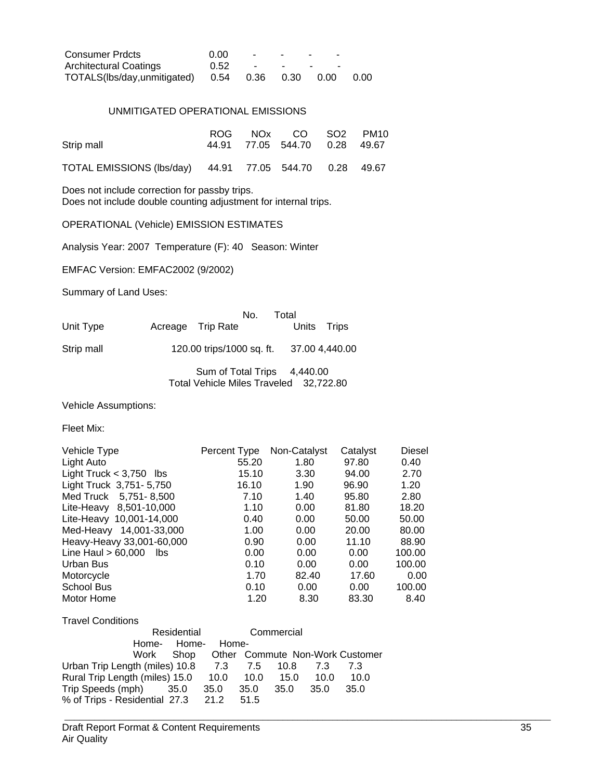| <b>Consumer Prdcts</b>                     | 0.00 | <b>Contract Contract State</b>       | $\sim$ | <b>Contract Contract Contract</b><br>$\sim$ |      |
|--------------------------------------------|------|--------------------------------------|--------|---------------------------------------------|------|
| Architectural Coatings                     | 0.52 | the company's state of the company's |        | $\sim$                                      |      |
| TOTALS(lbs/day,unmitigated) 0.54 0.36 0.30 |      |                                      |        | 0.00                                        | 0.00 |

#### UNMITIGATED OPERATIONAL EMISSIONS

|                                                         |  | ROG NOx CO SO2 PM10           |  |
|---------------------------------------------------------|--|-------------------------------|--|
| Strip mall                                              |  | 44.91 77.05 544.70 0.28 49.67 |  |
| TOTAL EMISSIONS (lbs/day) 44.91 77.05 544.70 0.28 49.67 |  |                               |  |

Does not include correction for passby trips.

Does not include double counting adjustment for internal trips.

OPERATIONAL (Vehicle) EMISSION ESTIMATES

Analysis Year: 2007 Temperature (F): 40 Season: Winter

EMFAC Version: EMFAC2002 (9/2002)

Summary of Land Uses:

|            | No.                       | Total       |                |
|------------|---------------------------|-------------|----------------|
| Unit Type  | Acreage Trip Rate         | Units Trips |                |
| Strip mall | 120.00 trips/1000 sq. ft. |             | 37.00 4,440.00 |

Sum of Total Trips 4,440.00 Total Vehicle Miles Traveled 32,722.80

Vehicle Assumptions:

Fleet Mix:

| Vehicle Type                | Percent Type | Non-Catalyst | Catalyst | <b>Diesel</b> |
|-----------------------------|--------------|--------------|----------|---------------|
| Light Auto                  | 55.20        | 1.80         | 97.80    | 0.40          |
| Light Truck $<$ 3,750 lbs   | 15.10        | 3.30         | 94.00    | 2.70          |
| Light Truck 3,751-5,750     | 16.10        | 1.90         | 96.90    | 1.20          |
| Med Truck 5,751-8,500       | 7.10         | 1.40         | 95.80    | 2.80          |
| Lite-Heavy 8,501-10,000     | 1.10         | 0.00         | 81.80    | 18.20         |
| Lite-Heavy 10,001-14,000    | 0.40         | 0.00         | 50.00    | 50.00         |
| Med-Heavy 14,001-33,000     | 1.00         | 0.00         | 20.00    | 80.00         |
| Heavy-Heavy 33,001-60,000   | 0.90         | 0.00         | 11.10    | 88.90         |
| Line Haul $> 60,000$<br>lbs | 0.00         | 0.00         | 0.00     | 100.00        |
| Urban Bus                   | 0.10         | 0.00         | 0.00     | 100.00        |
| Motorcycle                  | 1.70         | 82.40        | 17.60    | 0.00          |
| <b>School Bus</b>           | 0.10         | 0.00         | 0.00     | 100.00        |
| Motor Home                  | 1.20         | 8.30         | 83.30    | 8.40          |

Travel Conditions

|                                    | Residential |       |      | Commercial |      |                                 |
|------------------------------------|-------------|-------|------|------------|------|---------------------------------|
|                                    | Home- Home- | Home- |      |            |      |                                 |
|                                    | Work Shop   |       |      |            |      | Other Commute Non-Work Customer |
| Urban Trip Length (miles) 10.8     |             | 7.3   | 7.5  | 10.8       | 7.3  | 7.3                             |
| Rural Trip Length (miles) 15.0     |             | 10.0  | 10.0 | 15.0       | 10.0 | 10.0                            |
| Trip Speeds (mph) 35.0             |             | 35.0  | 35.0 | 35.0       | 35.0 | 35.0                            |
| % of Trips - Residential 27.3 21.2 |             |       | 51.5 |            |      |                                 |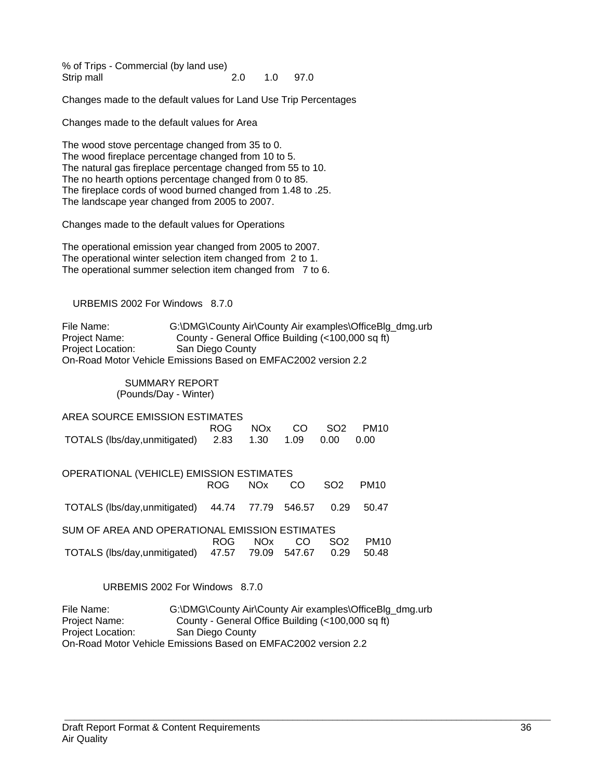% of Trips - Commercial (by land use) Strip mall 2.0 1.0 97.0

Changes made to the default values for Land Use Trip Percentages

Changes made to the default values for Area

The wood stove percentage changed from 35 to 0. The wood fireplace percentage changed from 10 to 5. The natural gas fireplace percentage changed from 55 to 10. The no hearth options percentage changed from 0 to 85. The fireplace cords of wood burned changed from 1.48 to .25. The landscape year changed from 2005 to 2007.

Changes made to the default values for Operations

The operational emission year changed from 2005 to 2007. The operational winter selection item changed from 2 to 1. The operational summer selection item changed from 7 to 6.

#### URBEMIS 2002 For Windows 8.7.0

File Name: G:\DMG\County Air\County Air examples\OfficeBlg\_dmg.urb Project Name: County - General Office Building (<100,000 sq ft) Project Location: San Diego County On-Road Motor Vehicle Emissions Based on EMFAC2002 version 2.2

### SUMMARY REPORT

(Pounds/Day - Winter)

| AREA SOURCE EMISSION ESTIMATES                 |            |            |        |                 |             |  |  |  |  |
|------------------------------------------------|------------|------------|--------|-----------------|-------------|--|--|--|--|
|                                                | ROG        | <b>NOx</b> | CO     | SO <sub>2</sub> | <b>PM10</b> |  |  |  |  |
| TOTALS (lbs/day,unmitigated)                   | 2.83       | 1.30       | 1.09   | 0.00            | 0.00        |  |  |  |  |
|                                                |            |            |        |                 |             |  |  |  |  |
| OPERATIONAL (VEHICLE) EMISSION ESTIMATES       |            |            |        |                 |             |  |  |  |  |
|                                                | <b>ROG</b> | <b>NOx</b> | CO     | SO <sub>2</sub> | <b>PM10</b> |  |  |  |  |
|                                                | 44.74      | 77.79      | 546.57 | 0.29            | 50.47       |  |  |  |  |
| TOTALS (lbs/day,unmitigated)                   |            |            |        |                 |             |  |  |  |  |
| SUM OF AREA AND OPERATIONAL EMISSION ESTIMATES |            |            |        |                 |             |  |  |  |  |
|                                                | ROG        | <b>NOx</b> | CO     | SO <sub>2</sub> | <b>PM10</b> |  |  |  |  |
| TOTALS (lbs/day, unmitigated)                  | 47.57      | 79.09      | 547.67 | 0.29            | 50.48       |  |  |  |  |
|                                                |            |            |        |                 |             |  |  |  |  |

URBEMIS 2002 For Windows 8.7.0

File Name: G:\DMG\County Air\County Air examples\OfficeBlg\_dmg.urb Project Name: County - General Office Building (<100,000 sq ft) Project Location: San Diego County On-Road Motor Vehicle Emissions Based on EMFAC2002 version 2.2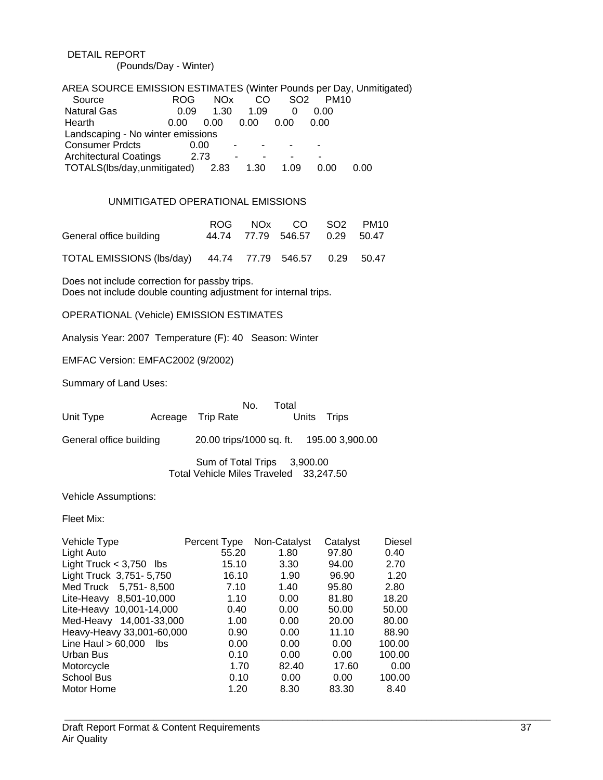#### DETAIL REPORT (Pounds/Day - Winter)

| AREA SOURCE EMISSION ESTIMATES (Winter Pounds per Day, Unmitigated) |            |                 |               |                 |             |      |
|---------------------------------------------------------------------|------------|-----------------|---------------|-----------------|-------------|------|
| Source                                                              | <b>ROG</b> | NO <sub>x</sub> | <sub>CO</sub> | SO <sub>2</sub> | <b>PM10</b> |      |
| <b>Natural Gas</b>                                                  | 0.09       | 1.30            | 1.09          | 0               | 0.00        |      |
| Hearth                                                              | 0.00       | 0.00            | 0.00          | 0.00            | 0.00        |      |
| Landscaping - No winter emissions                                   |            |                 |               |                 |             |      |
| <b>Consumer Prdcts</b>                                              | 0.00       |                 |               |                 |             |      |
| <b>Architectural Coatings</b>                                       | 2.73       |                 |               |                 |             |      |
| TOTALS(lbs/day,unmitigated)                                         |            | 2.83            | 1.30          | 1.09            | 0.00        | 0.00 |

#### UNMITIGATED OPERATIONAL EMISSIONS

|                         |  | ROG NOx CO SO2 PM10           |  |
|-------------------------|--|-------------------------------|--|
| General office building |  | 44.74 77.79 546.57 0.29 50.47 |  |

TOTAL EMISSIONS (lbs/day) 44.74 77.79 546.57 0.29 50.47

Does not include correction for passby trips. Does not include double counting adjustment for internal trips.

OPERATIONAL (Vehicle) EMISSION ESTIMATES

Analysis Year: 2007 Temperature (F): 40 Season: Winter

EMFAC Version: EMFAC2002 (9/2002)

Summary of Land Uses:

| Unit Type                   | No.<br>Acreage Trip Rate                                              | Total | Units | Trips |
|-----------------------------|-----------------------------------------------------------------------|-------|-------|-------|
|                             |                                                                       |       |       |       |
| General office building     | 20.00 trips/1000 sq. ft. 195.00 3,900.00                              |       |       |       |
|                             | Sum of Total Trips 3,900.00<br>Total Vehicle Miles Traveled 33,247.50 |       |       |       |
| <b>Vehicle Assumptions:</b> |                                                                       |       |       |       |

Fleet Mix:

| Vehicle Type                | Percent Type | Non-Catalyst | Catalyst | <b>Diesel</b> |
|-----------------------------|--------------|--------------|----------|---------------|
| Light Auto                  | 55.20        | 1.80         | 97.80    | 0.40          |
| Light Truck $<$ 3,750 lbs   | 15.10        | 3.30         | 94.00    | 2.70          |
| Light Truck 3,751-5,750     | 16.10        | 1.90         | 96.90    | 1.20          |
| Med Truck 5,751-8,500       | 7.10         | 1.40         | 95.80    | 2.80          |
| Lite-Heavy 8,501-10,000     | 1.10         | 0.00         | 81.80    | 18.20         |
| Lite-Heavy 10,001-14,000    | 0.40         | 0.00         | 50.00    | 50.00         |
| Med-Heavy 14,001-33,000     | 1.00         | 0.00         | 20.00    | 80.00         |
| Heavy-Heavy 33,001-60,000   | 0.90         | 0.00         | 11.10    | 88.90         |
| Line Haul $> 60,000$<br>lbs | 0.00         | 0.00         | 0.00     | 100.00        |
| Urban Bus                   | 0.10         | 0.00         | 0.00     | 100.00        |
| Motorcycle                  | 1.70         | 82.40        | 17.60    | 0.00          |
| <b>School Bus</b>           | 0.10         | 0.00         | 0.00     | 100.00        |
| Motor Home                  | 1.20         | 8.30         | 83.30    | 8.40          |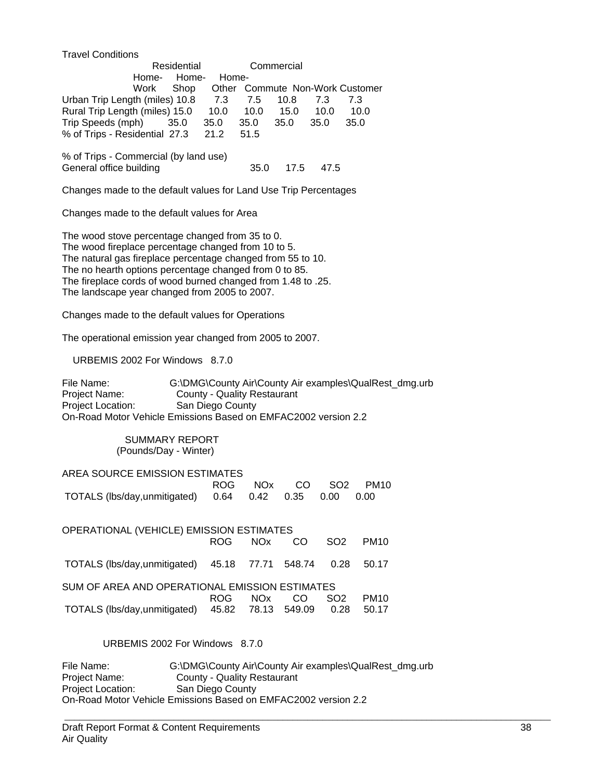Travel Conditions

|                                       | Residential |       |      | Commercial |      |                                 |
|---------------------------------------|-------------|-------|------|------------|------|---------------------------------|
| Home-                                 | Home-       | Home- |      |            |      |                                 |
| Work Shop                             |             |       |      |            |      | Other Commute Non-Work Customer |
| Urban Trip Length (miles) 10.8        |             | 7.3   | 7.5  | 10.8       | 7.3  | 7.3                             |
| Rural Trip Length (miles) 15.0        |             | 10.0  | 10.0 | 15.0       | 10.0 | 10.0                            |
| Trip Speeds (mph) 35.0                |             | 35.0  | 35.0 | 35.0       | 35.0 | 35.0                            |
| % of Trips - Residential 27.3         |             | 21.2  | 51.5 |            |      |                                 |
|                                       |             |       |      |            |      |                                 |
| % of Trips - Commercial (by land use) |             |       |      |            |      |                                 |

Changes made to the default values for Land Use Trip Percentages

General office building 35.0 17.5 47.5

Changes made to the default values for Area

The wood stove percentage changed from 35 to 0. The wood fireplace percentage changed from 10 to 5. The natural gas fireplace percentage changed from 55 to 10. The no hearth options percentage changed from 0 to 85. The fireplace cords of wood burned changed from 1.48 to .25. The landscape year changed from 2005 to 2007.

Changes made to the default values for Operations

The operational emission year changed from 2005 to 2007.

URBEMIS 2002 For Windows 8.7.0

File Name: G:\DMG\County Air\County Air examples\QualRest\_dmg.urb Project Name: County - Quality Restaurant Project Location: San Diego County On-Road Motor Vehicle Emissions Based on EMFAC2002 version 2.2

> SUMMARY REPORT (Pounds/Day - Winter)

#### AREA SOURCE EMISSION ESTIMATES

|                                                       |  |  | ROG NOx CO SO2 PM10 |
|-------------------------------------------------------|--|--|---------------------|
| TOTALS (lbs/day,unmitigated) 0.64 0.42 0.35 0.00 0.00 |  |  |                     |

| ROG. | NOx. | CO  | SO <sub>2</sub>                                                                                                                                | PM <sub>10</sub>                                               |
|------|------|-----|------------------------------------------------------------------------------------------------------------------------------------------------|----------------------------------------------------------------|
|      |      |     |                                                                                                                                                | 50.17                                                          |
|      |      |     |                                                                                                                                                |                                                                |
| ROG. | NOx. | CO. | SO <sub>2</sub>                                                                                                                                | <b>PM10</b>                                                    |
|      |      |     |                                                                                                                                                | 50.17                                                          |
|      |      |     | OPERATIONAL (VEHICLE) EMISSION ESTIMATES<br>TOTALS (lbs/day,unmitigated) 45.18 77.71 548.74<br>TOTALS (lbs/day,unmitigated) 45.82 78.13 549.09 | 0.28<br>SUM OF AREA AND OPERATIONAL EMISSION ESTIMATES<br>0.28 |

URBEMIS 2002 For Windows 8.7.0

File Name: G:\DMG\County Air\County Air examples\QualRest\_dmg.urb<br>Project Name: County - Quality Restaurant **County - Quality Restaurant** Project Location: San Diego County On-Road Motor Vehicle Emissions Based on EMFAC2002 version 2.2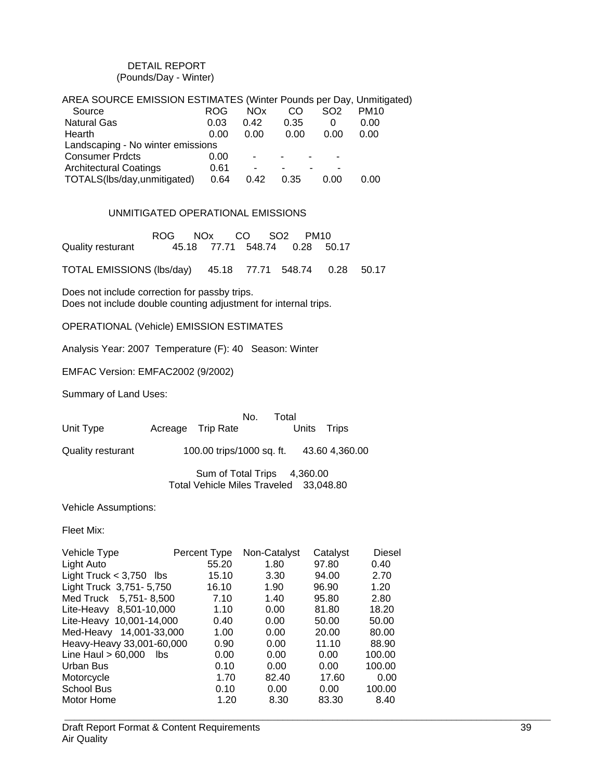#### DETAIL REPORT (Pounds/Day - Winter)

| AREA SOURCE EMISSION ESTIMATES (Winter Pounds per Day, Unmitigated) |            |            |      |                 |             |
|---------------------------------------------------------------------|------------|------------|------|-----------------|-------------|
| Source                                                              | <b>ROG</b> | <b>NOx</b> | CO   | SO <sub>2</sub> | <b>PM10</b> |
| <b>Natural Gas</b>                                                  | 0.03       | 0.42       | 0.35 | 0               | 0.00        |
| Hearth                                                              | 0.00       | 0.00       | 0.00 | 0.00            | 0.00        |
| Landscaping - No winter emissions                                   |            |            |      |                 |             |
| <b>Consumer Prdcts</b>                                              | 0.00       |            |      | ۰               |             |
| <b>Architectural Coatings</b>                                       | 0.61       |            |      |                 |             |
| TOTALS(lbs/day,unmitigated)                                         | 0.64       | 0.42       | 0.35 | 0.00            | 0.00        |

#### UNMITIGATED OPERATIONAL EMISSIONS

 ROG NOx CO SO2 PM10 Quality resturant 45.18 77.71 548.74 0.28 50.17

TOTAL EMISSIONS (lbs/day) 45.18 77.71 548.74 0.28 50.17

Does not include correction for passby trips. Does not include double counting adjustment for internal trips.

OPERATIONAL (Vehicle) EMISSION ESTIMATES

Analysis Year: 2007 Temperature (F): 40 Season: Winter

EMFAC Version: EMFAC2002 (9/2002)

Summary of Land Uses:

|                   |                           | No.<br>Total |             |                |  |
|-------------------|---------------------------|--------------|-------------|----------------|--|
| Unit Type         | Acreage Trip Rate         |              | Units Trips |                |  |
| Quality resturant | 100.00 trips/1000 sq. ft. |              |             | 43.60 4,360.00 |  |
|                   | Sum of Total Trips        |              | 4,360.00    |                |  |

Total Vehicle Miles Traveled 33,048.80

Vehicle Assumptions:

Fleet Mix:

| Vehicle Type                | Percent Type | Non-Catalyst | Catalyst | <b>Diesel</b> |
|-----------------------------|--------------|--------------|----------|---------------|
| Light Auto                  | 55.20        | 1.80         | 97.80    | 0.40          |
| Light Truck $<$ 3,750 lbs   | 15.10        | 3.30         | 94.00    | 2.70          |
| Light Truck 3,751-5,750     | 16.10        | 1.90         | 96.90    | 1.20          |
| 5,751-8,500<br>Med Truck    | 7.10         | 1.40         | 95.80    | 2.80          |
| 8,501-10,000<br>Lite-Heavy  | 1.10         | 0.00         | 81.80    | 18.20         |
| Lite-Heavy 10,001-14,000    | 0.40         | 0.00         | 50.00    | 50.00         |
| 14,001-33,000<br>Med-Heavy  | 1.00         | 0.00         | 20.00    | 80.00         |
| Heavy-Heavy 33,001-60,000   | 0.90         | 0.00         | 11.10    | 88.90         |
| Line Haul $> 60,000$<br>lbs | 0.00         | 0.00         | 0.00     | 100.00        |
| Urban Bus                   | 0.10         | 0.00         | 0.00     | 100.00        |
| Motorcycle                  | 1.70         | 82.40        | 17.60    | 0.00          |
| <b>School Bus</b>           | 0.10         | 0.00         | 0.00     | 100.00        |
| Motor Home                  | 1.20         | 8.30         | 83.30    | 8.40          |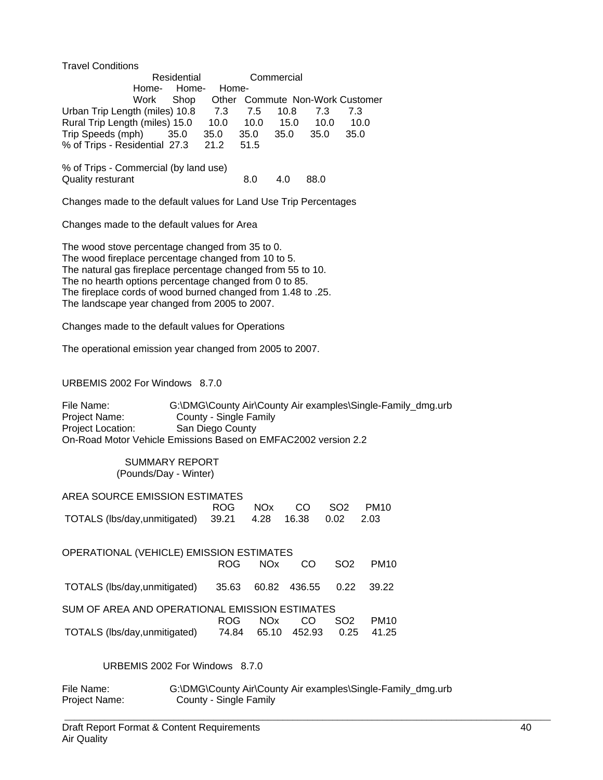Travel Conditions

|                                                                   | Residential |       |      | Commercial |                           |      |  |
|-------------------------------------------------------------------|-------------|-------|------|------------|---------------------------|------|--|
| Home-                                                             | Home-       | Home- |      |            |                           |      |  |
| Work                                                              | Shop        | Other |      |            | Commute Non-Work Customer |      |  |
| Urban Trip Length (miles) 10.8                                    |             | 7.3   | 7.5  | 10.8       | 7.3                       | 7.3  |  |
| Rural Trip Length (miles) 15.0                                    |             | 10.0  | 10.0 | 15.0       | 10.0                      | 10.0 |  |
| Trip Speeds (mph)                                                 | 35.0        | 35.0  | 35.0 | 35.0       | 35.0                      | 35.0 |  |
| % of Trips - Residential 27.3                                     |             | 21.2  | 51.5 |            |                           |      |  |
| % of Trips - Commercial (by land use)<br><b>Quality resturant</b> |             |       | 8.0  | 4.0        | 88.0                      |      |  |

Changes made to the default values for Land Use Trip Percentages

Changes made to the default values for Area

The wood stove percentage changed from 35 to 0. The wood fireplace percentage changed from 10 to 5. The natural gas fireplace percentage changed from 55 to 10. The no hearth options percentage changed from 0 to 85. The fireplace cords of wood burned changed from 1.48 to .25. The landscape year changed from 2005 to 2007.

Changes made to the default values for Operations

The operational emission year changed from 2005 to 2007.

URBEMIS 2002 For Windows 8.7.0

File Name: G:\DMG\County Air\County Air examples\Single-Family\_dmg.urb<br>Project Name: County - Single Family County - Single Family Project Location: San Diego County On-Road Motor Vehicle Emissions Based on EMFAC2002 version 2.2

> SUMMARY REPORT (Pounds/Day - Winter)

| AREA SOURCE EMISSION ESTIMATES                          |  |  |                     |
|---------------------------------------------------------|--|--|---------------------|
|                                                         |  |  | ROG NOx CO SO2 PM10 |
| TOTALS (lbs/day,unmitigated) 39.21 4.28 16.38 0.02 2.03 |  |  |                     |

| OPERATIONAL (VEHICLE) EMISSION ESTIMATES       |       |       |                    |                 |             |
|------------------------------------------------|-------|-------|--------------------|-----------------|-------------|
|                                                | ROG.  | NOx.  | CO.                | SO <sub>2</sub> | <b>PM10</b> |
| TOTALS (lbs/day,unmitigated)                   | 35.63 |       | 60.82 436.55  0.22 |                 | 39.22       |
| SUM OF AREA AND OPERATIONAL EMISSION ESTIMATES |       |       |                    |                 |             |
|                                                | ROG.  | NOx.  | CO                 | SO <sub>2</sub> | <b>PM10</b> |
| TOTALS (lbs/day,unmitigated)                   | 74.84 | 65.10 | 452.93             | 0.25            | 41.25       |

URBEMIS 2002 For Windows 8.7.0

| File Name:    | G:\DMG\County Air\County Air examples\Single-Family_dmg.urb |
|---------------|-------------------------------------------------------------|
| Project Name: | County - Single Family                                      |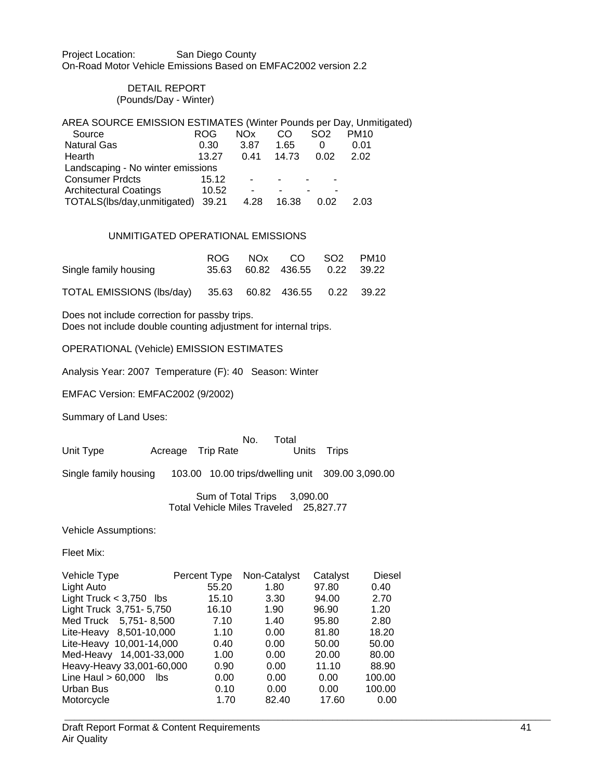Project Location: San Diego County On-Road Motor Vehicle Emissions Based on EMFAC2002 version 2.2

#### DETAIL REPORT (Pounds/Day - Winter)

| AREA SOURCE EMISSION ESTIMATES (Winter Pounds per Day, Unmitigated) |            |                 |       |                 |             |  |  |
|---------------------------------------------------------------------|------------|-----------------|-------|-----------------|-------------|--|--|
| Source                                                              | <b>ROG</b> | NO <sub>x</sub> | CO    | SO <sub>2</sub> | <b>PM10</b> |  |  |
| <b>Natural Gas</b>                                                  | 0.30       | 3.87            | 1.65  | $\Omega$        | 0.01        |  |  |
| Hearth                                                              | 13.27      | 0.41            | 14.73 | 0.02            | 2.02        |  |  |
| Landscaping - No winter emissions                                   |            |                 |       |                 |             |  |  |
| <b>Consumer Prdcts</b>                                              | 15.12      |                 |       |                 |             |  |  |
| <b>Architectural Coatings</b>                                       | 10.52      | ۰               |       |                 |             |  |  |
| TOTALS(lbs/day,unmitigated)                                         | 39.21      | 4.28            | 16.38 | 0.02            | 2.03        |  |  |

#### UNMITIGATED OPERATIONAL EMISSIONS

| Single family housing                                   |  | ROG NOx CO SO2 PM10<br>35.63 60.82 436.55 0.22 39.22 |  |
|---------------------------------------------------------|--|------------------------------------------------------|--|
| TOTAL EMISSIONS (lbs/day) 35.63 60.82 436.55 0.22 39.22 |  |                                                      |  |

Does not include correction for passby trips. Does not include double counting adjustment for internal trips.

OPERATIONAL (Vehicle) EMISSION ESTIMATES

Analysis Year: 2007 Temperature (F): 40 Season: Winter

EMFAC Version: EMFAC2002 (9/2002)

Summary of Land Uses:

| Unit Type             | Acreage Trip Rate | No.                         | Total | Units Trips                                      |
|-----------------------|-------------------|-----------------------------|-------|--------------------------------------------------|
| Single family housing |                   |                             |       | 103.00 10.00 trips/dwelling unit 309.00 3,090.00 |
|                       |                   | Sum of Total Trips 3,090.00 |       |                                                  |

Total Vehicle Miles Traveled 25,827.77

Vehicle Assumptions:

Fleet Mix:

| Vehicle Type                | Percent Type | Non-Catalyst | Catalyst | Diesel |
|-----------------------------|--------------|--------------|----------|--------|
| Light Auto                  | 55.20        | 1.80         | 97.80    | 0.40   |
| Light Truck $<$ 3,750 lbs   | 15.10        | 3.30         | 94.00    | 2.70   |
| Light Truck 3,751-5,750     | 16.10        | 1.90         | 96.90    | 1.20   |
| Med Truck 5,751-8,500       | 7.10         | 1.40         | 95.80    | 2.80   |
| Lite-Heavy 8,501-10,000     | 1.10         | 0.00         | 81.80    | 18.20  |
| Lite-Heavy 10,001-14,000    | 0.40         | 0.00         | 50.00    | 50.00  |
| Med-Heavy 14,001-33,000     | 1.00         | 0.00         | 20.00    | 80.00  |
| Heavy-Heavy 33,001-60,000   | 0.90         | 0.00         | 11.10    | 88.90  |
| Line Haul $> 60,000$<br>lbs | 0.00         | 0.00         | 0.00     | 100.00 |
| Urban Bus                   | 0.10         | 0.00         | 0.00     | 100.00 |
| Motorcycle                  | 1.70         | 82.40        | 17.60    | 0.00   |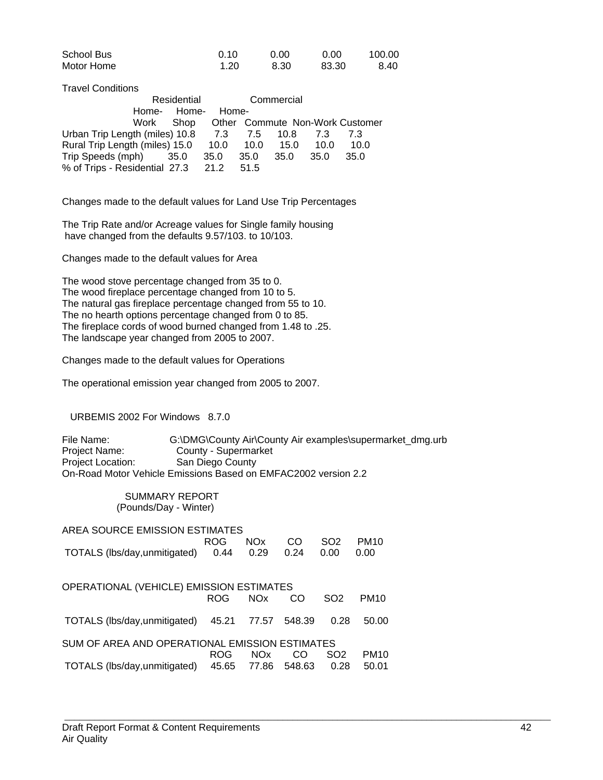| School Bus | 0.10 | 0.00 | 0.00  | 100.00 |
|------------|------|------|-------|--------|
| Motor Home | 1.20 | 8.30 | 83.30 | 8.40   |

Travel Conditions

|                                    | Residential |         | Commercial |        |      |                                 |
|------------------------------------|-------------|---------|------------|--------|------|---------------------------------|
|                                    | Home- Home- | Home-   |            |        |      |                                 |
|                                    | Work Shop   |         |            |        |      | Other Commute Non-Work Customer |
| Urban Trip Length (miles) 10.8     |             | 7.3 7.5 |            | 10.8   | 7.3  | 73                              |
| Rural Trip Length (miles) 15.0     |             | 10.0    | 10.0       | 15.0   | 10.0 | 10.0                            |
| Trip Speeds (mph) 35.0             |             | 35.0    | 35.0       | - 35.0 | 35.0 | 35.0                            |
| % of Trips - Residential 27.3 21.2 |             |         | 51.5       |        |      |                                 |

Changes made to the default values for Land Use Trip Percentages

The Trip Rate and/or Acreage values for Single family housing have changed from the defaults 9.57/103. to 10/103.

Changes made to the default values for Area

The wood stove percentage changed from 35 to 0. The wood fireplace percentage changed from 10 to 5. The natural gas fireplace percentage changed from 55 to 10. The no hearth options percentage changed from 0 to 85. The fireplace cords of wood burned changed from 1.48 to .25. The landscape year changed from 2005 to 2007.

Changes made to the default values for Operations

The operational emission year changed from 2005 to 2007.

URBEMIS 2002 For Windows 8.7.0

File Name: G:\DMG\County Air\County Air examples\supermarket\_dmg.urb<br>Project Name: County - Supermarket County - Supermarket Project Location: San Diego County On-Road Motor Vehicle Emissions Based on EMFAC2002 version 2.2

> SUMMARY REPORT (Pounds/Day - Winter)

| AREA SOURCE EMISSION ESTIMATES                 |       |            |        |                 |             |  |  |
|------------------------------------------------|-------|------------|--------|-----------------|-------------|--|--|
|                                                | ROG   | <b>NOx</b> | CO     | SO <sub>2</sub> | <b>PM10</b> |  |  |
| TOTALS (lbs/day, unmitigated)                  | 0.44  | 0.29       | 0.24   | 0.00            | 0.00        |  |  |
| OPERATIONAL (VEHICLE) EMISSION ESTIMATES       |       |            |        |                 |             |  |  |
|                                                | ROG   | <b>NOx</b> | CO     | SO <sub>2</sub> | <b>PM10</b> |  |  |
|                                                |       |            |        |                 |             |  |  |
| TOTALS (lbs/day, unmitigated)                  | 45.21 | 77.57      | 548.39 | 0.28            | 50.00       |  |  |
| SUM OF AREA AND OPERATIONAL EMISSION ESTIMATES |       |            |        |                 |             |  |  |
|                                                | ROG   | <b>NOx</b> | CO     | SO <sub>2</sub> | <b>PM10</b> |  |  |
| TOTALS (lbs/day,unmitigated)                   | 45.65 | 77.86      | 548.63 | 0.28            | 50.01       |  |  |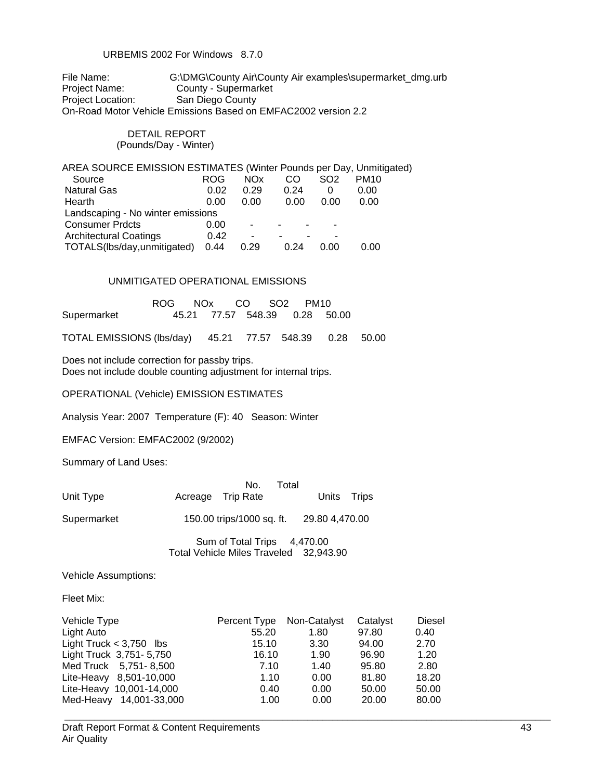#### URBEMIS 2002 For Windows 8.7.0

File Name: G:\DMG\County Air\County Air examples\supermarket\_dmg.urb Project Name: County - Supermarket<br>Project Location: San Diego County San Diego County On-Road Motor Vehicle Emissions Based on EMFAC2002 version 2.2

#### DETAIL REPORT (Pounds/Day - Winter)

| <b>ROG</b>                        | <b>NOx</b> | CO   | SO <sub>2</sub> | <b>PM10</b>                                                         |
|-----------------------------------|------------|------|-----------------|---------------------------------------------------------------------|
| 0.02                              | 0.29       | 0.24 |                 | 0.00                                                                |
| 0.00                              | 0.00       | 0.00 | 0.00            | 0.00                                                                |
| Landscaping - No winter emissions |            |      |                 |                                                                     |
| 0.00                              | ۰          |      |                 |                                                                     |
| 0.42                              | -          |      |                 |                                                                     |
| 0.44                              | 0.29       | 0.24 | 0.00            | 0.00                                                                |
|                                   |            |      |                 | AREA SOURCE EMISSION ESTIMATES (Winter Pounds per Day, Unmitigated) |

#### UNMITIGATED OPERATIONAL EMISSIONS

|             | ROG NOx CO SO2 PM10 |  |                               |  |
|-------------|---------------------|--|-------------------------------|--|
| Supermarket |                     |  | 45.21 77.57 548.39 0.28 50.00 |  |

TOTAL EMISSIONS (lbs/day) 45.21 77.57 548.39 0.28 50.00

Does not include correction for passby trips. Does not include double counting adjustment for internal trips.

OPERATIONAL (Vehicle) EMISSION ESTIMATES

Analysis Year: 2007 Temperature (F): 40 Season: Winter

EMFAC Version: EMFAC2002 (9/2002)

Summary of Land Uses:

| Unit Type   | No.<br>Total<br>Acreage Trip Rate           | Units Trips |
|-------------|---------------------------------------------|-------------|
| Supermarket | 150.00 trips/1000 sq. ft.<br>29.80 4,470.00 |             |
|             | $C_{11}$ of Tatal Tring<br>1.170.00         |             |

Sum of Total Trips 4,470.00 Total Vehicle Miles Traveled 32,943.90

Vehicle Assumptions:

Fleet Mix:

| Vehicle Type              | Percent Type Non-Catalyst |      | Catalyst | Diesel |
|---------------------------|---------------------------|------|----------|--------|
| Light Auto                | 55.20                     | 1.80 | 97.80    | 0.40   |
| Light Truck $<$ 3,750 lbs | 15.10                     | 3.30 | 94.00    | 2.70   |
| Light Truck 3,751-5,750   | 16.10                     | 1.90 | 96.90    | 1.20   |
| Med Truck 5,751-8,500     | 7.10                      | 1.40 | 95.80    | 2.80   |
| Lite-Heavy 8,501-10,000   | 1.10                      | 0.00 | 81.80    | 18.20  |
| Lite-Heavy 10,001-14,000  | 0.40                      | 0.00 | 50.00    | 50.00  |
| Med-Heavy 14,001-33,000   | 1.00                      | 0.00 | 20.00    | 80.00  |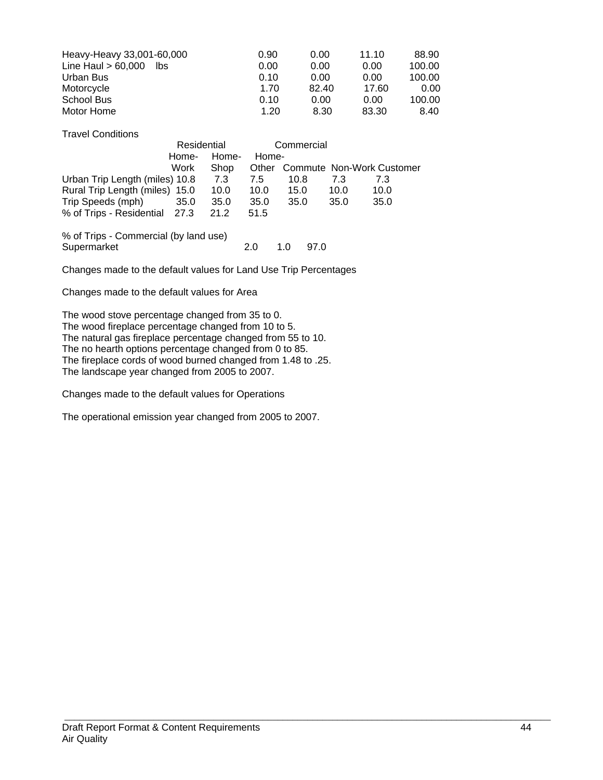| Heavy-Heavy 33,001-60,000   | 0.90 | 0.00  | 11.10 | 88.90  |
|-----------------------------|------|-------|-------|--------|
| Line Haul $> 60,000$<br>lbs | 0.00 | 0.00  | 0.00  | 100.00 |
| Urban Bus                   | 0.10 | 0.00  | 0.00  | 100.00 |
| Motorcycle                  | 1.70 | 82.40 | 17.60 | 0.00   |
| School Bus                  | 0.10 | 0.00  | 0.00  | 100.00 |
| Motor Home                  | 1.20 | 8.30  | 83.30 | 8.40   |

Travel Conditions

|                                | Residential |       | Commercial |      |      |                                 |
|--------------------------------|-------------|-------|------------|------|------|---------------------------------|
|                                | Home-       | Home- | Home-      |      |      |                                 |
|                                | Work        | Shop  |            |      |      | Other Commute Non-Work Customer |
| Urban Trip Length (miles) 10.8 |             | 7.3   | 7.5        | 10.8 | 7.3  | 73                              |
| Rural Trip Length (miles) 15.0 |             | 10.0  | 10.0       | 15.0 | 10.0 | 10.0                            |
| Trip Speeds (mph)              | 35.0        | 35.0  | 35.0       | 35.0 | 35.0 | 35.0                            |
| % of Trips - Residential 27.3  |             | 21.2  | 51.5       |      |      |                                 |
|                                |             |       |            |      |      |                                 |

% of Trips - Commercial (by land use) Supermarket 2.0 1.0 97.0

Changes made to the default values for Land Use Trip Percentages

Changes made to the default values for Area

The wood stove percentage changed from 35 to 0. The wood fireplace percentage changed from 10 to 5. The natural gas fireplace percentage changed from 55 to 10. The no hearth options percentage changed from 0 to 85. The fireplace cords of wood burned changed from 1.48 to .25. The landscape year changed from 2005 to 2007.

Changes made to the default values for Operations

The operational emission year changed from 2005 to 2007.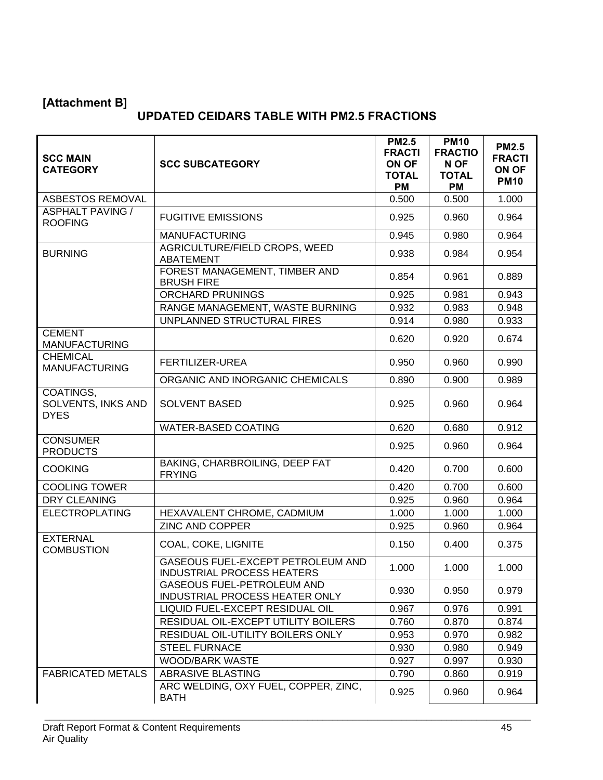# **[Attachment B]**

# **UPDATED CEIDARS TABLE WITH PM2.5 FRACTIONS**

| <b>SCC MAIN</b><br><b>CATEGORY</b>             | <b>SCC SUBCATEGORY</b>                                                        | <b>PM2.5</b><br><b>FRACTI</b><br>ON OF<br><b>TOTAL</b><br><b>PM</b> | <b>PM10</b><br><b>FRACTIO</b><br>N OF<br><b>TOTAL</b><br><b>PM</b> | <b>PM2.5</b><br><b>FRACTI</b><br>ON OF<br><b>PM10</b> |
|------------------------------------------------|-------------------------------------------------------------------------------|---------------------------------------------------------------------|--------------------------------------------------------------------|-------------------------------------------------------|
| ASBESTOS REMOVAL                               |                                                                               | 0.500                                                               | 0.500                                                              | 1.000                                                 |
| <b>ASPHALT PAVING /</b><br><b>ROOFING</b>      | <b>FUGITIVE EMISSIONS</b>                                                     | 0.925                                                               | 0.960                                                              | 0.964                                                 |
|                                                | <b>MANUFACTURING</b>                                                          | 0.945                                                               | 0.980                                                              | 0.964                                                 |
| <b>BURNING</b>                                 | AGRICULTURE/FIELD CROPS, WEED<br><b>ABATEMENT</b>                             | 0.938                                                               | 0.984                                                              | 0.954                                                 |
|                                                | FOREST MANAGEMENT, TIMBER AND<br><b>BRUSH FIRE</b>                            | 0.854                                                               | 0.961                                                              | 0.889                                                 |
|                                                | <b>ORCHARD PRUNINGS</b>                                                       | 0.925                                                               | 0.981                                                              | 0.943                                                 |
|                                                | RANGE MANAGEMENT, WASTE BURNING                                               | 0.932                                                               | 0.983                                                              | 0.948                                                 |
|                                                | UNPLANNED STRUCTURAL FIRES                                                    | 0.914                                                               | 0.980                                                              | 0.933                                                 |
| <b>CEMENT</b><br><b>MANUFACTURING</b>          |                                                                               | 0.620                                                               | 0.920                                                              | 0.674                                                 |
| <b>CHEMICAL</b><br><b>MANUFACTURING</b>        | <b>FERTILIZER-UREA</b>                                                        | 0.950                                                               | 0.960                                                              | 0.990                                                 |
|                                                | ORGANIC AND INORGANIC CHEMICALS                                               | 0.890                                                               | 0.900                                                              | 0.989                                                 |
| COATINGS,<br>SOLVENTS, INKS AND<br><b>DYES</b> | <b>SOLVENT BASED</b>                                                          | 0.925                                                               | 0.960                                                              | 0.964                                                 |
|                                                | <b>WATER-BASED COATING</b>                                                    | 0.620                                                               | 0.680                                                              | 0.912                                                 |
| <b>CONSUMER</b><br><b>PRODUCTS</b>             |                                                                               | 0.925                                                               | 0.960                                                              | 0.964                                                 |
| <b>COOKING</b>                                 | BAKING, CHARBROILING, DEEP FAT<br><b>FRYING</b>                               | 0.420                                                               | 0.700                                                              | 0.600                                                 |
| <b>COOLING TOWER</b>                           |                                                                               | 0.420                                                               | 0.700                                                              | 0.600                                                 |
| <b>DRY CLEANING</b>                            |                                                                               | 0.925                                                               | 0.960                                                              | 0.964                                                 |
| <b>ELECTROPLATING</b>                          | HEXAVALENT CHROME, CADMIUM                                                    | 1.000                                                               | 1.000                                                              | 1.000                                                 |
|                                                | <b>ZINC AND COPPER</b>                                                        | 0.925                                                               | 0.960                                                              | 0.964                                                 |
| <b>EXTERNAL</b><br><b>COMBUSTION</b>           | COAL, COKE, LIGNITE                                                           | 0.150                                                               | 0.400                                                              | 0.375                                                 |
|                                                | <b>GASEOUS FUEL-EXCEPT PETROLEUM AND</b><br><b>INDUSTRIAL PROCESS HEATERS</b> | 1.000                                                               | 1.000                                                              | 1.000                                                 |
|                                                | <b>GASEOUS FUEL-PETROLEUM AND</b><br>INDUSTRIAL PROCESS HEATER ONLY           | 0.930                                                               | 0.950                                                              | 0.979                                                 |
|                                                | LIQUID FUEL-EXCEPT RESIDUAL OIL                                               | 0.967                                                               | 0.976                                                              | 0.991                                                 |
|                                                | RESIDUAL OIL-EXCEPT UTILITY BOILERS                                           | 0.760                                                               | 0.870                                                              | 0.874                                                 |
|                                                | RESIDUAL OIL-UTILITY BOILERS ONLY                                             | 0.953                                                               | 0.970                                                              | 0.982                                                 |
|                                                | <b>STEEL FURNACE</b>                                                          | 0.930                                                               | 0.980                                                              | 0.949                                                 |
|                                                | WOOD/BARK WASTE                                                               | 0.927                                                               | 0.997                                                              | 0.930                                                 |
| <b>FABRICATED METALS</b>                       | ABRASIVE BLASTING                                                             | 0.790                                                               | 0.860                                                              | 0.919                                                 |
|                                                | ARC WELDING, OXY FUEL, COPPER, ZINC,<br><b>BATH</b>                           | 0.925                                                               | 0.960                                                              | 0.964                                                 |

\_\_\_\_\_\_\_\_\_\_\_\_\_\_\_\_\_\_\_\_\_\_\_\_\_\_\_\_\_\_\_\_\_\_\_\_\_\_\_\_\_\_\_\_\_\_\_\_\_\_\_\_\_\_\_\_\_\_\_\_\_\_\_\_\_\_\_\_\_\_\_\_\_\_\_\_\_\_\_\_\_\_\_\_\_\_\_\_\_\_\_\_\_\_\_\_\_\_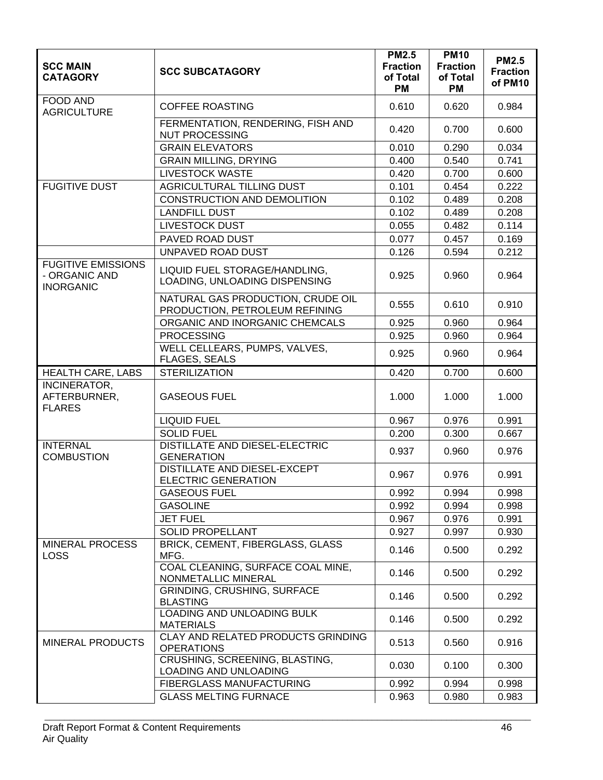| <b>SCC MAIN</b><br><b>CATAGORY</b>                             | <b>SCC SUBCATAGORY</b>                                              | <b>PM2.5</b><br><b>Fraction</b><br>of Total<br><b>PM</b> | <b>PM10</b><br><b>Fraction</b><br>of Total<br><b>PM</b> | <b>PM2.5</b><br><b>Fraction</b><br>of PM10 |
|----------------------------------------------------------------|---------------------------------------------------------------------|----------------------------------------------------------|---------------------------------------------------------|--------------------------------------------|
| <b>FOOD AND</b><br><b>AGRICULTURE</b>                          | <b>COFFEE ROASTING</b>                                              | 0.610                                                    | 0.620                                                   | 0.984                                      |
|                                                                | FERMENTATION, RENDERING, FISH AND<br><b>NUT PROCESSING</b>          | 0.420                                                    | 0.700                                                   | 0.600                                      |
|                                                                | <b>GRAIN ELEVATORS</b>                                              | 0.010                                                    | 0.290                                                   | 0.034                                      |
|                                                                | <b>GRAIN MILLING, DRYING</b>                                        | 0.400                                                    | 0.540                                                   | 0.741                                      |
|                                                                | <b>LIVESTOCK WASTE</b>                                              | 0.420                                                    | 0.700                                                   | 0.600                                      |
| <b>FUGITIVE DUST</b>                                           | AGRICULTURAL TILLING DUST                                           | 0.101                                                    | 0.454                                                   | 0.222                                      |
|                                                                | CONSTRUCTION AND DEMOLITION                                         | 0.102                                                    | 0.489                                                   | 0.208                                      |
|                                                                | <b>LANDFILL DUST</b>                                                | 0.102                                                    | 0.489                                                   | 0.208                                      |
|                                                                | <b>LIVESTOCK DUST</b>                                               | 0.055                                                    | 0.482                                                   | 0.114                                      |
|                                                                | PAVED ROAD DUST                                                     | 0.077                                                    | 0.457                                                   | 0.169                                      |
|                                                                | UNPAVED ROAD DUST                                                   | 0.126                                                    | 0.594                                                   | 0.212                                      |
| <b>FUGITIVE EMISSIONS</b><br>- ORGANIC AND<br><b>INORGANIC</b> | LIQUID FUEL STORAGE/HANDLING,<br>LOADING, UNLOADING DISPENSING      | 0.925                                                    | 0.960                                                   | 0.964                                      |
|                                                                | NATURAL GAS PRODUCTION, CRUDE OIL<br>PRODUCTION, PETROLEUM REFINING | 0.555                                                    | 0.610                                                   | 0.910                                      |
|                                                                | ORGANIC AND INORGANIC CHEMCALS                                      | 0.925                                                    | 0.960                                                   | 0.964                                      |
|                                                                | <b>PROCESSING</b>                                                   | 0.925                                                    | 0.960                                                   | 0.964                                      |
|                                                                | WELL CELLEARS, PUMPS, VALVES,<br><b>FLAGES, SEALS</b>               | 0.925                                                    | 0.960                                                   | 0.964                                      |
| <b>HEALTH CARE, LABS</b>                                       | <b>STERILIZATION</b>                                                | 0.420                                                    | 0.700                                                   | 0.600                                      |
| INCINERATOR,<br>AFTERBURNER,<br><b>FLARES</b>                  | <b>GASEOUS FUEL</b>                                                 | 1.000                                                    | 1.000                                                   | 1.000                                      |
|                                                                | <b>LIQUID FUEL</b>                                                  | 0.967                                                    | 0.976                                                   | 0.991                                      |
|                                                                | <b>SOLID FUEL</b>                                                   | 0.200                                                    | 0.300                                                   | 0.667                                      |
| <b>INTERNAL</b><br><b>COMBUSTION</b>                           | <b>DISTILLATE AND DIESEL-ELECTRIC</b><br><b>GENERATION</b>          | 0.937                                                    | 0.960                                                   | 0.976                                      |
|                                                                | <b>DISTILLATE AND DIESEL-EXCEPT</b><br><b>ELECTRIC GENERATION</b>   | 0.967                                                    | 0.976                                                   | 0.991                                      |
|                                                                | <b>GASEOUS FUEL</b>                                                 | 0.992                                                    | 0.994                                                   | 0.998                                      |
|                                                                | <b>GASOLINE</b>                                                     | 0.992                                                    | 0.994                                                   | 0.998                                      |
|                                                                | <b>JET FUEL</b>                                                     | 0.967                                                    | 0.976                                                   | 0.991                                      |
|                                                                | <b>SOLID PROPELLANT</b>                                             | 0.927                                                    | 0.997                                                   | 0.930                                      |
| <b>MINERAL PROCESS</b><br><b>LOSS</b>                          | BRICK, CEMENT, FIBERGLASS, GLASS<br>MFG.                            | 0.146                                                    | 0.500                                                   | 0.292                                      |
|                                                                | COAL CLEANING, SURFACE COAL MINE,<br>NONMETALLIC MINERAL            | 0.146                                                    | 0.500                                                   | 0.292                                      |
|                                                                | GRINDING, CRUSHING, SURFACE<br><b>BLASTING</b>                      | 0.146                                                    | 0.500                                                   | 0.292                                      |
|                                                                | <b>LOADING AND UNLOADING BULK</b><br><b>MATERIALS</b>               | 0.146                                                    | 0.500                                                   | 0.292                                      |
| <b>MINERAL PRODUCTS</b>                                        | CLAY AND RELATED PRODUCTS GRINDING<br><b>OPERATIONS</b>             | 0.513                                                    | 0.560                                                   | 0.916                                      |
|                                                                | CRUSHING, SCREENING, BLASTING,<br>LOADING AND UNLOADING             | 0.030                                                    | 0.100                                                   | 0.300                                      |
|                                                                | FIBERGLASS MANUFACTURING                                            | 0.992                                                    | 0.994                                                   | 0.998                                      |
|                                                                | <b>GLASS MELTING FURNACE</b>                                        | 0.963                                                    | 0.980                                                   | 0.983                                      |